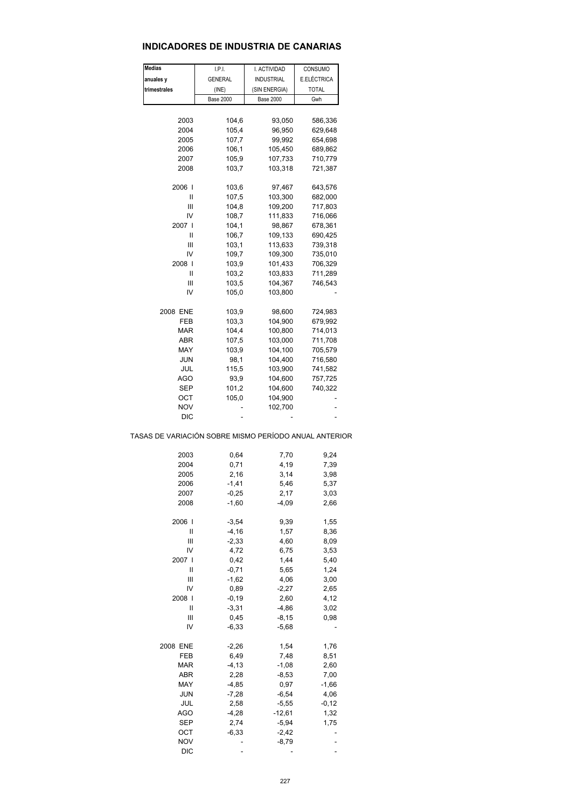## **INDICADORES DE INDUSTRIA DE CANARIAS**

| Medias                                                       | I.P.I.              | I. ACTIVIDAD      | CONSUMO      |  |
|--------------------------------------------------------------|---------------------|-------------------|--------------|--|
| anuales y                                                    | <b>GENERAL</b>      | <b>INDUSTRIAL</b> | E.ELÉCTRICA  |  |
| trimestrales                                                 | (INE)               | (SIN ENERGIA)     | <b>TOTAL</b> |  |
|                                                              | <b>Base 2000</b>    | <b>Base 2000</b>  | Gwh          |  |
|                                                              |                     |                   |              |  |
| 2003                                                         | 104,6               | 93,050            | 586,336      |  |
| 2004                                                         | 105,4               | 96,950            | 629,648      |  |
| 2005                                                         | 107,7               | 99,992            | 654,698      |  |
| 2006                                                         | 106,1               | 105,450           | 689,862      |  |
| 2007                                                         | 105,9               | 107,733           | 710,779      |  |
| 2008                                                         | 103,7               | 103,318           | 721,387      |  |
| 2006 l                                                       | 103,6               | 97,467            | 643,576      |  |
| Ш                                                            | 107,5               | 103,300           | 682,000      |  |
| Ш                                                            | 104,8               | 109,200           | 717,803      |  |
| IV                                                           | 108,7               | 111,833           | 716,066      |  |
| 2007 l                                                       | 104,1               | 98,867            | 678,361      |  |
| Ш                                                            | 106,7               | 109,133           | 690,425      |  |
| Ш                                                            | 103,1               | 113,633           | 739,318      |  |
| IV                                                           | 109,7               | 109,300           | 735,010      |  |
| 2008                                                         | 103,9               | 101,433           | 706,329      |  |
| Ш                                                            | 103,2               | 103,833           | 711,289      |  |
| Ш                                                            | 103,5               | 104,367           | 746,543      |  |
| IV                                                           | 105,0               | 103,800           |              |  |
| 2008 ENE                                                     | 103,9               | 98,600            | 724,983      |  |
| FEB                                                          | 103,3               | 104,900           | 679,992      |  |
| MAR                                                          | 104,4               | 100,800           | 714,013      |  |
| ABR                                                          |                     |                   |              |  |
|                                                              | 107,5               | 103,000           | 711,708      |  |
| MAY                                                          | 103,9               | 104,100           | 705,579      |  |
| JUN                                                          | 98,1                | 104,400           | 716,580      |  |
| JUL                                                          | 115,5               | 103,900           | 741,582      |  |
| AGO                                                          | 93,9                | 104,600           | 757,725      |  |
| SEP                                                          | 101,2               | 104,600           | 740,322      |  |
| ост                                                          | 105,0               | 104,900           |              |  |
| NOV                                                          |                     | 102,700           | ÷            |  |
| DIC<br>TASAS DE VARIACIÓN SOBRE MISMO PERÍODO ANUAL ANTERIOR |                     |                   |              |  |
|                                                              |                     |                   |              |  |
| 2003<br>2004                                                 | 0,64<br>0,71        | 7,70<br>4,19      | 9,24<br>7,39 |  |
|                                                              |                     |                   |              |  |
| 2005                                                         | 2,16                | 3,14              | 3,98         |  |
| 2006                                                         | $-1,41$             | 5,46              | 5,37         |  |
| 2007<br>2008                                                 | $-0,25$<br>$-1,60$  | 2,17<br>$-4,09$   | 3,03<br>2,66 |  |
|                                                              |                     |                   |              |  |
| 2006                                                         | $-3,54$<br>$-4, 16$ | 9,39              | 1,55         |  |
| II                                                           | $-2,33$             | 1,57              | 8,36         |  |
| Ш                                                            |                     | 4,60              | 8,09         |  |
| IV                                                           | 4,72                | 6,75              | 3,53         |  |
| 2007 l                                                       | 0,42                | 1,44              | 5,40         |  |
| II                                                           | $-0,71$             | 5,65              | 1,24         |  |
| Ш                                                            | $-1,62$             | 4,06              | 3,00         |  |
| IV                                                           | 0,89                | $-2,27$           | 2,65         |  |
| 2008                                                         | $-0,19$             | 2,60              | 4,12         |  |
| Ш                                                            | $-3,31$             | $-4,86$           | 3,02         |  |
| Ш                                                            | 0,45                | $-8,15$           | 0,98         |  |
| IV                                                           | $-6,33$             | $-5,68$           |              |  |
| 2008 ENE                                                     | $-2,26$             | 1,54              | 1,76         |  |
| FEB                                                          | 6,49                | 7,48              | 8,51         |  |
| <b>MAR</b>                                                   | $-4, 13$            | $-1,08$           | 2,60         |  |
| ABR                                                          | 2,28                | $-8,53$           | 7,00         |  |
| MAY                                                          | $-4,85$             | 0,97              | $-1,66$      |  |
| <b>JUN</b>                                                   | $-7,28$             | $-6,54$           | 4,06         |  |
| JUL                                                          | 2,58                | $-5,55$           | $-0,12$      |  |
| AGO                                                          | $-4,28$             | $-12,61$          | 1,32         |  |
| <b>SEP</b>                                                   | 2,74                | $-5,94$           | 1,75         |  |
| OCT                                                          | $-6,33$             | $-2,42$           |              |  |
| <b>NOV</b>                                                   |                     | $-8,79$           |              |  |
| <b>DIC</b>                                                   |                     |                   |              |  |
|                                                              |                     |                   |              |  |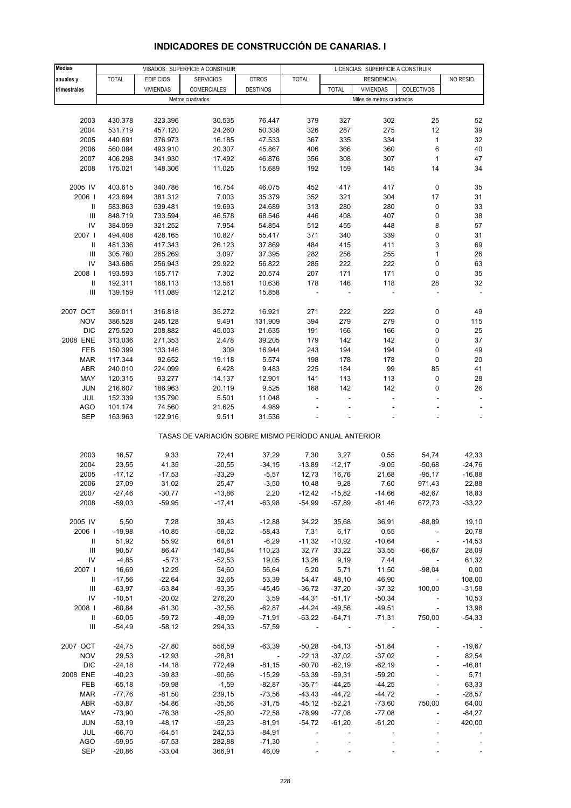#### **Medias anuales y | TOTAL | EDIFICIOS | SERVICIOS | OTROS | TOTAL | RESIDENCIAL | NO RESID. trimestrales** VIVIENDAS COMERCIALES DESTINOS TOTAL VIVIENDAS COLECTIVOS 2003 430.378 323.396 30.535 76.447 379 327 302 25 52 2004 531.719 457.120 24.260 50.338 326 287 275 12 39 2005 440.691 376.973 16.185 47.533 367 335 334 1 32 2006 560.084 493.910 20.307 45.867 406 366 360 6 40 2007 406.298 341.930 17.492 46.876 356 308 307 1 47 2008 175.021 148.306 11.025 15.689 192 159 145 14 34 2005 IV 403.615 340.786 16.754 46.075 452 417 417 0 35 2006 I 423.694 381.312 7.003 35.379 352 321 304 17 31 II 583.863 539.481 19.693 24.689 313 280 280 0 33 III 848.719 733.594 46.578 68.546 446 408 407 0 38 IV 384.059 321.252 7.954 54.854 512 455 448 8 57 2007 I 494.408 428.165 10.827 55.417 371 340 339 0 31 II 481.336 417.343 26.123 37.869 484 415 411 3 69 III 305.760 265.269 3.097 37.395 282 256 255 1 26 IV 343.686 256.943 29.922 56.822 285 222 222 0 63 2008 I 193.593 165.717 7.302 20.574 207 171 171 0 35 II 192.311 168.113 13.561 10.636 178 146 118 28 32 III 139.159 111.089 12.212 15.858 - - - - - 2007 OCT 369.011 316.818 35.272 16.921 271 222 222 0 49 NOV 386.528 245.128 9.491 131.909 394 279 279 0 115 DIC 275.520 208.882 45.003 21.635 191 166 166 0 25 2008 ENE 313.036 271.353 2.478 39.205 179 142 142 0 37 FEB 150.399 133.146 309 16.944 243 194 194 0 49 MAR 117.344 92.652 19.118 5.574 198 178 178 0 20 ABR 240.010 224.099 6.428 9.483 225 184 99 85 41 MAY 120.315 93.277 14.137 12.901 141 113 113 0 28 JUN 216.607 186.963 20.119 9.525 168 142 142 0 26 JUL 152.339 135.790 5.501 11.048 - - - - - AGO 101.174 74.560 21.625 4.989 - - - - - SEP 163.963 122.916 9.511 31.536 - - - - - - - - - -TASAS DE VARIACIÓN SOBRE MISMO PERÍODO ANUAL ANTERIOR 2003 16,57 9,33 72,41 37,29 7,30 3,27 0,55 54,74 42,33 2004 23,55 41,35 -20,55 -34,15 -13,89 -12,17 -9,05 -50,68 -24,76 2005 -17,12 -17,53 -33,29 -5,57 12,73 16,76 21,68 -95,17 -16,88 2006 27,09 31,02 25,47 -3,50 10,48 9,28 7,60 971,43 22,88 2007 -27,46 -30,77 -13,86 2,20 -12,42 -15,82 -14,66 -82,67 18,83 2008 -59,03 -59,95 -17,41 -63,98 -54,99 -57,89 -61,46 672,73 -33,22 2005 IV 5,50 7,28 39,43 -12,88 34,22 35,68 36,91 -88,89 19,10 2006 I -19,98 -10,85 -58,02 -58,43 7,31 6,17 0,55 - 20,78 II 51,92 55,92 64,61 -6,29 -11,32 -10,92 -10,64 - -14,53 III 90,57 86,47 140,84 110,23 32,77 33,22 33,55 -66,67 28,09 IV -4,85 -5,73 -52,53 19,05 13,26 9,19 7,44 - 61,32 2007 I 16,69 12,29 54,60 56,64 5,20 5,71 11,50 -98,04 0,00 II -17,56 -22,64 32,65 53,39 54,47 48,10 46,90 - 108,00 III -63,97 -63,84 -93,35 -45,45 -36,72 -37,20 -37,32 100,00 -31,58 IV -10,51 -20,02 276,20 3,59 -44,31 -51,17 -50,34 - 10,53 2008 I -60,84 -61,30 -32,56 -62,87 -44,24 -49,56 -49,51 - 13,98 II -60,05 -59,72 -48,09 -71,91 -63,22 -64,71 -71,31 750,00 -54,33 III -54,49 -58,12 294,33 -57,59 - - - - - 2007 OCT -24,75 -27,80 556,59 -63,39 -50,28 -54,13 -51,84 - -19,67 NOV 29,53 -12,93 -28,81 - -22,13 -37,02 -37,02 - 82,54 DIC -24,18 -14,18 772,49 -81,15 -60,70 -62,19 -62,19 - -46,81 2008 ENE -40,23 -39,83 -90,66 -15,29 -53,39 -59,31 -59,20 - 5,71 FEB -65,18 -59,98 -1,59 -82,87 -35,71 -44,25 -44,25 - 63,33 MAR -77,76 -81,50 239,15 -73,56 -43,43 -44,72 -44,72 - -28,57 ABR -53,87 -54,86 -35,56 -31,75 -45,12 -52,21 -73,60 750,00 64,00 MAY -73,90 -76,38 -25,80 -72,58 -78,99 -77,08 -77,08 - -84,27 JUN -53,19 -48,17 -59,23 -81,91 -54,72 -61,20 -61,20 - 420,00 JUL -66,70 -64,51 242,53 -84,91 - - - - - AGO -59,95 -67,53 282,88 -71,30 - - - - - VISADOS: SUPERFICIE A CONSTRUIR LICENCIAS: SUPERFICIE A CONSTRUIR RESIDENCIAL Metros cuadrados Miles de metros cuadrados

#### **INDICADORES DE CONSTRUCCIÓN DE CANARIAS. I**

SEP -20,86 -33,04 366,91 46,09 - - - - -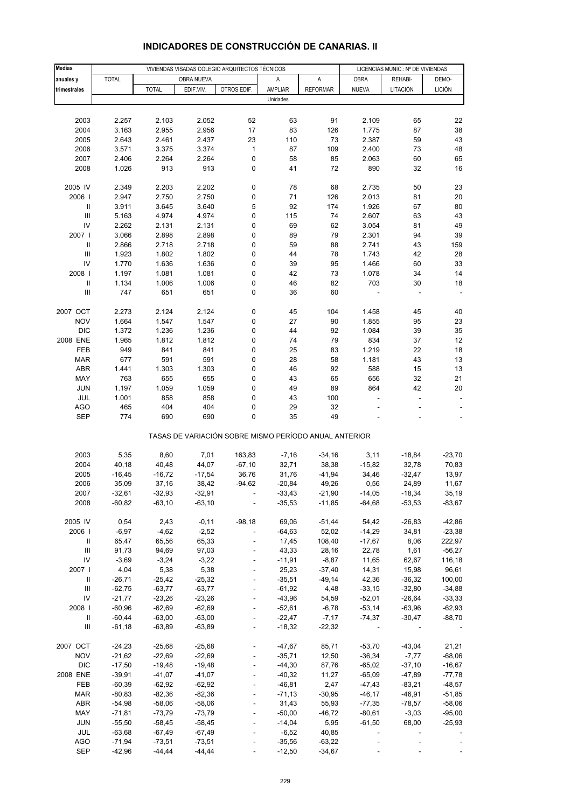| <b>Medias</b>                      |                   | VIVIENDAS VISADAS COLEGIO ARQUITECTOS TÉCNICOS |                 |                                                       |                |                   |                   | LICENCIAS MUNIC.: Nº DE VIVIENDAS |                |  |
|------------------------------------|-------------------|------------------------------------------------|-----------------|-------------------------------------------------------|----------------|-------------------|-------------------|-----------------------------------|----------------|--|
| anuales y                          | <b>TOTAL</b>      |                                                | OBRA NUEVA      |                                                       | Α              | A                 | <b>OBRA</b>       | REHABI-                           | DEMO-          |  |
| trimestrales                       |                   | <b>TOTAL</b>                                   | EDIF.VIV.       | OTROS EDIF.                                           | AMPLIAR        | <b>REFORMAR</b>   | <b>NUEVA</b>      | LITACIÓN                          | <b>LICIÓN</b>  |  |
|                                    |                   |                                                |                 |                                                       | Unidades       |                   |                   |                                   |                |  |
|                                    |                   |                                                |                 |                                                       |                |                   |                   |                                   |                |  |
| 2003                               | 2.257             | 2.103                                          | 2.052           | 52                                                    | 63             | 91                | 2.109             | 65                                | 22             |  |
| 2004                               | 3.163             | 2.955                                          | 2.956           | 17                                                    | 83             | 126               | 1.775             | 87                                | 38             |  |
| 2005                               | 2.643             | 2.461                                          | 2.437           | 23                                                    | 110            | 73                | 2.387             | 59                                | 43             |  |
| 2006                               | 3.571             | 3.375                                          | 3.374           | $\mathbf 1$                                           | 87             | 109               | 2.400             | 73                                | 48             |  |
| 2007                               | 2.406             | 2.264                                          | 2.264           | $\pmb{0}$                                             | 58             | 85                | 2.063             | 60                                | 65             |  |
| 2008                               | 1.026             | 913                                            | 913             | 0                                                     | 41             | 72                | 890               | 32                                | 16             |  |
|                                    |                   |                                                |                 |                                                       |                |                   |                   |                                   |                |  |
| 2005 IV                            | 2.349             | 2.203                                          | 2.202           | 0                                                     | 78             | 68                | 2.735             | 50                                | 23             |  |
| 2006                               | 2.947             | 2.750                                          | 2.750           | 0                                                     | 71             | 126               | 2.013             | 81                                | 20             |  |
| $\ensuremath{\mathsf{II}}$         | 3.911             | 3.645                                          | 3.640           | 5                                                     | 92             | 174               | 1.926             | 67                                | 80             |  |
| $\ensuremath{\mathsf{III}}\xspace$ | 5.163             | 4.974                                          | 4.974           | 0                                                     | 115            | 74                | 2.607             | 63                                | 43             |  |
| IV                                 | 2.262             | 2.131                                          | 2.131           | 0                                                     | 69             | 62                | 3.054             | 81                                | 49             |  |
| 2007 l                             | 3.066             | 2.898                                          | 2.898           | 0                                                     | 89             | 79                | 2.301             | 94                                | 39             |  |
| $\ensuremath{\mathsf{II}}$         | 2.866             | 2.718                                          | 2.718           | 0                                                     | 59             | 88                | 2.741             | 43                                | 159            |  |
| III                                | 1.923             | 1.802                                          | 1.802           | 0                                                     | 44             | 78                | 1.743             | 42                                | 28             |  |
| IV                                 | 1.770             | 1.636                                          | 1.636           | 0                                                     | 39             | 95                | 1.466             | 60                                | 33             |  |
| 2008                               | 1.197             | 1.081                                          | 1.081           | 0                                                     | 42             | 73                | 1.078             | 34                                | 14             |  |
| $\ensuremath{\mathsf{II}}$         | 1.134             | 1.006                                          | 1.006           | 0                                                     | 46             | 82                | 703               | 30                                | 18             |  |
| Ш                                  | 747               | 651                                            | 651             | 0                                                     | 36             | 60                |                   |                                   |                |  |
|                                    |                   |                                                |                 |                                                       |                |                   |                   |                                   |                |  |
| 2007 OCT                           | 2.273             | 2.124                                          | 2.124           | 0                                                     | 45             | 104               | 1.458             | 45                                | 40             |  |
| <b>NOV</b><br><b>DIC</b>           | 1.664             | 1.547                                          | 1.547<br>1.236  | 0                                                     | 27<br>44       | 90<br>92          | 1.855<br>1.084    | 95<br>39                          | 23<br>35       |  |
| 2008 ENE                           | 1.372<br>1.965    | 1.236<br>1.812                                 | 1.812           | 0<br>0                                                | 74             | 79                | 834               | 37                                | 12             |  |
| FEB                                | 949               | 841                                            | 841             | 0                                                     | 25             | 83                | 1.219             | 22                                | 18             |  |
| <b>MAR</b>                         | 677               | 591                                            | 591             | 0                                                     | 28             | 58                | 1.181             | 43                                | 13             |  |
| ABR                                | 1.441             | 1.303                                          | 1.303           | 0                                                     | 46             | 92                | 588               | 15                                | 13             |  |
| MAY                                | 763               | 655                                            | 655             | 0                                                     | 43             | 65                | 656               | 32                                | 21             |  |
| <b>JUN</b>                         | 1.197             | 1.059                                          | 1.059           | 0                                                     | 49             | 89                | 864               | 42                                | 20             |  |
| JUL                                | 1.001             | 858                                            | 858             | 0                                                     | 43             | 100               | L,                | $\overline{a}$                    |                |  |
| <b>AGO</b>                         | 465               | 404                                            | 404             | 0                                                     | 29             | 32                |                   |                                   |                |  |
| <b>SEP</b>                         | 774               | 690                                            | 690             | 0                                                     | 35             | 49                |                   |                                   |                |  |
|                                    |                   |                                                |                 | TASAS DE VARIACIÓN SOBRE MISMO PERÍODO ANUAL ANTERIOR |                |                   |                   |                                   |                |  |
|                                    |                   |                                                |                 |                                                       |                |                   |                   |                                   |                |  |
| 2003                               | 5,35              | 8,60                                           | 7,01            | 163,83                                                | $-7,16$        | $-34,16$          | 3,11              | $-18,84$                          | $-23,70$       |  |
| 2004<br>2005                       | 40,18<br>$-16,45$ | 40,48<br>$-16,72$                              | 44,07<br>-17,54 | $-67,10$<br>36,76                                     | 32,71<br>31,76 | 38,38<br>$-41,94$ | $-15,82$<br>34,46 | 32,78<br>$-32,47$                 | 70,83<br>13,97 |  |
| 2006                               | 35,09             | 37,16                                          | 38,42           | $-94,62$                                              | $-20,84$       | 49,26             | 0,56              | 24,89                             | 11,67          |  |
| 2007                               | -32,61            | $-32,93$                                       | -32,91          |                                                       | -33,43         | -21,90            | $-14,05$          | -18,34                            | 35,19          |  |
| 2008                               | $-60,82$          | $-63,10$                                       | $-63,10$        |                                                       | $-35,53$       | $-11,85$          | $-64,68$          | $-53,53$                          | $-83,67$       |  |
|                                    |                   |                                                |                 |                                                       |                |                   |                   |                                   |                |  |
| 2005 IV                            | 0,54              | 2,43                                           | $-0,11$         | $-98,18$                                              | 69,06          | $-51,44$          | 54,42             | $-26,83$                          | $-42,86$       |  |
| 2006                               | $-6,97$           | $-4,62$                                        | $-2,52$         | ÷,                                                    | $-64,63$       | 52,02             | $-14,29$          | 34,81                             | $-23,38$       |  |
| Ш                                  | 65,47             | 65,56                                          | 65,33           | ÷,                                                    | 17,45          | 108,40            | $-17,67$          | 8,06                              | 222,97         |  |
| $\ensuremath{\mathsf{III}}\xspace$ | 91,73             | 94,69                                          | 97,03           | $\overline{\phantom{a}}$                              | 43,33          | 28,16             | 22,78             | 1,61                              | $-56,27$       |  |
| IV                                 | $-3,69$           | $-3,24$                                        | $-3,22$         |                                                       | $-11,91$       | $-8,87$           | 11,65             | 62,67                             | 116,18         |  |
| 2007 l                             | 4,04              | 5,38                                           | 5,38            | ÷,                                                    | 25,23          | $-37,40$          | 14,31             | 15,98                             | 96,61          |  |
| Ш                                  | $-26,71$          | $-25,42$                                       | $-25,32$        | $\blacksquare$                                        | $-35,51$       | $-49,14$          | 42,36             | $-36,32$                          | 100,00         |  |
| $\ensuremath{\mathsf{III}}\xspace$ | $-62,75$          | $-63,77$                                       | $-63,77$        |                                                       | $-61,92$       | 4,48              | $-33,15$          | $-32,80$                          | $-34,88$       |  |
| IV                                 | $-21,77$          | $-23,26$                                       | $-23,26$        | ÷,                                                    | $-43,96$       | 54,59             | $-52,01$          | $-26,64$                          | $-33,33$       |  |
| 2008 l                             | $-60,96$          | $-62,69$                                       | $-62,69$        | $\blacksquare$                                        | $-52,61$       | $-6,78$           | $-53,14$          | $-63,96$                          | $-62,93$       |  |
| $\ensuremath{\mathsf{II}}$         | $-60,44$          | $-63,00$                                       | $-63,00$        |                                                       | $-22,47$       | $-7,17$           | $-74,37$          | $-30,47$                          | $-88,70$       |  |
| Ш                                  | $-61,18$          | $-63,89$                                       | $-63,89$        | $\blacksquare$                                        | $-18,32$       | $-22,32$          |                   |                                   |                |  |
| 2007 OCT                           | $-24,23$          | $-25,68$                                       | $-25,68$        |                                                       | $-47,67$       | 85,71             | $-53,70$          | $-43,04$                          | 21,21          |  |
| <b>NOV</b>                         | $-21,62$          | $-22,69$                                       | $-22,69$        | $\blacksquare$                                        | $-35,71$       | 12,50             | $-36,34$          | $-7,77$                           | $-68,06$       |  |
| <b>DIC</b>                         | $-17,50$          | $-19,48$                                       | $-19,48$        |                                                       | $-44,30$       | 87,76             | $-65,02$          | $-37,10$                          | $-16,67$       |  |
| 2008 ENE                           | $-39,91$          | $-41,07$                                       | $-41,07$        |                                                       | $-40,32$       | 11,27             | $-65,09$          | $-47,89$                          | $-77,78$       |  |
| FEB                                | $-60,39$          | $-62,92$                                       | $-62,92$        | $\blacksquare$                                        | $-46,81$       | 2,47              | $-47,43$          | $-83,21$                          | $-48,57$       |  |
| <b>MAR</b>                         | $-80,83$          | $-82,36$                                       | $-82,36$        |                                                       | $-71,13$       | $-30,95$          | $-46, 17$         | $-46,91$                          | $-51,85$       |  |
| ABR                                | $-54,98$          | $-58,06$                                       | $-58,06$        | $\overline{a}$                                        | 31,43          | 55,93             | $-77,35$          | $-78,57$                          | $-58,06$       |  |
| MAY                                | $-71,81$          | $-73,79$                                       | $-73,79$        | $\blacksquare$                                        | $-50,00$       | $-46,72$          | $-80,61$          | $-3,03$                           | $-95,00$       |  |
| <b>JUN</b>                         | $-55,50$          | $-58,45$                                       | $-58,45$        |                                                       | $-14,04$       | 5,95              | $-61,50$          | 68,00                             | $-25,93$       |  |
| JUL                                | $-63,68$          | $-67,49$                                       | $-67,49$        |                                                       | $-6,52$        | 40,85             |                   |                                   |                |  |
| AGO                                | $-71,94$          | $-73,51$                                       | $-73,51$        |                                                       | $-35,56$       | $-63,22$          |                   |                                   |                |  |
| <b>SEP</b>                         | $-42,96$          | $-44, 44$                                      | $-44,44$        |                                                       | $-12,50$       | $-34,67$          |                   |                                   |                |  |

## **INDICADORES DE CONSTRUCCIÓN DE CANARIAS. II**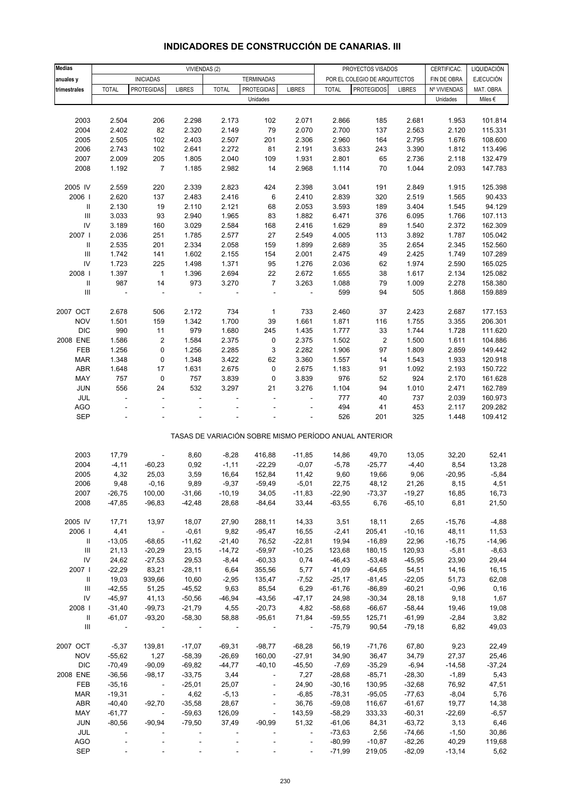| <b>Medias</b>                      |                |                                       |               | VIVIENDAS (2) |                                                       |                          |              | PROYECTOS VISADOS             |               | CERTIFICAC.  | LIQUIDACIÓN      |
|------------------------------------|----------------|---------------------------------------|---------------|---------------|-------------------------------------------------------|--------------------------|--------------|-------------------------------|---------------|--------------|------------------|
|                                    |                |                                       |               |               |                                                       |                          |              |                               |               |              | <b>EJECUCIÓN</b> |
| anuales y                          |                | <b>INICIADAS</b><br><b>PROTEGIDAS</b> |               |               | <b>TERMINADAS</b>                                     |                          |              | POR EL COLEGIO DE ARQUITECTOS |               | FIN DE OBRA  |                  |
| trimestrales                       | <b>TOTAL</b>   |                                       | <b>LIBRES</b> | <b>TOTAL</b>  | <b>PROTEGIDAS</b>                                     | <b>LIBRES</b>            | <b>TOTAL</b> | <b>PROTEGIDOS</b>             | <b>LIBRES</b> | Nº VIVIENDAS | MAT. OBRA        |
|                                    |                |                                       |               |               | Unidades                                              |                          |              |                               |               | Unidades     | Miles €          |
|                                    |                |                                       |               |               |                                                       |                          |              |                               |               |              |                  |
| 2003                               | 2.504          | 206                                   | 2.298         | 2.173         | 102                                                   | 2.071                    | 2.866        | 185                           | 2.681         | 1.953        | 101.814          |
| 2004                               | 2.402          | 82                                    | 2.320         | 2.149         | 79                                                    | 2.070                    | 2.700        | 137                           | 2.563         | 2.120        | 115.331          |
| 2005                               | 2.505          | 102                                   | 2.403         | 2.507         | 201                                                   | 2.306                    | 2.960        | 164                           | 2.795         | 1.676        | 108.600          |
| 2006                               | 2.743          | 102                                   | 2.641         | 2.272         | 81                                                    | 2.191                    | 3.633        | 243                           | 3.390         | 1.812        | 113.496          |
| 2007                               | 2.009          | 205                                   | 1.805         | 2.040         | 109                                                   | 1.931                    | 2.801        | 65                            | 2.736         | 2.118        | 132.479          |
| 2008                               | 1.192          | $\overline{7}$                        | 1.185         | 2.982         | 14                                                    | 2.968                    | 1.114        | 70                            | 1.044         | 2.093        | 147.783          |
|                                    |                |                                       |               |               |                                                       |                          |              |                               |               |              |                  |
| 2005 IV                            | 2.559          | 220                                   | 2.339         | 2.823         | 424                                                   | 2.398                    | 3.041        | 191                           | 2.849         | 1.915        | 125.398          |
| 2006                               | 2.620          | 137                                   | 2.483         | 2.416         | 6                                                     | 2.410                    | 2.839        | 320                           | 2.519         | 1.565        | 90.433           |
| $\ensuremath{\mathsf{II}}$         | 2.130          | 19                                    | 2.110         | 2.121         | 68                                                    | 2.053                    | 3.593        | 189                           | 3.404         | 1.545        | 94.129           |
| $\ensuremath{\mathsf{III}}\xspace$ | 3.033          | 93                                    | 2.940         | 1.965         | 83                                                    | 1.882                    | 6.471        | 376                           | 6.095         | 1.766        | 107.113          |
| ${\sf IV}$                         | 3.189          | 160                                   | 3.029         | 2.584         | 168                                                   | 2.416                    | 1.629        | 89                            | 1.540         | 2.372        | 162.309          |
|                                    |                |                                       |               |               |                                                       |                          |              |                               |               |              |                  |
| 2007 l                             | 2.036          | 251                                   | 1.785         | 2.577         | 27                                                    | 2.549                    | 4.005        | 113                           | 3.892         | 1.787        | 105.042          |
| Ш                                  | 2.535          | 201                                   | 2.334         | 2.058         | 159                                                   | 1.899                    | 2.689        | 35                            | 2.654         | 2.345        | 152.560          |
| $\ensuremath{\mathsf{III}}\xspace$ | 1.742          | 141                                   | 1.602         | 2.155         | 154                                                   | 2.001                    | 2.475        | 49                            | 2.425         | 1.749        | 107.289          |
| ${\sf IV}$                         | 1.723          | 225                                   | 1.498         | 1.371         | 95                                                    | 1.276                    | 2.036        | 62                            | 1.974         | 2.590        | 165.025          |
| 2008                               | 1.397          | $\mathbf{1}$                          | 1.396         | 2.694         | 22                                                    | 2.672                    | 1.655        | 38                            | 1.617         | 2.134        | 125.082          |
| $\ensuremath{\mathsf{II}}$         | 987            | 14                                    | 973           | 3.270         | $\overline{7}$                                        | 3.263                    | 1.088        | 79                            | 1.009         | 2.278        | 158.380          |
| $\ensuremath{\mathsf{III}}\xspace$ | $\blacksquare$ | ÷,                                    | ÷,            |               | ÷,                                                    | $\overline{\phantom{a}}$ | 599          | 94                            | 505           | 1.868        | 159.889          |
|                                    |                |                                       |               |               |                                                       |                          |              |                               |               |              |                  |
| 2007 OCT                           | 2.678          | 506                                   | 2.172         | 734           | 1                                                     | 733                      | 2.460        | 37                            | 2.423         | 2.687        | 177.153          |
| <b>NOV</b>                         | 1.501          | 159                                   | 1.342         | 1.700         | 39                                                    | 1.661                    | 1.871        | 116                           | 1.755         | 3.355        | 206.301          |
| <b>DIC</b>                         | 990            | 11                                    | 979           | 1.680         | 245                                                   | 1.435                    | 1.777        | 33                            | 1.744         | 1.728        | 111.620          |
| 2008 ENE                           | 1.586          | 2                                     | 1.584         | 2.375         | 0                                                     | 2.375                    | 1.502        | $\overline{\mathbf{c}}$       | 1.500         | 1.611        | 104.886          |
|                                    |                |                                       |               |               |                                                       |                          |              |                               |               |              |                  |
| FEB                                | 1.256          | 0                                     | 1.256         | 2.285         | 3                                                     | 2.282                    | 1.906        | 97                            | 1.809         | 2.859        | 149.442          |
| <b>MAR</b>                         | 1.348          | 0                                     | 1.348         | 3.422         | 62                                                    | 3.360                    | 1.557        | 14                            | 1.543         | 1.933        | 120.918          |
| ABR                                | 1.648          | 17                                    | 1.631         | 2.675         | 0                                                     | 2.675                    | 1.183        | 91                            | 1.092         | 2.193        | 150.722          |
| MAY                                | 757            | $\mathbf 0$                           | 757           | 3.839         | 0                                                     | 3.839                    | 976          | 52                            | 924           | 2.170        | 161.628          |
| JUN                                | 556            | 24                                    | 532           | 3.297         | 21                                                    | 3.276                    | 1.104        | 94                            | 1.010         | 2.471        | 162.789          |
| JUL                                | ä,             | L,                                    | L,            |               | ä,                                                    | ÷,                       | 777          | 40                            | 737           | 2.039        | 160.973          |
| <b>AGO</b>                         |                |                                       |               |               |                                                       |                          | 494          | 41                            | 453           | 2.117        | 209.282          |
| <b>SEP</b>                         |                |                                       |               |               |                                                       |                          | 526          | 201                           | 325           | 1.448        | 109.412          |
|                                    |                |                                       |               |               |                                                       |                          |              |                               |               |              |                  |
|                                    |                |                                       |               |               | TASAS DE VARIACIÓN SOBRE MISMO PERÍODO ANUAL ANTERIOR |                          |              |                               |               |              |                  |
|                                    |                |                                       |               |               |                                                       |                          |              |                               |               |              |                  |
| 2003                               | 17,79          |                                       | 8,60          | $-8,28$       | 416,88                                                | $-11,85$                 | 14,86        | 49,70                         | 13,05         | 32,20        | 52,41            |
| 2004                               | $-4, 11$       | $-60,23$                              | 0,92          | $-1,11$       | $-22,29$                                              | $-0,07$                  | $-5,78$      | $-25,77$                      | $-4,40$       | 8,54         | 13,28            |
| 2005                               | 4,32           | 25,03                                 | 3,59          | 16,64         | 152,84                                                | 11,42                    | 9,60         | 19,66                         | 9,06          | $-20,95$     | $-5,84$          |
| 2006                               | 9,48           | $-0,16$                               | 9,89          | $-9,37$       | $-59,49$                                              | $-5,01$                  | 22,75        | 48,12                         | 21,26         | 8,15         | 4,51             |
| 2007                               | $-26,75$       | 100,00                                | $-31,66$      | $-10,19$      | 34,05                                                 | $-11,83$                 | $-22,90$     | $-73,37$                      | $-19,27$      | 16,85        | 16,73            |
| 2008                               | $-47,85$       | $-96,83$                              | $-42,48$      | 28,68         | $-84,64$                                              | 33,44                    | $-63,55$     | 6,76                          | $-65,10$      | 6,81         | 21,50            |
|                                    |                |                                       |               |               |                                                       |                          |              |                               |               |              |                  |
|                                    |                |                                       |               |               |                                                       |                          |              |                               |               |              |                  |
| 2005 IV                            | 17,71          | 13,97                                 | 18,07         | 27,90         | 288,11                                                | 14,33                    | 3,51         | 18,11                         | 2,65          | $-15,76$     | $-4,88$          |
| 2006                               | 4,41           | $\Box$                                | $-0,61$       | 9,82          | $-95,47$                                              | 16,55                    | $-2,41$      | 205,41                        | $-10,16$      | 48,11        | 11,53            |
| Ш                                  | $-13,05$       | $-68,65$                              | $-11,62$      | $-21,40$      | 76,52                                                 | $-22,81$                 | 19,94        | $-16,89$                      | 22,96         | $-16,75$     | $-14,96$         |
| Ш                                  | 21,13          | $-20,29$                              | 23,15         | $-14,72$      | $-59,97$                                              | $-10,25$                 | 123,68       | 180,15                        | 120,93        | $-5,81$      | $-8,63$          |
| ${\sf IV}$                         | 24,62          | $-27,53$                              | 29,53         | $-8,44$       | $-60,33$                                              | 0,74                     | $-46,43$     | $-53,48$                      | $-45,95$      | 23,90        | 29,44            |
| 2007                               | $-22,29$       | 83,21                                 | $-28,11$      | 6,64          | 355,56                                                | 5,77                     | 41,09        | $-64,65$                      | 54,51         | 14,16        | 16,15            |
| Ш                                  | 19,03          | 939,66                                | 10,60         | $-2,95$       | 135,47                                                | $-7,52$                  | $-25,17$     | $-81,45$                      | $-22,05$      | 51,73        | 62,08            |
| Ш                                  | $-42,55$       | 51,25                                 | $-45,52$      | 9,63          | 85,54                                                 | 6,29                     | $-61,76$     | $-86,89$                      | $-60,21$      | $-0,96$      | 0,16             |
| ${\sf IV}$                         | $-45,97$       | 41,13                                 | $-50,56$      | $-46,94$      | $-43,56$                                              | $-47,17$                 | 24,98        | $-30,34$                      | 28,18         | 9,18         | 1,67             |
| 2008                               | $-31,40$       | $-99,73$                              | $-21,79$      | 4,55          | $-20,73$                                              | 4,82                     | $-58,68$     | $-66,67$                      | $-58,44$      | 19,46        | 19,08            |
| Ш                                  | $-61,07$       | $-93,20$                              | $-58,30$      | 58,88         | $-95,61$                                              | 71,84                    | $-59,55$     | 125,71                        | $-61,99$      | $-2,84$      | 3,82             |
| Ш                                  | $\sim$ $-$     | $\blacksquare$                        | $\sim$        |               | $\overline{\phantom{a}}$                              | $\overline{\phantom{a}}$ | $-75,79$     | 90,54                         | $-79,18$      | 6,82         | 49,03            |
|                                    |                |                                       |               |               |                                                       |                          |              |                               |               |              |                  |
| 2007 OCT                           | $-5,37$        | 139,81                                | $-17,07$      | $-69,31$      | $-98,77$                                              | $-68,28$                 | 56,19        | $-71,76$                      | 67,80         | 9,23         | 22,49            |
| <b>NOV</b>                         | $-55,62$       | 1,27                                  | $-58,39$      | $-26,69$      | 160,00                                                | $-27,91$                 | 34,90        | 36,47                         | 34,79         |              |                  |
|                                    |                |                                       |               |               |                                                       |                          |              |                               |               | 27,37        | 25,46            |
| <b>DIC</b>                         | $-70,49$       | $-90,09$                              | $-69,82$      | $-44,77$      | $-40,10$                                              | $-45,50$                 | $-7,69$      | $-35,29$                      | $-6,94$       | $-14,58$     | $-37,24$         |
| 2008 ENE                           | $-36,56$       | $-98,17$                              | $-33,75$      | 3,44          | $\overline{\phantom{a}}$                              | 7,27                     | $-28,68$     | $-85,71$                      | $-28,30$      | $-1,89$      | 5,43             |
| FEB                                | $-35,16$       | $\blacksquare$                        | $-25,01$      | 25,07         | $\overline{\phantom{a}}$                              | 24,90                    | $-30,16$     | 130,95                        | $-32,68$      | 76,92        | 47,51            |
| <b>MAR</b>                         | $-19,31$       | $\overline{\phantom{a}}$              | 4,62          | $-5,13$       | $\overline{\phantom{a}}$                              | $-6,85$                  | $-78,31$     | $-95,05$                      | $-77,63$      | $-8,04$      | 5,76             |
| ABR                                | $-40,40$       | $-92,70$                              | $-35,58$      | 28,67         |                                                       | 36,76                    | $-59,08$     | 116,67                        | $-61,67$      | 19,77        | 14,38            |
| MAY                                | $-61,77$       | $\overline{\phantom{a}}$              | $-59,63$      | 126,09        | $\overline{\phantom{a}}$                              | 143,59                   | $-58,29$     | 333,33                        | $-60,31$      | $-22,69$     | $-6,57$          |
| JUN                                | $-80,56$       | $-90,94$                              | $-79,50$      | 37,49         | $-90,99$                                              | 51,32                    | $-61,06$     | 84,31                         | $-63,72$      | 3,13         | 6,46             |
| JUL                                |                |                                       |               |               |                                                       | ۰                        | $-73,63$     | 2,56                          | $-74,66$      | $-1,50$      | 30,86            |
| AGO                                |                |                                       |               |               |                                                       | $\blacksquare$           | $-80,99$     | $-10,87$                      | $-82,26$      | 40,29        | 119,68           |
| <b>SEP</b>                         |                |                                       |               |               |                                                       |                          | $-71,99$     | 219,05                        | $-82,09$      | $-13,14$     | 5,62             |

## **INDICADORES DE CONSTRUCCIÓN DE CANARIAS. III**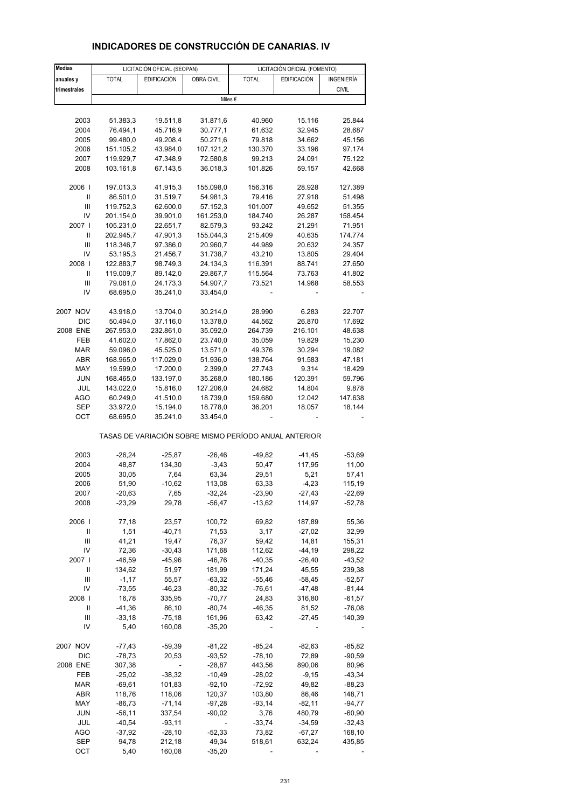| <b>Medias</b>              |                      | LICITACIÓN OFICIAL (SEOPAN) |                |                                                       | LICITACIÓN OFICIAL (FOMENTO) |              |
|----------------------------|----------------------|-----------------------------|----------------|-------------------------------------------------------|------------------------------|--------------|
| anuales y                  | <b>TOTAL</b>         | <b>EDIFICACIÓN</b>          | OBRA CIVIL     | <b>TOTAL</b>                                          | <b>EDIFICACIÓN</b>           | INGENIERÍA   |
| trimestrales               |                      |                             |                |                                                       |                              | <b>CIVIL</b> |
|                            |                      |                             |                | Miles €                                               |                              |              |
|                            |                      |                             |                |                                                       |                              |              |
| 2003                       | 51.383,3             | 19.511,8                    | 31.871,6       | 40.960                                                | 15.116                       | 25.844       |
| 2004                       | 76.494,1             | 45.716,9                    | 30.777,1       | 61.632                                                | 32.945                       | 28.687       |
| 2005                       | 99.480,0             | 49.208,4                    | 50.271,6       | 79.818                                                | 34.662                       | 45.156       |
|                            |                      |                             |                |                                                       |                              |              |
| 2006                       | 151.105,2            | 43.984,0                    | 107.121,2      | 130.370                                               | 33.196                       | 97.174       |
| 2007                       | 119.929,7            | 47.348,9                    | 72.580,8       | 99.213                                                | 24.091                       | 75.122       |
| 2008                       | 103.161,8            | 67.143,5                    | 36.018,3       | 101.826                                               | 59.157                       | 42.668       |
| 2006                       | 197.013,3            | 41.915,3                    | 155.098,0      | 156.316                                               | 28.928                       | 127.389      |
| Ш                          | 86.501,0             | 31.519,7                    | 54.981,3       | 79.416                                                | 27.918                       | 51.498       |
|                            |                      |                             |                |                                                       |                              |              |
| Ш                          | 119.752,3            | 62.600,0                    | 57.152,3       | 101.007                                               | 49.652                       | 51.355       |
| IV                         | 201.154,0            | 39.901,0                    | 161.253,0      | 184.740                                               | 26.287                       | 158.454      |
| 2007 l                     | 105.231,0            | 22.651,7                    | 82.579,3       | 93.242                                                | 21.291                       | 71.951       |
| Ш                          | 202.945,7            | 47.901,3                    | 155.044,3      | 215.409                                               | 40.635                       | 174.774      |
| Ш                          | 118.346,7            | 97.386,0                    | 20.960,7       | 44.989                                                | 20.632                       | 24.357       |
| IV                         | 53.195,3             | 21.456,7                    | 31.738,7       | 43.210                                                | 13.805                       | 29.404       |
| 2008                       | 122.883,7            | 98.749,3                    | 24.134,3       | 116.391                                               | 88.741                       | 27.650       |
| $\ensuremath{\mathsf{II}}$ | 119.009,7            | 89.142,0                    | 29.867,7       | 115.564                                               | 73.763                       | 41.802       |
| Ш                          | 79.081,0             | 24.173,3                    | 54.907,7       | 73.521                                                | 14.968                       | 58.553       |
| IV                         | 68.695,0             | 35.241,0                    | 33.454,0       |                                                       |                              |              |
|                            |                      |                             |                |                                                       |                              |              |
| 2007 NOV                   | 43.918,0             | 13.704,0                    | 30.214,0       | 28.990                                                | 6.283                        | 22.707       |
| <b>DIC</b>                 | 50.494,0             | 37.116,0                    | 13.378,0       | 44.562                                                | 26.870                       | 17.692       |
| 2008 ENE                   | 267.953,0            | 232.861,0                   | 35.092,0       | 264.739                                               | 216.101                      | 48.638       |
| FEB                        | 41.602,0             | 17.862,0                    | 23.740,0       | 35.059                                                | 19.829                       | 15.230       |
| <b>MAR</b>                 | 59.096,0             | 45.525,0                    | 13.571,0       | 49.376                                                | 30.294                       | 19.082       |
| ABR                        | 168.965,0            | 117.029,0                   | 51.936,0       | 138.764                                               | 91.583                       | 47.181       |
| MAY                        | 19.599,0             | 17.200,0                    | 2.399,0        | 27.743                                                | 9.314                        | 18.429       |
| <b>JUN</b>                 | 168.465,0            | 133.197,0                   | 35.268,0       | 180.186                                               | 120.391                      | 59.796       |
| JUL                        | 143.022,0            | 15.816,0                    | 127.206,0      | 24.682                                                | 14.804                       | 9.878        |
|                            |                      |                             |                |                                                       |                              |              |
| AGO                        | 60.249,0             | 41.510,0                    | 18.739,0       | 159.680                                               | 12.042                       | 147.638      |
| SEP<br>OCT                 | 33.972,0<br>68.695,0 | 15.194,0<br>35.241,0        | 18.778,0       | 36.201                                                | 18.057                       | 18.144       |
|                            |                      |                             | 33.454,0       | TASAS DE VARIACIÓN SOBRE MISMO PERÍODO ANUAL ANTERIOR |                              |              |
|                            |                      |                             |                |                                                       |                              |              |
| 2003                       | $-26,24$             | $-25,87$                    | $-26,46$       | -49,82                                                | $-41,45$                     | $-53,69$     |
| 2004                       | 48,87                | 134,30                      | $-3,43$        | 50,47                                                 | 117,95                       | 11,00        |
| 2005                       | 30,05                | 7,64                        | 63,34          | 29,51                                                 | 5,21                         | 57,41        |
| 2006                       | 51,90                | $-10,62$                    | 113,08         | 63,33                                                 | $-4,23$                      | 115,19       |
| 2007                       | $-20,63$             | 7,65                        | $-32,24$       | $-23,90$                                              | $-27,43$                     | $-22,69$     |
| 2008                       | $-23,29$             | 29,78                       | $-56,47$       | $-13,62$                                              | 114,97                       | $-52,78$     |
|                            |                      |                             |                |                                                       |                              |              |
| 2006                       | 77,18                | 23,57                       | 100,72         | 69,82                                                 | 187,89                       | 55,36        |
| Ш                          | 1,51                 | $-40,71$                    | 71,53          | 3,17                                                  | $-27,02$                     | 32,99        |
| Ш                          | 41,21                | 19,47                       | 76,37          | 59,42                                                 | 14,81                        | 155,31       |
| IV                         | 72,36                | $-30,43$                    | 171,68         | 112,62                                                | $-44,19$                     | 298,22       |
| 2007 l                     | $-46,59$             | $-45,96$                    | $-46,76$       | $-40,35$                                              | $-26,40$                     | $-43,52$     |
| Ш                          | 134,62               | 51,97                       | 181,99         | 171,24                                                | 45,55                        | 239,38       |
| Ш                          | $-1,17$              | 55,57                       | $-63,32$       | $-55,46$                                              | $-58,45$                     | $-52,57$     |
| IV                         | $-73,55$             | $-46,23$                    | $-80,32$       | $-76,61$                                              | $-47,48$                     | $-81,44$     |
| 2008                       | 16,78                | 335,95                      | $-70,77$       | 24,83                                                 | 316,80                       | $-61,57$     |
| Ш                          | $-41,36$             | 86,10                       |                | $-46,35$                                              | 81,52                        | $-76,08$     |
|                            |                      |                             | $-80,74$       |                                                       |                              |              |
| Ш                          | $-33,18$             | $-75,18$                    | 161,96         | 63,42                                                 | $-27,45$                     | 140,39       |
| IV                         | 5,40                 | 160,08                      | $-35,20$       |                                                       |                              |              |
| 2007 NOV                   | $-77,43$             | $-59,39$                    | $-81,22$       | $-85,24$                                              | $-82,63$                     | $-85,82$     |
|                            |                      |                             |                |                                                       |                              |              |
| <b>DIC</b>                 | $-78,73$             | 20,53                       | $-93,52$       | $-78,10$                                              | 72,89                        | $-90,59$     |
| 2008 ENE                   | 307,38               |                             | $-28,87$       | 443,56                                                | 890,06                       | 80,96        |
| FEB                        | $-25,02$             | $-38,32$                    | $-10,49$       | $-28,02$                                              | $-9,15$                      | $-43,34$     |
| <b>MAR</b>                 | $-69,61$             | 101,83                      | $-92,10$       | $-72,92$                                              | 49,82                        | $-88,23$     |
| ABR                        | 118,76               | 118,06                      | 120,37         | 103,80                                                | 86,46                        | 148,71       |
| MAY                        | $-86,73$             | $-71,14$                    | $-97,28$       | $-93,14$                                              | $-82,11$                     | $-94,77$     |
| <b>JUN</b>                 | $-56,11$             | 337,54                      | $-90,02$       | 3,76                                                  | 480,79                       | $-60,90$     |
| JUL                        | $-40,54$             | $-93,11$                    | $\blacksquare$ | $-33,74$                                              | $-34,59$                     | $-32,43$     |
| <b>AGO</b>                 | $-37,92$             | $-28,10$                    | $-52,33$       | 73,82                                                 | $-67,27$                     | 168,10       |
| <b>SEP</b>                 | 94,78                | 212,18                      | 49,34          | 518,61                                                | 632,24                       | 435,85       |
| OCT                        | 5,40                 | 160,08                      | $-35,20$       |                                                       |                              |              |
|                            |                      |                             |                |                                                       |                              |              |

#### **INDICADORES DE CONSTRUCCIÓN DE CANARIAS. IV**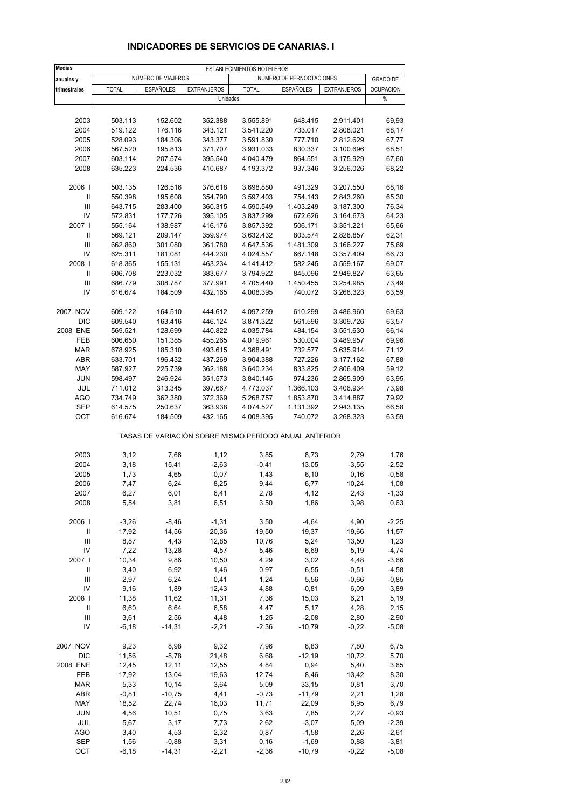| <b>Medias</b>  | ESTABLECIMIENTOS HOTELEROS |                    |                                                       |              |                          |                    |                  |
|----------------|----------------------------|--------------------|-------------------------------------------------------|--------------|--------------------------|--------------------|------------------|
| anuales y      |                            | NÚMERO DE VIAJEROS |                                                       |              | NÚMERO DE PERNOCTACIONES |                    | <b>GRADO DE</b>  |
| trimestrales   | <b>TOTAL</b>               | <b>ESPAÑOLES</b>   | <b>EXTRANJEROS</b>                                    | <b>TOTAL</b> | <b>ESPAÑOLES</b>         | <b>EXTRANJEROS</b> | <b>OCUPACIÓN</b> |
|                |                            |                    | Unidades                                              |              |                          |                    | $\%$             |
|                |                            |                    |                                                       |              |                          |                    |                  |
| 2003           | 503.113                    | 152.602            | 352.388                                               | 3.555.891    | 648.415                  | 2.911.401          | 69,93            |
| 2004           | 519.122                    | 176.116            | 343.121                                               | 3.541.220    | 733.017                  | 2.808.021          | 68,17            |
| 2005           | 528.093                    | 184.306            | 343.377                                               | 3.591.830    | 777.710                  | 2.812.629          | 67,77            |
| 2006           | 567.520                    | 195.813            | 371.707                                               | 3.931.033    | 830.337                  | 3.100.696          | 68,51            |
| 2007           | 603.114                    | 207.574            | 395.540                                               | 4.040.479    | 864.551                  | 3.175.929          | 67,60            |
|                |                            |                    |                                                       |              |                          |                    |                  |
| 2008           | 635.223                    | 224.536            | 410.687                                               | 4.193.372    | 937.346                  | 3.256.026          | 68,22            |
| 2006           | 503.135                    | 126.516            | 376.618                                               | 3.698.880    | 491.329                  | 3.207.550          | 68,16            |
| $\mathbf{I}$   | 550.398                    | 195.608            | 354.790                                               | 3.597.403    | 754.143                  | 2.843.260          | 65,30            |
| $\mathbf{III}$ | 643.715                    | 283.400            | 360.315                                               | 4.590.549    | 1.403.249                | 3.187.300          | 76,34            |
| IV             | 572.831                    | 177.726            | 395.105                                               | 3.837.299    | 672.626                  | 3.164.673          | 64,23            |
| 2007 l         | 555.164                    | 138.987            | 416.176                                               | 3.857.392    | 506.171                  | 3.351.221          | 65,66            |
| Ш              | 569.121                    | 209.147            | 359.974                                               | 3.632.432    | 803.574                  | 2.828.857          | 62,31            |
| $\mathbf{III}$ | 662.860                    | 301.080            | 361.780                                               | 4.647.536    | 1.481.309                | 3.166.227          | 75,69            |
| IV             | 625.311                    | 181.081            | 444.230                                               | 4.024.557    | 667.148                  | 3.357.409          | 66,73            |
| 2008           | 618.365                    | 155.131            | 463.234                                               | 4.141.412    | 582.245                  | 3.559.167          | 69,07            |
| $\mathbf{I}$   | 606.708                    | 223.032            | 383.677                                               | 3.794.922    | 845.096                  | 2.949.827          | 63,65            |
| $\mathbf{III}$ | 686.779                    | 308.787            | 377.991                                               | 4.705.440    | 1.450.455                | 3.254.985          | 73,49            |
|                |                            |                    |                                                       |              |                          |                    |                  |
| IV             | 616.674                    | 184.509            | 432.165                                               | 4.008.395    | 740.072                  | 3.268.323          | 63,59            |
| 2007 NOV       | 609.122                    | 164.510            | 444.612                                               | 4.097.259    | 610.299                  | 3.486.960          | 69,63            |
| DIC            | 609.540                    | 163.416            | 446.124                                               | 3.871.322    | 561.596                  | 3.309.726          | 63,57            |
| 2008 ENE       | 569.521                    | 128.699            | 440.822                                               | 4.035.784    | 484.154                  | 3.551.630          | 66,14            |
| FEB            | 606.650                    | 151.385            | 455.265                                               | 4.019.961    | 530.004                  | 3.489.957          | 69,96            |
| <b>MAR</b>     | 678.925                    | 185.310            | 493.615                                               | 4.368.491    | 732.577                  | 3.635.914          | 71,12            |
| ABR            | 633.701                    | 196.432            | 437.269                                               | 3.904.388    | 727.226                  | 3.177.162          | 67,88            |
| MAY            | 587.927                    | 225.739            | 362.188                                               | 3.640.234    | 833.825                  | 2.806.409          | 59,12            |
| <b>JUN</b>     | 598.497                    | 246.924            | 351.573                                               | 3.840.145    | 974.236                  | 2.865.909          | 63,95            |
| JUL            | 711.012                    | 313.345            | 397.667                                               | 4.773.037    | 1.366.103                | 3.406.934          | 73,98            |
| <b>AGO</b>     | 734.749                    | 362.380            | 372.369                                               | 5.268.757    | 1.853.870                | 3.414.887          | 79,92            |
| <b>SEP</b>     | 614.575                    | 250.637            | 363.938                                               | 4.074.527    | 1.131.392                | 2.943.135          | 66,58            |
| OCT            | 616.674                    | 184.509            | 432.165                                               | 4.008.395    | 740.072                  | 3.268.323          | 63,59            |
|                |                            |                    | TASAS DE VARIACIÓN SOBRE MISMO PERÍODO ANUAL ANTERIOR |              |                          |                    |                  |
| 2003           | 3,12                       | 7,66               | 1,12                                                  | 3,85         | 8,73                     | 2,79               | 1,76             |
| 2004           | 3,18                       | 15,41              | $-2,63$                                               | $-0,41$      | 13,05                    | $-3,55$            | $-2,52$          |
| 2005           | 1,73                       |                    | 0,07                                                  | 1,43         |                          |                    | $-0,58$          |
|                |                            | 4,65               |                                                       |              | 6,10                     | 0, 16              |                  |
| 2006           | 7,47                       | 6,24               | 8,25                                                  | 9,44         | 6,77                     | 10,24              | 1,08             |
| 2007<br>2008   | 6,27<br>5,54               | 6,01<br>3,81       | 6,41<br>6,51                                          | 2,78<br>3,50 | 4,12<br>1,86             | 2,43<br>3,98       | -1,33<br>0,63    |
|                |                            |                    |                                                       |              |                          |                    |                  |
| 2006           | $-3,26$                    | $-8,46$            | $-1,31$                                               | 3,50         | $-4,64$                  | 4,90               | $-2,25$          |
| Ш              | 17,92                      | 14,56              | 20,36                                                 | 19,50        | 19,37                    | 19,66              | 11,57            |
| $\mathsf{III}$ | 8,87                       | 4,43               | 12,85                                                 | 10,76        | 5,24                     | 13,50              | 1,23             |
| IV             | 7,22                       | 13,28              | 4,57                                                  | 5,46         | 6,69                     | 5,19               | $-4,74$          |
| 2007 l         | 10,34                      | 9,86               | 10,50                                                 | 4,29         | 3,02                     | 4,48               | $-3,66$          |
| Ш              | 3,40                       | 6,92               | 1,46                                                  | 0,97         | 6,55                     | $-0,51$            | $-4,58$          |
| Ш              | 2,97                       | 6,24               | 0,41                                                  | 1,24         | 5,56                     | $-0,66$            | $-0,85$          |
| IV             | 9,16                       | 1,89               | 12,43                                                 | 4,88         | $-0,81$                  | 6,09               | 3,89             |
| 2008           | 11,38                      | 11,62              | 11,31                                                 | 7,36         | 15,03                    | 6,21               | 5,19             |
| Ш              | 6,60                       | 6,64               | 6,58                                                  | 4,47         | 5,17                     | 4,28               | 2,15             |
| Ш              | 3,61                       | 2,56               | 4,48                                                  | 1,25         | $-2,08$                  | 2,80               | $-2,90$          |
| IV             | $-6, 18$                   | $-14,31$           | $-2,21$                                               | $-2,36$      | $-10,79$                 | $-0,22$            | $-5,08$          |
|                |                            |                    |                                                       |              |                          |                    |                  |
| 2007 NOV       | 9,23                       | 8,98               | 9,32                                                  | 7,96         | 8,83                     | 7,80               | 6,75             |
| DIC            | 11,56                      | $-8,78$            | 21,48                                                 | 6,68         | $-12,19$                 | 10,72              | 5,70             |
| 2008 ENE       | 12,45                      | 12,11              | 12,55                                                 | 4,84         | 0,94                     | 5,40               | 3,65             |
| FEB            | 17,92                      | 13,04              | 19,63                                                 | 12,74        | 8,46                     | 13,42              | 8,30             |
| <b>MAR</b>     | 5,33                       | 10,14              | 3,64                                                  | 5,09         | 33,15                    | 0,81               | 3,70             |
| ABR            | $-0,81$                    | $-10,75$           | 4,41                                                  | $-0,73$      | $-11,79$                 | 2,21               | 1,28             |
| MAY            | 18,52                      | 22,74              | 16,03                                                 | 11,71        | 22,09                    | 8,95               | 6,79             |
| <b>JUN</b>     | 4,56                       | 10,51              | 0,75                                                  | 3,63         | 7,85                     | 2,27               | $-0,93$          |
| JUL            | 5,67                       | 3,17               | 7,73                                                  | 2,62         | $-3,07$                  | 5,09               | $-2,39$          |
| <b>AGO</b>     | 3,40                       | 4,53               | 2,32                                                  | 0,87         | $-1,58$                  | 2,26               | $-2,61$          |
| <b>SEP</b>     | 1,56                       | $-0,88$            | 3,31                                                  | 0, 16        | $-1,69$                  | 0,88               | $-3,81$          |
| OCT            | $-6,18$                    | $-14,31$           | $-2,21$                                               | $-2,36$      | $-10,79$                 | $-0,22$            | $-5,08$          |

#### **INDICADORES DE SERVICIOS DE CANARIAS. I**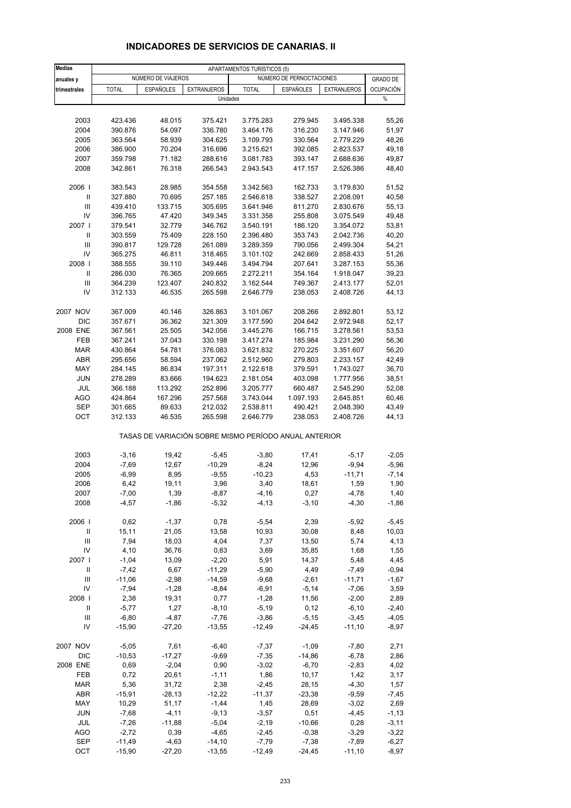| <b>Medias</b>                      | APARTAMENTOS TURÍSTICOS (5) |                    |                    |                                                       |                          |                    |                  |
|------------------------------------|-----------------------------|--------------------|--------------------|-------------------------------------------------------|--------------------------|--------------------|------------------|
| anuales y                          |                             | NÚMERO DE VIAJEROS |                    |                                                       | NÚMERO DE PERNOCTACIONES |                    | <b>GRADO DE</b>  |
| trimestrales                       | <b>TOTAL</b>                | <b>ESPAÑOLES</b>   | <b>EXTRANJEROS</b> | <b>TOTAL</b>                                          | <b>ESPAÑOLES</b>         | <b>EXTRANJEROS</b> | <b>OCUPACIÓN</b> |
|                                    |                             |                    |                    | Unidades                                              |                          |                    | $\%$             |
|                                    |                             |                    |                    |                                                       |                          |                    |                  |
| 2003                               | 423.436                     | 48.015             | 375.421            | 3.775.283                                             | 279.945                  | 3.495.338          | 55,26            |
| 2004                               | 390.876                     | 54.097             | 336.780            | 3.464.176                                             | 316.230                  | 3.147.946          | 51,97            |
| 2005                               | 363.564                     | 58.939             | 304.625            | 3.109.793                                             | 330.564                  | 2.779.229          | 48,26            |
| 2006                               | 386.900                     | 70.204             | 316.696            | 3.215.621                                             | 392.085                  | 2.823.537          | 49,18            |
| 2007                               | 359.798                     | 71.182             | 288.616            | 3.081.783                                             | 393.147                  | 2.688.636          | 49,87            |
| 2008                               | 342.861                     | 76.318             | 266.543            | 2.943.543                                             | 417.157                  | 2.526.386          | 48,40            |
| 2006                               | 383.543                     | 28.985             | 354.558            | 3.342.563                                             | 162.733                  | 3.179.830          | 51,52            |
| Ш                                  | 327.880                     | 70.695             | 257.185            | 2.546.618                                             | 338.527                  | 2.208.091          | 40,58            |
| Ш                                  | 439.410                     | 133.715            | 305.695            | 3.641.946                                             | 811.270                  | 2.830.676          | 55,13            |
| IV                                 | 396.765                     | 47.420             | 349.345            | 3.331.358                                             | 255.808                  | 3.075.549          | 49,48            |
| 2007 l                             | 379.541                     | 32.779             | 346.762            | 3.540.191                                             | 186.120                  | 3.354.072          | 53,81            |
| Ш                                  | 303.559                     | 75.409             | 228.150            | 2.396.480                                             | 353.743                  | 2.042.736          | 40,20            |
| Ш                                  | 390.817                     | 129.728            | 261.089            | 3.289.359                                             | 790.056                  | 2.499.304          | 54,21            |
| IV                                 | 365.275                     | 46.811             | 318.465            | 3.101.102                                             | 242.669                  | 2.858.433          | 51,26            |
| 2008                               | 388.555                     | 39.110             | 349.446            | 3.494.794                                             | 207.641                  | 3.287.153          | 55,36            |
| Ш                                  | 286.030                     | 76.365             | 209.665            | 2.272.211                                             | 354.164                  | 1.918.047          | 39,23            |
| $\mathbf{III}$                     | 364.239                     | 123.407            | 240.832            | 3.162.544                                             | 749.367                  | 2.413.177          | 52,01            |
| IV                                 | 312.133                     | 46.535             | 265.598            | 2.646.779                                             | 238.053                  | 2.408.726          | 44,13            |
| 2007 NOV                           | 367.009                     | 40.146             | 326.863            | 3.101.067                                             | 208.266                  | 2.892.801          | 53,12            |
| DIC                                | 357.671                     | 36.362             | 321.309            | 3.177.590                                             | 204.642                  | 2.972.948          | 52,17            |
| 2008 ENE                           | 367.561                     | 25.505             | 342.056            | 3.445.276                                             | 166.715                  | 3.278.561          | 53,53            |
| FEB                                | 367.241                     | 37.043             | 330.198            | 3.417.274                                             | 185.984                  | 3.231.290          | 56,36            |
| <b>MAR</b>                         | 430.864                     | 54.781             | 376.083            | 3.621.832                                             | 270.225                  | 3.351.607          | 56,20            |
| ABR                                | 295.656                     | 58.594             | 237.062            | 2.512.960                                             | 279.803                  | 2.233.157          | 42,49            |
| MAY                                | 284.145                     | 86.834             | 197.311            | 2.122.618                                             | 379.591                  | 1.743.027          | 36,70            |
| <b>JUN</b>                         | 278.289                     | 83.666             | 194.623            | 2.181.054                                             | 403.098                  | 1.777.956          | 38,51            |
| JUL                                | 366.188                     | 113.292            | 252.896            | 3.205.777                                             | 660.487                  | 2.545.290          | 52,08            |
| <b>AGO</b>                         | 424.864                     | 167.296            | 257.568            | 3.743.044                                             | 1.097.193                | 2.645.851          | 60,46            |
| <b>SEP</b>                         | 301.665                     | 89.633             | 212.032            | 2.538.811                                             | 490.421                  | 2.048.390          | 43,49            |
| OCT                                | 312.133                     | 46.535             | 265.598            | 2.646.779                                             | 238.053                  | 2.408.726          | 44,13            |
|                                    |                             |                    |                    | TASAS DE VARIACIÓN SOBRE MISMO PERÍODO ANUAL ANTERIOR |                          |                    |                  |
| 2003                               | $-3,16$                     | 19,42              | $-5,45$            | $-3,80$                                               | 17,41                    | $-5,17$            | $-2,05$          |
| 2004                               | $-7,69$                     | 12,67              | $-10,29$           | $-8,24$                                               | 12,96                    | $-9,94$            | $-5,96$          |
| 2005                               | $-6,99$                     | 8,95               | $-9,55$            | $-10,23$                                              | 4,53                     | $-11,71$           | $-7,14$          |
| 2006                               | 6,42                        | 19,11              | 3,96               | 3,40                                                  | 18,61                    | 1,59               | 1,90             |
| 2007                               | $-7,00$                     | 1,39               | -8,87              | -4,16                                                 | 0,27                     | -4,78              | 1,40             |
| 2008                               | $-4,57$                     | $-1,86$            | $-5,32$            | $-4, 13$                                              | $-3,10$                  | $-4,30$            | $-1,86$          |
| 2006                               | 0,62                        | $-1,37$            | 0,78               | $-5,54$                                               | 2,39                     | $-5,92$            | $-5,45$          |
| $\ensuremath{\mathsf{II}}$         | 15, 11                      | 21,05              | 13,58              | 10,93                                                 | 30,08                    | 8,48               | 10,03            |
| $\ensuremath{\mathsf{III}}\xspace$ | 7,94                        | 18,03              | 4,04               | 7,37                                                  | 13,50                    | 5,74               | 4,13             |
| IV                                 | 4,10                        | 36,76              | 0,83               | 3,69                                                  | 35,85                    | 1,68               | 1,55             |
| 2007                               | $-1,04$                     | 13,09              | $-2,20$            | 5,91                                                  | 14,37                    | 5,48               | 4,45             |
| Ш                                  | $-7,42$                     | 6,67               | $-11,29$           | $-5,90$                                               | 4,49                     | $-7,49$            | $-0,94$          |
| $\ensuremath{\mathsf{III}}\xspace$ | $-11,06$                    | $-2,98$            | $-14,59$           | $-9,68$                                               | $-2,61$                  | $-11,71$           | $-1,67$          |
| IV                                 | $-7,94$                     | $-1,28$            | $-8,84$            | $-6,91$                                               | $-5,14$                  | $-7,06$            | 3,59             |
| 2008                               | 2,38                        | 19,31              | 0,77               | $-1,28$                                               | 11,56                    | $-2,00$            | 2,89             |
| Ш                                  | $-5,77$                     | 1,27               | $-8,10$            | $-5,19$                                               | 0,12                     | $-6,10$            | $-2,40$          |
| Ш                                  | $-6,80$                     | $-4,87$            | $-7,76$            | $-3,86$                                               | $-5,15$                  | $-3,45$            | $-4,05$          |
| IV                                 | $-15,90$                    | $-27,20$           | $-13,55$           | $-12,49$                                              | $-24,45$                 | $-11,10$           | $-8,97$          |
| 2007 NOV                           | $-5,05$                     | 7,61               | $-6,40$            | $-7,37$                                               | $-1,09$                  | $-7,80$            | 2,71             |
| DIC                                | $-10,53$                    | $-17,27$           | $-9,69$            | $-7,35$                                               | $-14,86$                 | $-6,78$            | 2,86             |
| 2008 ENE                           | 0,69                        | $-2,04$            | 0,90               | $-3,02$                                               | $-6,70$                  | $-2,83$            | 4,02             |
| FEB                                | 0,72                        | 20,61              | $-1, 11$           | 1,86                                                  | 10, 17                   | 1,42               | 3,17             |
| MAR                                | 5,36                        | 31,72              | 2,38               | $-2,45$                                               | 28,15                    | $-4,30$            | 1,57             |
| ABR                                | $-15,91$                    | $-28,13$           | $-12,22$           | $-11,37$                                              | $-23,38$                 | $-9,59$            | $-7,45$          |
| MAY                                | 10,29                       | 51,17              | $-1,44$            | 1,45                                                  | 28,69                    | $-3,02$            | 2,69             |
| JUN                                | $-7,68$                     | $-4, 11$           | $-9,13$            | $-3,57$                                               | 0,51                     | $-4,45$            | $-1, 13$         |
| JUL                                | $-7,26$                     | $-11,88$           | $-5,04$            | $-2,19$                                               | $-10,66$                 | 0,28               | $-3,11$          |
| <b>AGO</b>                         | $-2,72$                     | 0,39               | $-4,65$            | $-2,45$                                               | $-0,38$                  | $-3,29$            | $-3,22$          |
| <b>SEP</b>                         | $-11,49$                    | $-4,63$            | $-14,10$           | $-7,79$                                               | $-7,38$                  | $-7,89$            | $-6,27$          |
| OCT                                | $-15,90$                    | $-27,20$           | $-13,55$           | $-12,49$                                              | $-24,45$                 | $-11,10$           | $-8,97$          |

## **INDICADORES DE SERVICIOS DE CANARIAS. II**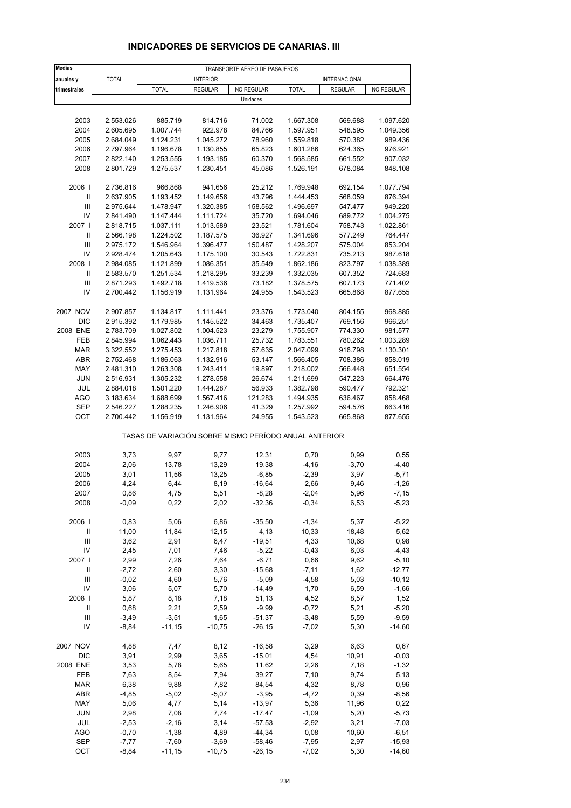| <b>Medias</b>                      | TRANSPORTE AÉREO DE PASAJEROS |                 |                 |                      |                                                       |                |                    |  |
|------------------------------------|-------------------------------|-----------------|-----------------|----------------------|-------------------------------------------------------|----------------|--------------------|--|
| anuales y                          | <b>TOTAL</b>                  |                 | <b>INTERIOR</b> |                      | <b>INTERNACIONAL</b>                                  |                |                    |  |
| trimestrales                       |                               | <b>TOTAL</b>    | <b>REGULAR</b>  | NO REGULAR           | <b>TOTAL</b>                                          | <b>REGULAR</b> | NO REGULAR         |  |
|                                    |                               |                 |                 | Unidades             |                                                       |                |                    |  |
|                                    |                               |                 |                 |                      |                                                       |                |                    |  |
| 2003                               | 2.553.026                     | 885.719         | 814.716         | 71.002               | 1.667.308                                             | 569.688        | 1.097.620          |  |
| 2004                               | 2.605.695                     | 1.007.744       | 922.978         | 84.766               | 1.597.951                                             | 548.595        | 1.049.356          |  |
| 2005                               | 2.684.049                     | 1.124.231       | 1.045.272       | 78.960               | 1.559.818                                             | 570.382        | 989.436            |  |
| 2006                               | 2.797.964                     | 1.196.678       | 1.130.855       | 65.823               | 1.601.286                                             | 624.365        | 976.921            |  |
| 2007                               | 2.822.140                     | 1.253.555       | 1.193.185       | 60.370               | 1.568.585                                             | 661.552        | 907.032            |  |
| 2008                               | 2.801.729                     | 1.275.537       | 1.230.451       | 45.086               | 1.526.191                                             | 678.084        | 848.108            |  |
| 2006                               | 2.736.816                     | 966.868         | 941.656         | 25.212               | 1.769.948                                             | 692.154        | 1.077.794          |  |
| $\mathbf{II}$                      | 2.637.905                     | 1.193.452       | 1.149.656       | 43.796               | 1.444.453                                             | 568.059        | 876.394            |  |
| Ш                                  | 2.975.644                     | 1.478.947       | 1.320.385       | 158.562              | 1.496.697                                             | 547.477        | 949.220            |  |
| IV                                 | 2.841.490                     | 1.147.444       | 1.111.724       | 35.720               | 1.694.046                                             | 689.772        | 1.004.275          |  |
| 2007                               | 2.818.715                     | 1.037.111       | 1.013.589       | 23.521               | 1.781.604                                             | 758.743        | 1.022.861          |  |
| Ш                                  | 2.566.198                     | 1.224.502       | 1.187.575       | 36.927               | 1.341.696                                             | 577.249        | 764.447            |  |
| Ш                                  | 2.975.172                     | 1.546.964       | 1.396.477       | 150.487              | 1.428.207                                             | 575.004        | 853.204            |  |
| IV                                 | 2.928.474                     | 1.205.643       | 1.175.100       | 30.543               | 1.722.831                                             | 735.213        | 987.618            |  |
| 2008                               | 2.984.085                     | 1.121.899       | 1.086.351       | 35.549               | 1.862.186                                             | 823.797        | 1.038.389          |  |
| Ш                                  | 2.583.570                     | 1.251.534       | 1.218.295       | 33.239               | 1.332.035                                             | 607.352        | 724.683            |  |
| $\ensuremath{\mathsf{III}}\xspace$ | 2.871.293                     | 1.492.718       | 1.419.536       | 73.182               | 1.378.575                                             | 607.173        | 771.402            |  |
| IV                                 | 2.700.442                     | 1.156.919       | 1.131.964       | 24.955               | 1.543.523                                             | 665.868        | 877.655            |  |
| 2007 NOV                           | 2.907.857                     | 1.134.817       | 1.111.441       | 23.376               | 1.773.040                                             | 804.155        | 968.885            |  |
| <b>DIC</b>                         | 2.915.392                     | 1.179.985       | 1.145.522       | 34.463               | 1.735.407                                             | 769.156        | 966.251            |  |
| 2008 ENE                           | 2.783.709                     | 1.027.802       | 1.004.523       | 23.279               | 1.755.907                                             | 774.330        | 981.577            |  |
| FEB                                | 2.845.994                     | 1.062.443       | 1.036.711       | 25.732               | 1.783.551                                             | 780.262        | 1.003.289          |  |
| <b>MAR</b>                         | 3.322.552                     | 1.275.453       | 1.217.818       | 57.635               | 2.047.099                                             | 916.798        | 1.130.301          |  |
| <b>ABR</b>                         | 2.752.468                     | 1.186.063       | 1.132.916       | 53.147               | 1.566.405                                             | 708.386        | 858.019            |  |
| MAY                                | 2.481.310                     | 1.263.308       | 1.243.411       | 19.897               | 1.218.002                                             | 566.448        | 651.554            |  |
| <b>JUN</b>                         | 2.516.931                     | 1.305.232       | 1.278.558       | 26.674               | 1.211.699                                             | 547.223        | 664.476            |  |
| JUL                                | 2.884.018                     | 1.501.220       | 1.444.287       | 56.933               | 1.382.798                                             | 590.477        | 792.321            |  |
| <b>AGO</b>                         | 3.183.634                     | 1.688.699       | 1.567.416       | 121.283              | 1.494.935                                             | 636.467        | 858.468            |  |
| SEP                                | 2.546.227                     | 1.288.235       | 1.246.906       | 41.329               | 1.257.992                                             | 594.576        | 663.416            |  |
| OCT                                | 2.700.442                     | 1.156.919       | 1.131.964       | 24.955               | 1.543.523                                             | 665.868        | 877.655            |  |
|                                    |                               |                 |                 |                      | TASAS DE VARIACIÓN SOBRE MISMO PERÍODO ANUAL ANTERIOR |                |                    |  |
| 2003                               | 3,73                          | 9,97            | 9,77            | 12,31                | 0,70                                                  | 0,99           | 0,55               |  |
| 2004                               | 2,06                          | 13,78           | 13,29           | 19,38                | $-4, 16$                                              | $-3,70$        | $-4,40$            |  |
| 2005                               | 3,01                          | 11,56           | 13,25           | $-6,85$              | $-2,39$                                               | 3,97           | $-5,71$            |  |
| 2006                               | 4,24                          | 6,44            | 8,19            | $-16,64$             | 2,66                                                  | 9,46           | $-1,26$            |  |
| 2007                               | 0,86                          | 4,75            | 5,51            | $-8,28$              | $-2,04$                                               | 5,96           | -7,15              |  |
| 2008                               | $-0,09$                       | 0,22            | 2,02            | $-32,36$             | $-0,34$                                               | 6,53           | $-5,23$            |  |
| 2006                               | 0,83                          | 5,06            | 6,86            | $-35,50$             | $-1,34$                                               | 5,37           | $-5,22$            |  |
| $\ensuremath{\mathsf{II}}$         | 11,00                         | 11,84           | 12,15           | 4,13                 | 10,33                                                 | 18,48          | 5,62               |  |
| $\ensuremath{\mathsf{III}}\xspace$ | 3,62                          | 2,91            | 6,47            | $-19,51$             | 4,33                                                  | 10,68          | 0,98               |  |
| IV                                 | 2,45                          | 7,01            | 7,46            | $-5,22$              | $-0,43$                                               | 6,03           | $-4,43$            |  |
| 2007 l                             | 2,99                          | 7,26            | 7,64            | $-6,71$              | 0,66                                                  | 9,62           | $-5,10$            |  |
| Ш                                  | $-2,72$                       | 2,60            | 3,30            | $-15,68$             | $-7,11$                                               | 1,62           | $-12,77$           |  |
| $\ensuremath{\mathsf{III}}\xspace$ | $-0,02$                       | 4,60            | 5,76            | $-5,09$              | $-4,58$                                               | 5,03           | $-10,12$           |  |
| IV                                 | 3,06                          | 5,07            | 5,70            | $-14,49$             | 1,70                                                  | 6,59           | $-1,66$            |  |
| 2008                               | 5,87                          | 8,18            | 7,18            | 51,13                | 4,52                                                  | 8,57           | 1,52               |  |
| Ш                                  | 0,68                          | 2,21            | 2,59            | $-9,99$              | $-0,72$                                               | 5,21           | $-5,20$            |  |
| Ш                                  | $-3,49$                       | $-3,51$         | 1,65            | $-51,37$             | $-3,48$                                               | 5,59           | $-9,59$            |  |
| IV                                 | $-8,84$                       | $-11,15$        | $-10,75$        | $-26, 15$            | $-7,02$                                               | 5,30           | $-14,60$           |  |
| 2007 NOV                           | 4,88                          | 7,47            | 8,12            | $-16,58$             | 3,29                                                  | 6,63           | 0,67               |  |
| DIC                                | 3,91                          | 2,99            | 3,65            | $-15,01$             | 4,54                                                  | 10,91          | $-0,03$            |  |
| 2008 ENE                           | 3,53                          | 5,78            | 5,65            | 11,62                | 2,26                                                  | 7,18           | $-1,32$            |  |
| FEB                                | 7,63                          | 8,54            | 7,94            | 39,27                | 7,10                                                  | 9,74           | 5,13               |  |
| <b>MAR</b>                         | 6,38                          | 9,88            | 7,82            | 84,54                | 4,32                                                  | 8,78           | 0,96               |  |
| ABR                                | $-4,85$                       | $-5,02$         | $-5,07$         | $-3,95$              | $-4,72$                                               | 0,39           | $-8,56$            |  |
| MAY                                | 5,06                          | 4,77            | 5,14            | $-13,97$             | 5,36                                                  | 11,96          | 0,22               |  |
| JUN<br>JUL                         | 2,98<br>$-2,53$               | 7,08<br>$-2,16$ | 7,74<br>3,14    | $-17,47$<br>$-57,53$ | $-1,09$<br>$-2,92$                                    | 5,20<br>3,21   | $-5,73$<br>$-7,03$ |  |
|                                    |                               |                 |                 |                      |                                                       |                |                    |  |

#### **INDICADORES DE SERVICIOS DE CANARIAS. III**

 AGO -0,70 -1,38 4,89 -44,34 0,08 10,60 -6,51 SEP -7,77 -7,60 -3,69 -58,46 -7,95 2,97 -15,93 OCT -8,84 -11,15 -10,75 -26,15 -7,02 5,30 -14,60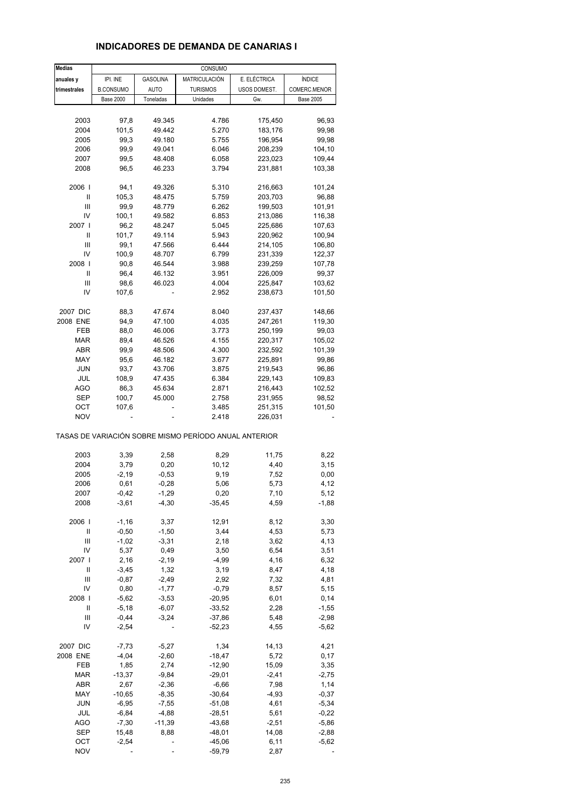#### **INDICADORES DE DEMANDA DE CANARIAS I**

| <b>Medias</b>                      |                  |                 | CONSUMO                                               |              |                  |
|------------------------------------|------------------|-----------------|-------------------------------------------------------|--------------|------------------|
| anuales y                          | IPI. INE         | <b>GASOLINA</b> | MATRICULACIÓN                                         | E. ELÉCTRICA | ÍNDICE           |
| trimestrales                       | <b>B.CONSUMO</b> | <b>AUTO</b>     | <b>TURISMOS</b>                                       | USOS DOMEST. | COMERC.MENOR     |
|                                    | <b>Base 2000</b> | Toneladas       | Unidades                                              | Gw.          | <b>Base 2005</b> |
|                                    |                  |                 |                                                       |              |                  |
|                                    |                  |                 |                                                       |              |                  |
| 2003                               | 97,8             | 49.345          | 4.786                                                 | 175,450      | 96,93            |
| 2004                               | 101,5            | 49.442          | 5.270                                                 | 183,176      | 99,98            |
| 2005                               | 99,3             | 49.180          | 5.755                                                 | 196,954      | 99,98            |
| 2006                               | 99,9             | 49.041          | 6.046                                                 | 208,239      | 104,10           |
| 2007                               | 99,5             | 48.408          | 6.058                                                 | 223,023      | 109,44           |
| 2008                               | 96,5             | 46.233          | 3.794                                                 | 231,881      | 103,38           |
|                                    |                  |                 |                                                       |              |                  |
| 2006                               | 94,1             | 49.326          | 5.310                                                 | 216,663      | 101,24           |
| Ш                                  | 105,3            | 48.475          | 5.759                                                 | 203,703      | 96,88            |
| Ш                                  | 99,9             | 48.779          | 6.262                                                 | 199,503      | 101,91           |
| IV                                 | 100,1            | 49.582          | 6.853                                                 | 213,086      | 116,38           |
| 2007 l                             | 96,2             | 48.247          | 5.045                                                 | 225,686      | 107,63           |
| Ш                                  | 101,7            | 49.114          | 5.943                                                 | 220,962      | 100,94           |
| Ш                                  | 99,1             | 47.566          | 6.444                                                 | 214,105      | 106,80           |
| IV                                 | 100,9            | 48.707          | 6.799                                                 | 231,339      | 122,37           |
| 2008                               | 90,8             | 46.544          | 3.988                                                 | 239,259      | 107,78           |
| Ш                                  | 96,4             | 46.132          | 3.951                                                 | 226,009      | 99,37            |
| Ш                                  | 98,6             | 46.023          | 4.004                                                 | 225,847      | 103,62           |
|                                    |                  |                 |                                                       |              |                  |
| IV                                 | 107,6            |                 | 2.952                                                 | 238,673      | 101,50           |
|                                    |                  |                 |                                                       |              |                  |
| 2007 DIC                           | 88,3             | 47.674          | 8.040                                                 | 237,437      | 148,66           |
| 2008 ENE                           | 94,9             | 47.100          | 4.035                                                 | 247,261      | 119,30           |
| FEB                                | 88,0             | 46.006          | 3.773                                                 | 250,199      | 99,03            |
| <b>MAR</b>                         | 89,4             | 46.526          | 4.155                                                 | 220,317      | 105,02           |
| ABR                                | 99,9             | 48.506          | 4.300                                                 | 232,592      | 101,39           |
| MAY                                | 95,6             | 46.182          | 3.677                                                 | 225,891      | 99,86            |
| <b>JUN</b>                         | 93,7             | 43.706          | 3.875                                                 | 219,543      | 96,86            |
| JUL                                | 108,9            | 47.435          | 6.384                                                 | 229,143      | 109,83           |
| <b>AGO</b>                         | 86,3             | 45.634          | 2.871                                                 | 216,443      | 102,52           |
| SEP                                | 100,7            | 45.000          | 2.758                                                 | 231,955      | 98,52            |
| ост                                | 107,6            |                 | 3.485                                                 | 251,315      | 101,50           |
| <b>NOV</b>                         |                  |                 | 2.418                                                 | 226,031      |                  |
|                                    |                  |                 | TASAS DE VARIACIÓN SOBRE MISMO PERÍODO ANUAL ANTERIOR |              |                  |
| 2003                               | 3,39             | 2,58            | 8,29                                                  | 11,75        | 8,22             |
| 2004                               | 3,79             | 0,20            | 10,12                                                 | 4,40         | 3,15             |
| 2005                               | $-2,19$          | $-0,53$         | 9,19                                                  | 7,52         | 0,00             |
| 2006                               | 0,61             | $-0,28$         | 5,06                                                  | 5,73         | 4,12             |
|                                    | $-0,42$          | $-1,29$         | 0,20                                                  | 7,10         | 5,12             |
| 2007                               |                  |                 |                                                       |              |                  |
| 2008                               | $-3,61$          | $-4,30$         | $-35,45$                                              | 4,59         | $-1,88$          |
| 2006                               | $-1,16$          | 3,37            | 12,91                                                 | 8,12         | 3,30             |
| Ш                                  | $-0,50$          | $-1,50$         | 3,44                                                  | 4,53         | 5,73             |
| $\ensuremath{\mathsf{III}}\xspace$ | $-1,02$          | $-3,31$         | 2,18                                                  | 3,62         | 4,13             |
| IV                                 | 5,37             | 0,49            | 3,50                                                  | 6,54         | 3,51             |
| 2007 l                             | 2,16             | $-2,19$         | $-4,99$                                               | 4,16         | 6,32             |
| Ш                                  | $-3,45$          | 1,32            | 3,19                                                  | 8,47         | 4,18             |
| Ш                                  | $-0,87$          | $-2,49$         | 2,92                                                  | 7,32         | 4,81             |
| IV                                 | 0,80             | $-1,77$         | $-0,79$                                               | 8,57         | 5,15             |
| 2008                               | $-5,62$          | $-3,53$         | $-20,95$                                              | 6,01         | 0,14             |
| Ш                                  |                  |                 |                                                       | 2,28         | $-1,55$          |
|                                    | $-5,18$          | $-6,07$         | $-33,52$                                              |              |                  |
| Ш                                  | $-0,44$          | $-3,24$         | $-37,86$                                              | 5,48         | $-2,98$          |
| IV                                 | $-2,54$          |                 | $-52,23$                                              | 4,55         | $-5,62$          |
| 2007 DIC                           | $-7,73$          | $-5,27$         | 1,34                                                  | 14,13        | 4,21             |
| 2008 ENE                           | $-4,04$          | $-2,60$         | $-18,47$                                              | 5,72         | 0,17             |
| FEB                                | 1,85             | 2,74            | $-12,90$                                              | 15,09        | 3,35             |
| MAR                                | $-13,37$         | $-9,84$         | $-29,01$                                              | $-2,41$      | $-2,75$          |
| ABR                                | 2,67             | $-2,36$         | $-6,66$                                               | 7,98         | 1,14             |
| MAY                                | $-10,65$         | $-8,35$         | $-30,64$                                              | $-4,93$      | $-0,37$          |
| <b>JUN</b>                         | $-6,95$          | $-7,55$         | $-51,08$                                              | 4,61         | $-5,34$          |
|                                    |                  |                 |                                                       |              |                  |
| JUL                                | $-6,84$          | $-4,88$         | $-28,51$                                              | 5,61         | $-0,22$          |
| <b>AGO</b>                         | $-7,30$          | $-11,39$        | $-43,68$                                              | $-2,51$      | $-5,86$          |
| <b>SEP</b>                         | 15,48            | 8,88            | $-48,01$                                              | 14,08        | $-2,88$          |
| OCT                                | $-2,54$          |                 | $-45,06$                                              | 6,11         | $-5,62$          |
| <b>NOV</b>                         |                  |                 | $-59,79$                                              | 2,87         |                  |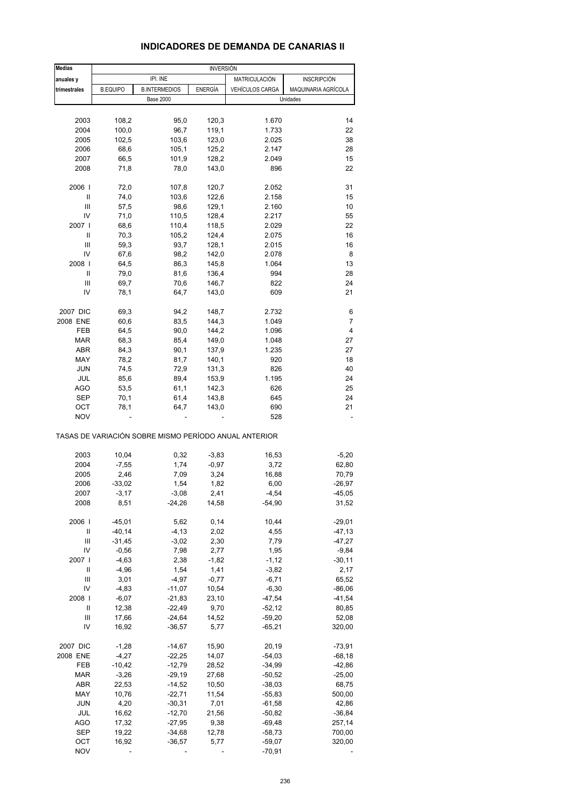#### **INDICADORES DE DEMANDA DE CANARIAS II**

| <b>Medias</b>     | <b>INVERSIÓN</b> |                      |                |                                                       |                     |
|-------------------|------------------|----------------------|----------------|-------------------------------------------------------|---------------------|
| anuales y         |                  | IPI. INE             |                | MATRICULACIÓN                                         | <b>INSCRIPCIÓN</b>  |
| trimestrales      | <b>B.EQUIPO</b>  | <b>B.INTERMEDIOS</b> | <b>ENERGÍA</b> | <b>VEHÍCULOS CARGA</b>                                | MAQUINARIA AGRÍCOLA |
|                   |                  | <b>Base 2000</b>     |                |                                                       | Unidades            |
|                   |                  |                      |                |                                                       |                     |
| 2003              | 108,2            | 95,0                 | 120,3          | 1.670                                                 | 14                  |
| 2004              | 100,0            | 96,7                 | 119,1          | 1.733                                                 | 22                  |
| 2005              | 102,5            | 103,6                | 123,0          | 2.025                                                 | 38                  |
| 2006              | 68,6             | 105,1                | 125,2          | 2.147                                                 | 28                  |
| 2007              | 66,5             | 101,9                | 128,2          | 2.049                                                 | 15                  |
| 2008              | 71,8             | 78,0                 | 143,0          | 896                                                   | 22                  |
|                   |                  |                      |                |                                                       |                     |
| 2006              | 72,0             | 107,8                | 120,7          | 2.052                                                 | 31                  |
| Ш                 | 74,0             | 103,6                | 122,6          | 2.158                                                 | 15                  |
| Ш                 | 57,5             | 98,6                 | 129,1          | 2.160                                                 | 10                  |
| IV                | 71,0             | 110,5                | 128,4          | 2.217                                                 | 55                  |
| 2007 l            | 68,6             | 110,4                | 118,5          | 2.029                                                 | 22                  |
| Ш                 | 70,3             | 105,2                | 124,4          | 2.075                                                 | 16                  |
| Ш                 | 59,3             | 93,7                 | 128,1          | 2.015                                                 | 16                  |
| IV                | 67,6             | 98,2                 | 142,0          | 2.078                                                 | 8                   |
| 2008              | 64,5             | 86,3                 | 145,8          | 1.064                                                 | 13                  |
| Ш                 | 79,0             | 81,6                 | 136,4          | 994                                                   | 28                  |
| Ш                 | 69,7             | 70,6                 | 146,7          | 822                                                   | 24                  |
| IV                | 78,1             | 64,7                 | 143,0          | 609                                                   | 21                  |
| 2007 DIC          | 69,3             | 94,2                 | 148,7          | 2.732                                                 | 6                   |
| 2008 ENE          | 60,6             | 83,5                 | 144,3          | 1.049                                                 | 7                   |
| FEB               | 64,5             |                      | 144,2          | 1.096                                                 | 4                   |
| MAR               | 68,3             | 90,0                 |                | 1.048                                                 | 27                  |
|                   | 84,3             | 85,4                 | 149,0          | 1.235                                                 | 27                  |
| ABR<br>MAY        | 78,2             | 90,1                 | 137,9          | 920                                                   | 18                  |
|                   |                  | 81,7                 | 140,1          |                                                       |                     |
| <b>JUN</b>        | 74,5             | 72,9                 | 131,3          | 826                                                   | 40                  |
| JUL               | 85,6             | 89,4                 | 153,9          | 1.195                                                 | 24                  |
| <b>AGO</b>        | 53,5             | 61,1                 | 142,3          | 626                                                   | 25                  |
| <b>SEP</b>        | 70,1             | 61,4                 | 143,8          | 645                                                   | 24<br>21            |
| OCT<br><b>NOV</b> | 78,1             | 64,7                 | 143,0          | 690<br>528                                            |                     |
|                   |                  |                      |                | TASAS DE VARIACIÓN SOBRE MISMO PERÍODO ANUAL ANTERIOR |                     |
| 2003              | 10,04            | 0,32                 | $-3,83$        | 16,53                                                 | $-5,20$             |
| 2004              | $-7,55$          | 1,74                 | $-0,97$        | 3,72                                                  | 62,80               |
| 2005              | 2,46             | 7,09                 | 3,24           | 16,88                                                 | 70,79               |
| 2006              | $-33,02$         | 1,54                 | 1,82           | 6,00                                                  | $-26,97$            |
| 2007              | $-3,17$          | $-3,08$              | 2,41           | $-4,54$                                               | $-45,05$            |
| 2008              | 8,51             | $-24,26$             | 14,58          | $-54,90$                                              | 31,52               |
|                   |                  |                      |                |                                                       |                     |
| 2006              | $-45,01$         | 5,62                 | 0,14           | 10,44                                                 | $-29,01$            |
| Ш                 | $-40,14$         | $-4, 13$             | 2,02           | 4,55                                                  | $-47,13$            |
| Ш                 | $-31,45$         | $-3,02$              | 2,30           | 7,79                                                  | $-47,27$            |
| IV                | $-0,56$          | 7,98                 | 2,77           | 1,95                                                  | $-9,84$             |
| 2007 l            | $-4,63$          | 2,38                 | $-1,82$        | $-1, 12$                                              | $-30,11$            |
| Ш                 | $-4,96$          | 1,54                 | 1,41           | $-3,82$                                               | 2,17                |
| Ш                 | 3,01             | $-4,97$              | $-0,77$        | $-6,71$                                               | 65,52               |
| IV                | $-4,83$          | $-11,07$             | 10,54          | $-6,30$                                               | $-86,06$            |
| 2008              | $-6,07$          | $-21,83$             | 23,10          | $-47,54$                                              | $-41,54$            |
| Ш                 | 12,38            | $-22,49$             | 9,70           | $-52,12$                                              | 80,85               |
| Ш                 | 17,66            | $-24,64$             | 14,52          | $-59,20$                                              | 52,08               |
| IV                | 16,92            | $-36,57$             | 5,77           | $-65,21$                                              | 320,00              |
|                   |                  |                      |                |                                                       |                     |
| 2007 DIC          | $-1,28$          | $-14,67$             | 15,90          | 20,19                                                 | $-73,91$            |
| 2008 ENE          | $-4,27$          | $-22,25$             | 14,07          | $-54,03$                                              | $-68,18$            |
| FEB               | $-10,42$         | $-12,79$             | 28,52          | $-34,99$                                              | $-42,86$            |
| MAR               | $-3,26$          | $-29,19$             | 27,68          | $-50,52$                                              | $-25,00$            |
| ABR               | 22,53            | $-14,52$             | 10,50          | $-38,03$                                              | 68,75               |
| MAY               | 10,76            | $-22,71$             | 11,54          | $-55,83$                                              | 500,00              |
| <b>JUN</b>        | 4,20             | $-30,31$             | 7,01           | $-61,58$                                              | 42,86               |
| JUL               | 16,62            | $-12,70$             | 21,56          | $-50,82$                                              | $-36,84$            |
| <b>AGO</b>        | 17,32            | $-27,95$             | 9,38           | $-69,48$                                              | 257,14              |
| <b>SEP</b>        | 19,22            | $-34,68$             | 12,78          | $-58,73$                                              | 700,00              |
| OCT               | 16,92            | $-36,57$             | 5,77           | $-59,07$                                              | 320,00              |
| <b>NOV</b>        |                  |                      |                | $-70,91$                                              |                     |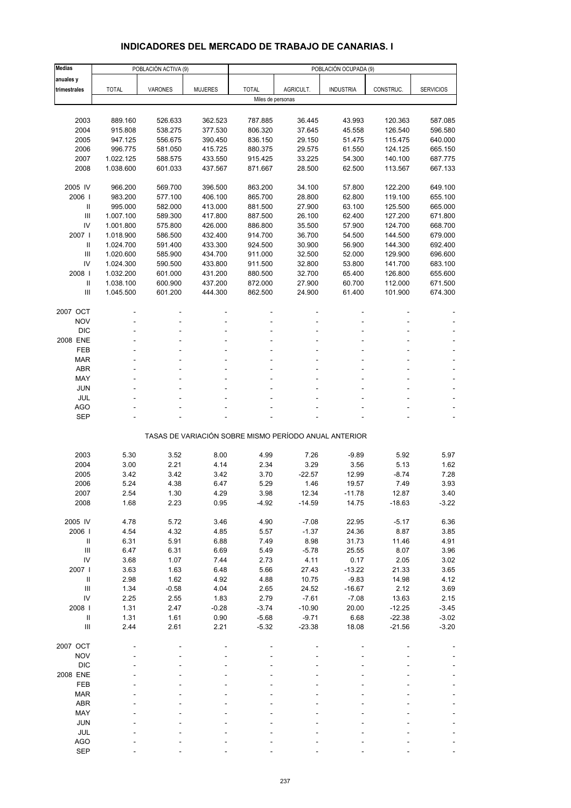# **INDICADORES DEL MERCADO DE TRABAJO DE CANARIAS. I**

| <b>Medias</b>                           |                        | POBLACIÓN ACTIVA (9) |                    | POBLACIÓN OCUPADA (9) |                  |                                                       |                    |                    |  |
|-----------------------------------------|------------------------|----------------------|--------------------|-----------------------|------------------|-------------------------------------------------------|--------------------|--------------------|--|
| anuales y                               |                        |                      |                    |                       |                  |                                                       |                    |                    |  |
| trimestrales                            | <b>TOTAL</b>           | <b>VARONES</b>       | <b>MUJERES</b>     | <b>TOTAL</b>          | AGRICULT.        | <b>INDUSTRIA</b>                                      | CONSTRUC.          | <b>SERVICIOS</b>   |  |
|                                         |                        |                      |                    | Miles de personas     |                  |                                                       |                    |                    |  |
|                                         |                        | 526.633              |                    |                       | 36.445           |                                                       |                    |                    |  |
| 2003<br>2004                            | 889.160<br>915.808     | 538.275              | 362.523<br>377.530 | 787.885<br>806.320    | 37.645           | 43.993<br>45.558                                      | 120.363<br>126.540 | 587.085<br>596.580 |  |
| 2005                                    | 947.125                | 556.675              | 390.450            | 836.150               | 29.150           | 51.475                                                | 115.475            | 640.000            |  |
| 2006                                    | 996.775                | 581.050              | 415.725            | 880.375               | 29.575           | 61.550                                                | 124.125            | 665.150            |  |
| 2007                                    | 1.022.125              | 588.575              | 433.550            | 915.425               | 33.225           | 54.300                                                | 140.100            | 687.775            |  |
| 2008                                    | 1.038.600              | 601.033              | 437.567            | 871.667               | 28.500           | 62.500                                                | 113.567            | 667.133            |  |
|                                         |                        |                      |                    |                       |                  |                                                       |                    |                    |  |
| 2005 IV                                 | 966.200                | 569.700              | 396.500            | 863.200               | 34.100           | 57.800                                                | 122.200            | 649.100            |  |
| 2006                                    | 983.200                | 577.100              | 406.100            | 865.700               | 28.800           | 62.800                                                | 119.100            | 655.100            |  |
| Ш                                       | 995.000                | 582.000              | 413.000            | 881.500               | 27.900           | 63.100                                                | 125.500            | 665.000            |  |
| $\mathbf{III}$                          | 1.007.100              | 589.300              | 417.800            | 887.500               | 26.100           | 62.400                                                | 127.200            | 671.800            |  |
| IV                                      | 1.001.800              | 575.800              | 426.000            | 886.800               | 35.500           | 57.900                                                | 124.700            | 668.700            |  |
| 2007 l                                  | 1.018.900              | 586.500              | 432.400            | 914.700               | 36.700           | 54.500                                                | 144.500            | 679.000            |  |
| Ш<br>$\ensuremath{\mathsf{III}}\xspace$ | 1.024.700<br>1.020.600 | 591.400<br>585.900   | 433.300<br>434.700 | 924.500<br>911.000    | 30.900<br>32.500 | 56.900<br>52.000                                      | 144.300<br>129.900 | 692.400<br>696.600 |  |
| IV                                      | 1.024.300              | 590.500              | 433.800            | 911.500               | 32.800           | 53.800                                                | 141.700            | 683.100            |  |
| 2008                                    | 1.032.200              | 601.000              | 431.200            | 880.500               | 32.700           | 65.400                                                | 126.800            | 655.600            |  |
| $\mathbf{II}$                           | 1.038.100              | 600.900              | 437.200            | 872.000               | 27.900           | 60.700                                                | 112.000            | 671.500            |  |
| Ш                                       | 1.045.500              | 601.200              | 444.300            | 862.500               | 24.900           | 61.400                                                | 101.900            | 674.300            |  |
|                                         |                        |                      |                    |                       |                  |                                                       |                    |                    |  |
| 2007 OCT                                |                        |                      |                    |                       |                  |                                                       |                    |                    |  |
| <b>NOV</b>                              |                        |                      |                    |                       |                  |                                                       |                    |                    |  |
| <b>DIC</b>                              |                        |                      |                    |                       |                  |                                                       |                    |                    |  |
| 2008 ENE                                |                        |                      |                    |                       |                  |                                                       |                    |                    |  |
| FEB                                     |                        |                      |                    |                       |                  |                                                       |                    |                    |  |
| <b>MAR</b>                              |                        |                      |                    |                       |                  |                                                       |                    |                    |  |
| <b>ABR</b><br>MAY                       |                        |                      |                    |                       |                  |                                                       |                    |                    |  |
| <b>JUN</b>                              |                        |                      |                    |                       |                  |                                                       |                    |                    |  |
| <b>JUL</b>                              |                        |                      |                    |                       |                  |                                                       |                    |                    |  |
| <b>AGO</b>                              |                        |                      |                    |                       |                  |                                                       |                    |                    |  |
| SEP                                     |                        |                      |                    |                       |                  |                                                       |                    |                    |  |
|                                         |                        |                      |                    |                       |                  |                                                       |                    |                    |  |
|                                         |                        |                      |                    |                       |                  | TASAS DE VARIACIÓN SOBRE MISMO PERÍODO ANUAL ANTERIOR |                    |                    |  |
| 2003                                    | 5.30                   | 3.52                 | 8.00               | 4.99                  | 7.26             | $-9.89$                                               | 5.92               | 5.97               |  |
| 2004                                    | 3.00                   | 2.21                 | 4.14               | 2.34                  | 3.29             | 3.56                                                  | 5.13               | 1.62               |  |
| 2005                                    | 3.42                   | 3.42                 | 3.42               | 3.70                  | $-22.57$         | 12.99                                                 | $-8.74$            | 7.28               |  |
| 2006                                    | 5.24                   | 4.38                 | 6.47               | 5.29                  | 1.46             | 19.57                                                 | 7.49               | 3.93               |  |
| 2007                                    | 2.54                   | 1.30                 | 4.29               | 3.98                  | 12.34            | -11.78                                                | 12.87              | 3.40               |  |
| 2008                                    | 1.68                   | 2.23                 | 0.95               | $-4.92$               | $-14.59$         | 14.75                                                 | $-18.63$           | $-3.22$            |  |
|                                         |                        |                      |                    |                       |                  |                                                       |                    |                    |  |
| 2005 IV                                 | 4.78                   | 5.72                 | 3.46               | 4.90                  | $-7.08$          | 22.95                                                 | $-5.17$            | 6.36               |  |
| 2006                                    | 4.54                   | 4.32                 | 4.85               | 5.57                  | $-1.37$          | 24.36                                                 | 8.87               | 3.85               |  |
| $\, \parallel$                          | 6.31                   | 5.91                 | 6.88               | 7.49                  | 8.98             | 31.73                                                 | 11.46              | 4.91               |  |
| Ш                                       | 6.47                   | 6.31                 | 6.69               | 5.49                  | $-5.78$          | 25.55                                                 | 8.07               | 3.96               |  |
| IV<br>2007 l                            | 3.68<br>3.63           | 1.07<br>1.63         | 7.44<br>6.48       | 2.73<br>5.66          | 4.11<br>27.43    | 0.17<br>$-13.22$                                      | 2.05<br>21.33      | 3.02<br>3.65       |  |
| $\, \parallel$                          | 2.98                   | 1.62                 | 4.92               | 4.88                  | 10.75            | $-9.83$                                               | 14.98              | 4.12               |  |
| $\mathop{\mathrm{III}}\nolimits$        | 1.34                   | $-0.58$              | 4.04               | 2.65                  | 24.52            | $-16.67$                                              | 2.12               | 3.69               |  |
| IV                                      | 2.25                   | 2.55                 | 1.83               | 2.79                  | $-7.61$          | $-7.08$                                               | 13.63              | 2.15               |  |
| 2008                                    | 1.31                   | 2.47                 | $-0.28$            | $-3.74$               | $-10.90$         | 20.00                                                 | $-12.25$           | $-3.45$            |  |
| $\mathbf{H}$                            | 1.31                   | 1.61                 | 0.90               | $-5.68$               | $-9.71$          | 6.68                                                  | $-22.38$           | $-3.02$            |  |
| $\ensuremath{\mathsf{III}}\xspace$      | 2.44                   | 2.61                 | 2.21               | $-5.32$               | $-23.38$         | 18.08                                                 | $-21.56$           | $-3.20$            |  |
|                                         |                        |                      |                    |                       |                  |                                                       |                    |                    |  |
| 2007 OCT                                |                        |                      |                    |                       |                  |                                                       |                    |                    |  |
| <b>NOV</b>                              |                        |                      |                    |                       |                  |                                                       |                    |                    |  |
| <b>DIC</b>                              |                        |                      |                    |                       |                  |                                                       |                    |                    |  |
| 2008 ENE<br>FEB                         |                        |                      |                    |                       |                  |                                                       |                    |                    |  |
| <b>MAR</b>                              |                        |                      |                    |                       |                  |                                                       |                    |                    |  |
| ABR                                     |                        |                      |                    |                       |                  |                                                       |                    |                    |  |
| MAY                                     |                        |                      |                    |                       |                  |                                                       |                    |                    |  |
| <b>JUN</b>                              |                        |                      |                    |                       |                  |                                                       |                    |                    |  |
| JUL                                     |                        |                      |                    |                       |                  |                                                       |                    |                    |  |
| <b>AGO</b>                              |                        |                      |                    |                       |                  |                                                       |                    |                    |  |
| <b>SEP</b>                              |                        |                      |                    |                       |                  |                                                       |                    |                    |  |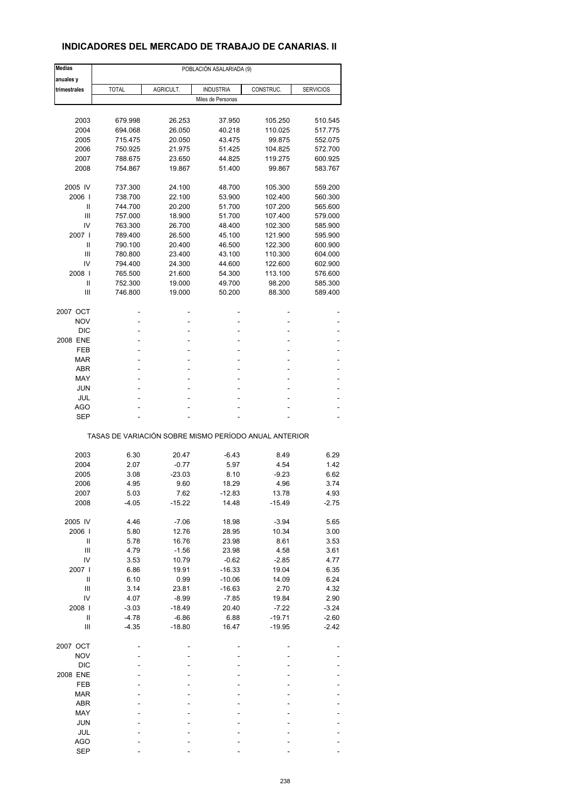## **INDICADORES DEL MERCADO DE TRABAJO DE CANARIAS. II**

| <b>Medias</b>  | POBLACIÓN ASALARIADA (9) |           |                                                       |           |                    |  |  |  |
|----------------|--------------------------|-----------|-------------------------------------------------------|-----------|--------------------|--|--|--|
| anuales y      |                          |           |                                                       |           |                    |  |  |  |
| trimestrales   | <b>TOTAL</b>             | AGRICULT. | <b>INDUSTRIA</b>                                      | CONSTRUC. | <b>SERVICIOS</b>   |  |  |  |
|                |                          |           | Miles de Personas                                     |           |                    |  |  |  |
| 2003           | 679.998                  | 26.253    | 37.950                                                | 105.250   |                    |  |  |  |
| 2004           | 694.068                  | 26.050    | 40.218                                                | 110.025   | 510.545<br>517.775 |  |  |  |
| 2005           | 715.475                  | 20.050    | 43.475                                                | 99.875    | 552.075            |  |  |  |
| 2006           | 750.925                  | 21.975    | 51.425                                                | 104.825   | 572.700            |  |  |  |
| 2007           | 788.675                  | 23.650    | 44.825                                                | 119.275   | 600.925            |  |  |  |
| 2008           | 754.867                  | 19.867    | 51.400                                                | 99.867    | 583.767            |  |  |  |
|                |                          |           |                                                       |           |                    |  |  |  |
| 2005 IV        | 737.300                  | 24.100    | 48.700                                                | 105.300   | 559.200            |  |  |  |
| 2006           | 738.700                  | 22.100    | 53.900                                                | 102.400   | 560.300            |  |  |  |
| Ш              | 744.700                  | 20.200    | 51.700                                                | 107.200   | 565.600            |  |  |  |
| Ш              | 757.000                  | 18.900    | 51.700                                                | 107.400   | 579.000            |  |  |  |
| IV             | 763.300                  | 26.700    | 48.400                                                | 102.300   | 585.900            |  |  |  |
| 2007 l         | 789.400                  | 26.500    | 45.100                                                | 121.900   | 595.900            |  |  |  |
| Ш              | 790.100                  | 20.400    | 46.500                                                | 122.300   | 600.900            |  |  |  |
| Ш              | 780.800                  | 23.400    | 43.100                                                | 110.300   | 604.000            |  |  |  |
| IV             | 794.400                  | 24.300    | 44.600                                                | 122.600   | 602.900            |  |  |  |
| 2008           | 765.500                  | 21.600    | 54.300                                                | 113.100   | 576.600            |  |  |  |
| Ш              | 752.300                  | 19.000    | 49.700                                                | 98.200    | 585.300            |  |  |  |
| Ш              | 746.800                  | 19.000    | 50.200                                                | 88.300    | 589.400            |  |  |  |
| 2007 OCT       |                          |           |                                                       |           |                    |  |  |  |
| <b>NOV</b>     |                          |           | ٠                                                     |           |                    |  |  |  |
| <b>DIC</b>     |                          |           |                                                       |           |                    |  |  |  |
| 2008 ENE       | ٠                        | ÷         | ٠                                                     |           |                    |  |  |  |
| FEB            |                          |           | ٠                                                     |           |                    |  |  |  |
| MAR            |                          |           |                                                       |           |                    |  |  |  |
| <b>ABR</b>     | ä,                       | Ĭ.        | ٠                                                     | ÷         |                    |  |  |  |
| MAY            |                          |           | ٠                                                     |           |                    |  |  |  |
| <b>JUN</b>     |                          |           |                                                       |           |                    |  |  |  |
| JUL            |                          |           | ٠                                                     |           |                    |  |  |  |
| AGO            |                          |           |                                                       |           |                    |  |  |  |
| <b>SEP</b>     |                          |           |                                                       |           |                    |  |  |  |
|                |                          |           | TASAS DE VARIACIÓN SOBRE MISMO PERÍODO ANUAL ANTERIOR |           |                    |  |  |  |
|                |                          |           |                                                       |           |                    |  |  |  |
| 2003           | 6.30                     | 20.47     | $-6.43$                                               | 8.49      | 6.29               |  |  |  |
| 2004           | 2.07                     | $-0.77$   | 5.97                                                  | 4.54      | 1.42               |  |  |  |
| 2005           | 3.08                     | $-23.03$  | 8.10                                                  | $-9.23$   | 6.62               |  |  |  |
| 2006           | 4.95                     | 9.60      | 18.29                                                 | 4.96      | 3.74               |  |  |  |
| 2007           | 5.03                     | 7.62      | -12.83                                                | 13.78     | 4.93               |  |  |  |
| 2008           | $-4.05$                  | $-15.22$  | 14.48                                                 | $-15.49$  | $-2.75$            |  |  |  |
| 2005 IV        | 4.46                     | $-7.06$   | 18.98                                                 | $-3.94$   | 5.65               |  |  |  |
| 2006           | 5.80                     | 12.76     | 28.95                                                 | 10.34     | 3.00               |  |  |  |
| Ш              | 5.78                     | 16.76     | 23.98                                                 | 8.61      | 3.53               |  |  |  |
| $\mathbf{III}$ | 4.79                     | $-1.56$   | 23.98                                                 | 4.58      | 3.61               |  |  |  |
| IV             | 3.53                     | 10.79     | $-0.62$                                               | $-2.85$   | 4.77               |  |  |  |
| 2007 l         | 6.86                     | 19.91     | $-16.33$                                              | 19.04     | 6.35               |  |  |  |
| $\sf II$       | 6.10                     | 0.99      | $-10.06$                                              | 14.09     | 6.24               |  |  |  |
| Ш              | 3.14                     | 23.81     | $-16.63$                                              | 2.70      | 4.32               |  |  |  |
| IV             | 4.07                     | $-8.99$   | $-7.85$                                               | 19.84     | 2.90               |  |  |  |
| 2008           | $-3.03$                  | $-18.49$  | 20.40                                                 | $-7.22$   | $-3.24$            |  |  |  |
| $\sf II$       | $-4.78$                  | $-6.86$   | 6.88                                                  | $-19.71$  | $-2.60$            |  |  |  |
| Ш              | $-4.35$                  | $-18.80$  | 16.47                                                 | $-19.95$  | $-2.42$            |  |  |  |
|                |                          |           |                                                       |           |                    |  |  |  |
| 2007 OCT       |                          |           |                                                       |           |                    |  |  |  |
| <b>NOV</b>     |                          |           |                                                       |           |                    |  |  |  |
| <b>DIC</b>     |                          |           |                                                       |           |                    |  |  |  |
| 2008 ENE       |                          |           |                                                       |           |                    |  |  |  |
| FEB            |                          |           |                                                       |           |                    |  |  |  |
| <b>MAR</b>     |                          |           |                                                       |           |                    |  |  |  |
| <b>ABR</b>     |                          |           |                                                       |           |                    |  |  |  |
| MAY            |                          |           |                                                       |           |                    |  |  |  |
| <b>JUN</b>     |                          |           |                                                       |           |                    |  |  |  |
| JUL            |                          |           |                                                       |           |                    |  |  |  |
| <b>AGO</b>     |                          |           |                                                       |           |                    |  |  |  |
| <b>SEP</b>     |                          |           |                                                       |           |                    |  |  |  |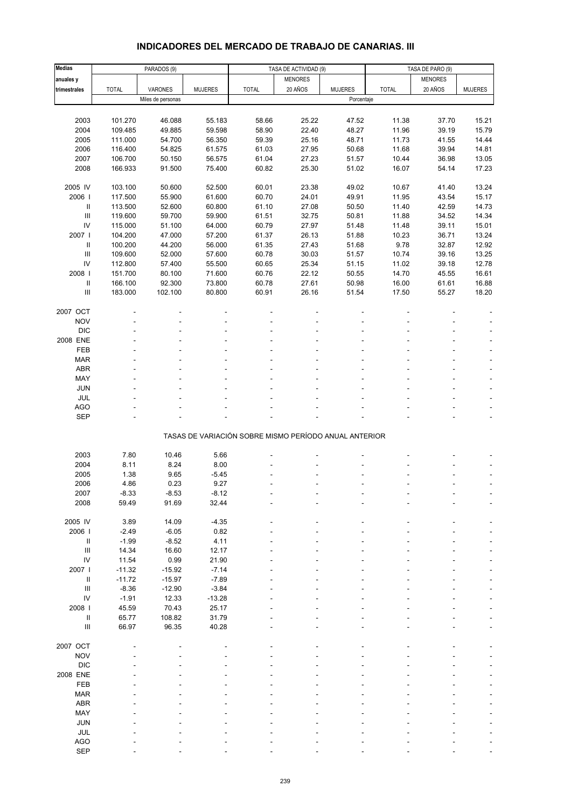# **INDICADORES DEL MERCADO DE TRABAJO DE CANARIAS. III**

| <b>Medias</b>                      |                | PARADOS (9)       |                |                                                       | TASA DE ACTIVIDAD (9) |                |              | TASA DE PARO (9) |                |
|------------------------------------|----------------|-------------------|----------------|-------------------------------------------------------|-----------------------|----------------|--------------|------------------|----------------|
| anuales y                          |                |                   |                |                                                       | <b>MENORES</b>        |                |              | <b>MENORES</b>   |                |
| trimestrales                       | <b>TOTAL</b>   | VARONES           | <b>MUJERES</b> | <b>TOTAL</b>                                          | 20 AÑOS               | <b>MUJERES</b> | <b>TOTAL</b> | 20 AÑOS          | <b>MUJERES</b> |
|                                    |                | Miles de personas |                |                                                       |                       | Porcentaje     |              |                  |                |
|                                    |                |                   |                |                                                       |                       |                |              |                  |                |
|                                    |                |                   |                |                                                       |                       |                |              |                  |                |
| 2003                               | 101.270        | 46.088            | 55.183         | 58.66                                                 | 25.22                 | 47.52          | 11.38        | 37.70            | 15.21          |
| 2004                               | 109.485        | 49.885            | 59.598         | 58.90                                                 | 22.40                 | 48.27          | 11.96        | 39.19            | 15.79          |
| 2005                               | 111.000        | 54.700            | 56.350         | 59.39                                                 | 25.16                 | 48.71          | 11.73        | 41.55            | 14.44          |
| 2006                               | 116.400        | 54.825            | 61.575         | 61.03                                                 | 27.95                 | 50.68          | 11.68        | 39.94            | 14.81          |
| 2007                               | 106.700        | 50.150            | 56.575         | 61.04                                                 | 27.23                 | 51.57          | 10.44        | 36.98            | 13.05          |
| 2008                               | 166.933        | 91.500            | 75.400         | 60.82                                                 | 25.30                 | 51.02          | 16.07        | 54.14            | 17.23          |
|                                    |                |                   |                |                                                       |                       |                |              |                  |                |
| 2005 IV                            | 103.100        | 50.600            | 52.500         | 60.01                                                 | 23.38                 | 49.02          | 10.67        | 41.40            | 13.24          |
| 2006                               | 117.500        | 55.900            | 61.600         | 60.70                                                 | 24.01                 | 49.91          | 11.95        | 43.54            | 15.17          |
| Ш                                  | 113.500        | 52.600            | 60.800         | 61.10                                                 | 27.08                 | 50.50          | 11.40        | 42.59            | 14.73          |
| $\ensuremath{\mathsf{III}}\xspace$ | 119.600        | 59.700            | 59.900         | 61.51                                                 | 32.75                 | 50.81          | 11.88        | 34.52            | 14.34          |
| IV                                 | 115.000        | 51.100            | 64.000         | 60.79                                                 | 27.97                 | 51.48          | 11.48        | 39.11            | 15.01          |
| 2007                               | 104.200        | 47.000            | 57.200         | 61.37                                                 | 26.13                 | 51.88          | 10.23        | 36.71            | 13.24          |
| Ш                                  | 100.200        | 44.200            | 56.000         | 61.35                                                 | 27.43                 | 51.68          | 9.78         | 32.87            | 12.92          |
| $\ensuremath{\mathsf{III}}\xspace$ | 109.600        | 52.000            | 57.600         | 60.78                                                 | 30.03                 | 51.57          | 10.74        | 39.16            | 13.25          |
| IV                                 | 112.800        | 57.400            | 55.500         | 60.65                                                 | 25.34                 | 51.15          | 11.02        | 39.18            | 12.78          |
| 2008                               | 151.700        | 80.100            | 71.600         | 60.76                                                 | 22.12                 | 50.55          | 14.70        | 45.55            | 16.61          |
|                                    | 166.100        | 92.300            | 73.800         | 60.78                                                 | 27.61                 | 50.98          | 16.00        | 61.61            | 16.88          |
| Ш                                  |                |                   |                |                                                       |                       |                |              |                  |                |
| $\ensuremath{\mathsf{III}}\xspace$ | 183.000        | 102.100           | 80.800         | 60.91                                                 | 26.16                 | 51.54          | 17.50        | 55.27            | 18.20          |
|                                    |                |                   |                |                                                       |                       |                |              |                  |                |
| 2007 OCT                           |                |                   |                |                                                       |                       |                |              |                  |                |
| <b>NOV</b>                         |                |                   |                |                                                       |                       |                |              |                  |                |
| <b>DIC</b>                         |                |                   |                |                                                       |                       |                |              |                  |                |
| 2008 ENE                           |                |                   |                |                                                       |                       |                |              |                  |                |
| FEB                                |                |                   |                |                                                       |                       |                |              |                  |                |
| <b>MAR</b>                         |                |                   |                |                                                       |                       |                |              |                  |                |
| ABR                                |                |                   |                |                                                       |                       |                |              |                  |                |
| MAY                                |                |                   |                |                                                       |                       |                |              |                  |                |
| JUN                                |                |                   |                |                                                       |                       |                |              |                  |                |
| JUL                                |                |                   |                |                                                       |                       |                |              |                  | ÷,             |
| AGO                                |                |                   |                |                                                       |                       |                |              |                  |                |
| SEP                                |                |                   |                |                                                       |                       |                |              |                  |                |
|                                    |                |                   |                |                                                       |                       |                |              |                  |                |
|                                    |                |                   |                | TASAS DE VARIACIÓN SOBRE MISMO PERÍODO ANUAL ANTERIOR |                       |                |              |                  |                |
|                                    |                |                   |                |                                                       |                       |                |              |                  |                |
| 2003                               | 7.80           | 10.46             | 5.66           |                                                       |                       |                |              |                  |                |
| 2004                               | 8.11           | 8.24              | 8.00           |                                                       |                       |                |              |                  |                |
| 2005                               | 1.38           | 9.65              | $-5.45$        |                                                       |                       |                |              |                  |                |
| 2006                               | 4.86           | 0.23              | 9.27           |                                                       |                       |                |              |                  |                |
|                                    |                |                   |                |                                                       |                       |                |              |                  |                |
| 2007<br>2008                       | -8.33<br>59.49 | $-8.53$<br>91.69  | -8.12<br>32.44 |                                                       |                       |                |              |                  |                |
|                                    |                |                   |                |                                                       |                       |                |              |                  |                |
|                                    |                |                   |                |                                                       |                       |                |              |                  |                |
| 2005 IV                            | 3.89           | 14.09             | $-4.35$        |                                                       |                       |                |              |                  |                |
| 2006                               | $-2.49$        | $-6.05$           | 0.82           |                                                       |                       |                |              |                  |                |
| Ш                                  | $-1.99$        | $-8.52$           | 4.11           |                                                       |                       |                |              |                  |                |
| $\ensuremath{\mathsf{III}}\xspace$ | 14.34          | 16.60             | 12.17          |                                                       |                       |                |              |                  |                |
| IV                                 | 11.54          | 0.99              | 21.90          |                                                       |                       |                |              |                  |                |
| 2007 l                             | $-11.32$       | $-15.92$          | $-7.14$        |                                                       |                       |                |              |                  |                |
| Ш                                  | $-11.72$       | $-15.97$          | $-7.89$        |                                                       |                       |                |              |                  |                |
| $\ensuremath{\mathsf{III}}\xspace$ | $-8.36$        | $-12.90$          | $-3.84$        |                                                       |                       |                |              |                  |                |
| IV                                 | $-1.91$        | 12.33             | $-13.28$       |                                                       |                       |                |              |                  |                |
| 2008                               | 45.59          | 70.43             | 25.17          |                                                       |                       |                |              |                  |                |
| Ш                                  | 65.77          | 108.82            | 31.79          |                                                       |                       |                |              |                  |                |
| Ш                                  | 66.97          | 96.35             | 40.28          |                                                       |                       |                |              |                  |                |
|                                    |                |                   |                |                                                       |                       |                |              |                  |                |
| 2007 OCT                           |                |                   |                |                                                       |                       |                |              |                  |                |
| <b>NOV</b>                         |                |                   |                |                                                       |                       |                |              |                  |                |
| <b>DIC</b>                         |                |                   |                |                                                       |                       |                |              |                  |                |
| 2008 ENE                           |                |                   |                |                                                       |                       |                |              |                  |                |
| FEB                                |                |                   |                |                                                       |                       |                |              |                  |                |
| <b>MAR</b>                         |                |                   |                |                                                       |                       |                |              |                  |                |
| ABR                                |                |                   |                |                                                       |                       |                |              |                  |                |
| MAY                                |                |                   |                |                                                       |                       |                |              |                  |                |
| JUN                                |                |                   |                |                                                       |                       |                |              |                  |                |
| JUL                                |                |                   |                |                                                       |                       |                |              |                  |                |
|                                    |                |                   |                |                                                       |                       |                |              |                  |                |
| <b>AGO</b>                         |                |                   |                |                                                       |                       |                |              |                  |                |
| SEP                                |                |                   |                |                                                       |                       |                |              |                  |                |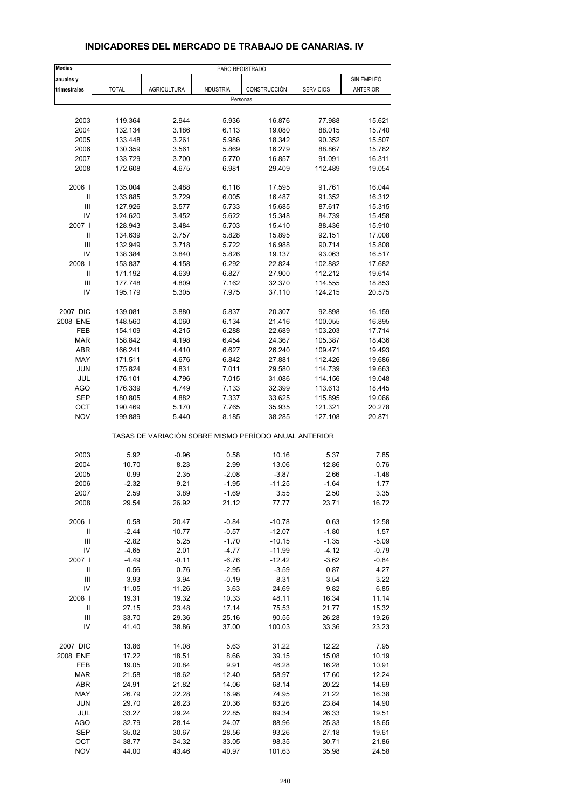| <b>Medias</b>                      | PARO REGISTRADO |                                                       |                  |              |                  |                 |  |
|------------------------------------|-----------------|-------------------------------------------------------|------------------|--------------|------------------|-----------------|--|
| anuales y                          |                 |                                                       |                  |              |                  | SIN EMPLEO      |  |
| trimestrales                       | <b>TOTAL</b>    | <b>AGRICULTURA</b>                                    | <b>INDUSTRIA</b> | CONSTRUCCIÓN | <b>SERVICIOS</b> | <b>ANTERIOR</b> |  |
|                                    |                 |                                                       | Personas         |              |                  |                 |  |
|                                    |                 |                                                       |                  |              |                  |                 |  |
| 2003                               | 119.364         | 2.944                                                 | 5.936            | 16.876       | 77.988           | 15.621          |  |
| 2004                               | 132.134         | 3.186                                                 | 6.113            | 19.080       | 88.015           | 15.740          |  |
| 2005                               | 133.448         | 3.261                                                 | 5.986            | 18.342       | 90.352           | 15.507          |  |
| 2006                               | 130.359         | 3.561                                                 | 5.869            | 16.279       | 88.867           | 15.782          |  |
| 2007                               | 133.729         | 3.700                                                 | 5.770            | 16.857       | 91.091           | 16.311          |  |
| 2008                               | 172.608         | 4.675                                                 | 6.981            | 29.409       | 112.489          | 19.054          |  |
| 2006                               | 135.004         | 3.488                                                 | 6.116            | 17.595       | 91.761           | 16.044          |  |
| $\mathbf{II}$                      | 133.885         | 3.729                                                 | 6.005            | 16.487       | 91.352           | 16.312          |  |
| Ш                                  | 127.926         | 3.577                                                 | 5.733            | 15.685       | 87.617           | 15.315          |  |
| IV                                 | 124.620         | 3.452                                                 | 5.622            | 15.348       | 84.739           | 15.458          |  |
| 2007 l                             | 128.943         | 3.484                                                 | 5.703            | 15.410       | 88.436           | 15.910          |  |
| Ш                                  | 134.639         | 3.757                                                 | 5.828            | 15.895       | 92.151           | 17.008          |  |
| $\mathbf{III}$                     | 132.949         | 3.718                                                 | 5.722            | 16.988       | 90.714           | 15.808          |  |
| IV                                 | 138.384         | 3.840                                                 | 5.826            | 19.137       | 93.063           | 16.517          |  |
| 2008                               | 153.837         | 4.158                                                 | 6.292            | 22.824       | 102.882          | 17.682          |  |
| $\ensuremath{\mathsf{II}}$         | 171.192         | 4.639                                                 | 6.827            | 27.900       | 112.212          | 19.614          |  |
| III                                | 177.748         | 4.809                                                 | 7.162            | 32.370       | 114.555          | 18.853          |  |
| IV                                 | 195.179         | 5.305                                                 | 7.975            | 37.110       | 124.215          | 20.575          |  |
| 2007 DIC                           | 139.081         | 3.880                                                 | 5.837            | 20.307       | 92.898           | 16.159          |  |
| 2008 ENE                           | 148.560         | 4.060                                                 | 6.134            | 21.416       | 100.055          | 16.895          |  |
| <b>FEB</b>                         | 154.109         | 4.215                                                 | 6.288            | 22.689       | 103.203          | 17.714          |  |
| <b>MAR</b>                         | 158.842         | 4.198                                                 | 6.454            | 24.367       | 105.387          | 18.436          |  |
| <b>ABR</b>                         | 166.241         | 4.410                                                 | 6.627            | 26.240       | 109.471          | 19.493          |  |
| MAY                                | 171.511         | 4.676                                                 | 6.842            | 27.881       | 112.426          | 19.686          |  |
| <b>JUN</b>                         | 175.824         | 4.831                                                 | 7.011            | 29.580       | 114.739          | 19.663          |  |
| JUL                                | 176.101         | 4.796                                                 | 7.015            | 31.086       | 114.156          | 19.048          |  |
| <b>AGO</b>                         | 176.339         | 4.749                                                 | 7.133            | 32.399       | 113.613          | 18.445          |  |
| <b>SEP</b>                         | 180.805         | 4.882                                                 | 7.337            | 33.625       | 115.895          | 19.066          |  |
| OCT                                | 190.469         | 5.170                                                 | 7.765            | 35.935       | 121.321          | 20.278          |  |
| <b>NOV</b>                         | 199.889         | 5.440                                                 | 8.185            | 38.285       | 127.108          | 20.871          |  |
|                                    |                 | TASAS DE VARIACIÓN SOBRE MISMO PERÍODO ANUAL ANTERIOR |                  |              |                  |                 |  |
| 2003                               | 5.92            | $-0.96$                                               | 0.58             | 10.16        | 5.37             | 7.85            |  |
| 2004                               | 10.70           | 8.23                                                  | 2.99             | 13.06        | 12.86            | 0.76            |  |
| 2005                               | 0.99            | 2.35                                                  | $-2.08$          | $-3.87$      | 2.66             | $-1.48$         |  |
| 2006                               | $-2.32$         | 9.21                                                  | $-1.95$          | $-11.25$     | $-1.64$          | 1.77            |  |
| 2007                               | 2.59            | 3.89                                                  | -1.69            | 3.55         | 2.50             | 3.35            |  |
| 2008                               | 29.54           | 26.92                                                 | 21.12            | 77.77        | 23.71            | 16.72           |  |
| 2006                               | 0.58            | 20.47                                                 | $-0.84$          | $-10.78$     | 0.63             | 12.58           |  |
| $\ensuremath{\mathsf{II}}$         | $-2.44$         | 10.77                                                 | $-0.57$          | $-12.07$     | $-1.80$          | 1.57            |  |
| $\ensuremath{\mathsf{III}}\xspace$ | $-2.82$         | 5.25                                                  | $-1.70$          | $-10.15$     | $-1.35$          | $-5.09$         |  |
| IV                                 | $-4.65$         | 2.01                                                  | $-4.77$          | $-11.99$     | -4.12            | $-0.79$         |  |
| 2007                               | $-4.49$         | $-0.11$                                               | $-6.76$          | $-12.42$     | -3.62            | $-0.84$         |  |
| $\ensuremath{\mathsf{II}}$         | 0.56            | 0.76                                                  | $-2.95$          | $-3.59$      | 0.87             | 4.27            |  |
| $\ensuremath{\mathsf{III}}\xspace$ | 3.93            | 3.94                                                  | $-0.19$          | 8.31         | 3.54             | 3.22            |  |
| IV                                 | 11.05           | 11.26                                                 | 3.63             | 24.69        | 9.82             | 6.85            |  |
| 2008                               | 19.31           | 19.32                                                 | 10.33            | 48.11        | 16.34            | 11.14           |  |
| Ш                                  | 27.15           | 23.48                                                 | 17.14            | 75.53        | 21.77            | 15.32           |  |
| Ш                                  | 33.70           | 29.36                                                 | 25.16            | 90.55        | 26.28            | 19.26           |  |
| IV                                 | 41.40           | 38.86                                                 | 37.00            | 100.03       | 33.36            | 23.23           |  |
| 2007 DIC                           | 13.86           | 14.08                                                 | 5.63             | 31.22        | 12.22            | 7.95            |  |
| 2008 ENE                           |                 | 18.51                                                 | 8.66             | 39.15        | 15.08            | 10.19           |  |
|                                    | 17.22           |                                                       |                  |              |                  |                 |  |
| FEB                                | 19.05           | 20.84                                                 | 9.91             | 46.28        | 16.28            | 10.91           |  |
| <b>MAR</b>                         | 21.58           | 18.62                                                 | 12.40            | 58.97        | 17.60            | 12.24           |  |
| ABR                                | 24.91           | 21.82                                                 | 14.06            | 68.14        | 20.22            | 14.69           |  |
| MAY                                | 26.79           | 22.28                                                 | 16.98            | 74.95        | 21.22            | 16.38           |  |
| <b>JUN</b>                         | 29.70           | 26.23                                                 | 20.36            | 83.26        | 23.84            | 14.90           |  |
| JUL                                | 33.27           | 29.24                                                 | 22.85            | 89.34        | 26.33            | 19.51           |  |
| AGO                                | 32.79           | 28.14                                                 | 24.07            | 88.96        | 25.33            | 18.65           |  |
| <b>SEP</b>                         | 35.02           | 30.67                                                 | 28.56            | 93.26        | 27.18            | 19.61           |  |
| OCT                                | 38.77           | 34.32                                                 | 33.05            | 98.35        | 30.71            | 21.86           |  |
| <b>NOV</b>                         | 44.00           | 43.46                                                 | 40.97            | 101.63       | 35.98            | 24.58           |  |

#### **INDICADORES DEL MERCADO DE TRABAJO DE CANARIAS. IV**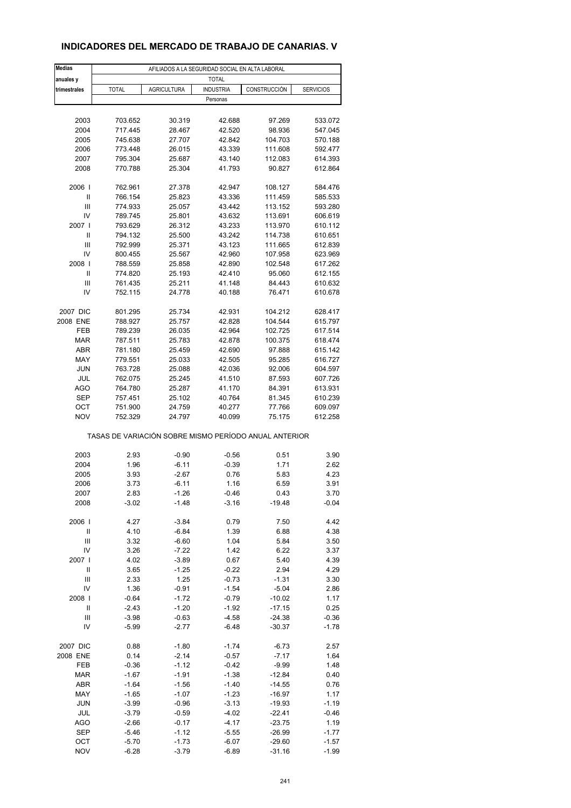## **INDICADORES DEL MERCADO DE TRABAJO DE CANARIAS. V**

| <b>Medias</b>                      | AFILIADOS A LA SEGURIDAD SOCIAL EN ALTA LABORAL       |                    |                  |              |                  |  |  |  |  |
|------------------------------------|-------------------------------------------------------|--------------------|------------------|--------------|------------------|--|--|--|--|
| anuales y                          | <b>TOTAL</b>                                          |                    |                  |              |                  |  |  |  |  |
| trimestrales                       | <b>TOTAL</b>                                          | <b>AGRICULTURA</b> | <b>INDUSTRIA</b> | CONSTRUCCIÓN | <b>SERVICIOS</b> |  |  |  |  |
|                                    |                                                       |                    | Personas         |              |                  |  |  |  |  |
|                                    |                                                       |                    |                  |              |                  |  |  |  |  |
| 2003                               | 703.652                                               | 30.319             | 42.688           | 97.269       | 533.072          |  |  |  |  |
| 2004                               | 717.445                                               | 28.467             | 42.520           | 98.936       | 547.045          |  |  |  |  |
| 2005                               | 745.638                                               | 27.707             | 42.842           | 104.703      | 570.188          |  |  |  |  |
| 2006                               | 773.448                                               | 26.015             | 43.339           | 111.608      | 592.477          |  |  |  |  |
| 2007                               | 795.304                                               | 25.687             | 43.140           | 112.083      | 614.393          |  |  |  |  |
| 2008                               | 770.788                                               | 25.304             | 41.793           | 90.827       | 612.864          |  |  |  |  |
|                                    |                                                       |                    |                  |              |                  |  |  |  |  |
| 2006                               | 762.961                                               | 27.378             | 42.947           | 108.127      | 584.476          |  |  |  |  |
| Ш                                  | 766.154                                               | 25.823             | 43.336           | 111.459      | 585.533          |  |  |  |  |
| Ш                                  | 774.933                                               | 25.057             | 43.442           | 113.152      | 593.280          |  |  |  |  |
| IV                                 | 789.745                                               | 25.801             | 43.632           | 113.691      | 606.619          |  |  |  |  |
| 2007 l                             | 793.629                                               | 26.312             | 43.233           | 113.970      | 610.112          |  |  |  |  |
| Ш                                  | 794.132                                               | 25.500             | 43.242           | 114.738      | 610.651          |  |  |  |  |
| Ш                                  | 792.999                                               | 25.371             | 43.123           | 111.665      | 612.839          |  |  |  |  |
| IV                                 | 800.455                                               | 25.567             | 42.960           | 107.958      | 623.969          |  |  |  |  |
| 2008                               | 788.559                                               | 25.858             | 42.890           | 102.548      | 617.262          |  |  |  |  |
| Ш                                  | 774.820                                               | 25.193             | 42.410           | 95.060       | 612.155          |  |  |  |  |
| Ш                                  | 761.435                                               | 25.211             | 41.148           | 84.443       | 610.632          |  |  |  |  |
| IV                                 | 752.115                                               | 24.778             | 40.188           | 76.471       | 610.678          |  |  |  |  |
| 2007 DIC                           | 801.295                                               | 25.734             | 42.931           | 104.212      | 628.417          |  |  |  |  |
| 2008 ENE                           | 788.927                                               | 25.757             | 42.828           | 104.544      | 615.797          |  |  |  |  |
| FEB                                | 789.239                                               | 26.035             | 42.964           | 102.725      | 617.514          |  |  |  |  |
| <b>MAR</b>                         | 787.511                                               | 25.783             | 42.878           | 100.375      | 618.474          |  |  |  |  |
| <b>ABR</b>                         | 781.180                                               | 25.459             | 42.690           | 97.888       | 615.142          |  |  |  |  |
| MAY                                | 779.551                                               | 25.033             | 42.505           | 95.285       | 616.727          |  |  |  |  |
| <b>JUN</b>                         | 763.728                                               | 25.088             | 42.036           | 92.006       | 604.597          |  |  |  |  |
| JUL                                | 762.075                                               | 25.245             | 41.510           | 87.593       | 607.726          |  |  |  |  |
| AGO                                | 764.780                                               | 25.287             | 41.170           | 84.391       | 613.931          |  |  |  |  |
| <b>SEP</b>                         | 757.451                                               | 25.102             | 40.764           | 81.345       | 610.239          |  |  |  |  |
| ОСТ                                | 751.900                                               | 24.759             | 40.277           | 77.766       | 609.097          |  |  |  |  |
| <b>NOV</b>                         | 752.329                                               | 24.797             | 40.099           | 75.175       | 612.258          |  |  |  |  |
|                                    | TASAS DE VARIACIÓN SOBRE MISMO PERÍODO ANUAL ANTERIOR |                    |                  |              |                  |  |  |  |  |
|                                    |                                                       |                    |                  |              |                  |  |  |  |  |
| 2003                               | 2.93                                                  | $-0.90$<br>$-6.11$ | $-0.56$          | 0.51         | 3.90             |  |  |  |  |
| 2004<br>2005                       | 1.96<br>3.93                                          | -2.67              | $-0.39$<br>0.76  | 1.71<br>5.83 | 2.62<br>4.23     |  |  |  |  |
| 2006                               | 3.73                                                  | $-6.11$            | 1.16             | 6.59         | 3.91             |  |  |  |  |
| 2007                               | 2.83                                                  | -1.26              | -0.46            | 0.43         | 3.70             |  |  |  |  |
| 2008                               | $-3.02$                                               | $-1.48$            | $-3.16$          | $-19.48$     | $-0.04$          |  |  |  |  |
|                                    |                                                       |                    |                  |              |                  |  |  |  |  |
| 2006                               | 4.27                                                  | $-3.84$            | 0.79             | 7.50         | 4.42             |  |  |  |  |
| $\mathsf{I}$                       | 4.10                                                  | $-6.84$            | 1.39             | 6.88         | 4.38             |  |  |  |  |
| $\ensuremath{\mathsf{III}}\xspace$ | 3.32                                                  | $-6.60$            | 1.04             | 5.84         | 3.50             |  |  |  |  |
| IV                                 | 3.26                                                  | $-7.22$            | 1.42             | 6.22         | 3.37             |  |  |  |  |
| 2007                               | 4.02                                                  | $-3.89$            | 0.67             | 5.40         | 4.39             |  |  |  |  |
| $\mathsf{I}$                       | 3.65                                                  | $-1.25$            | $-0.22$          | 2.94         | 4.29             |  |  |  |  |
| Ш                                  | 2.33                                                  | 1.25               | $-0.73$          | $-1.31$      | 3.30             |  |  |  |  |
| IV                                 | 1.36                                                  | $-0.91$            | $-1.54$          | $-5.04$      | 2.86             |  |  |  |  |
| 2008                               | $-0.64$                                               | $-1.72$            | $-0.79$          | $-10.02$     | 1.17             |  |  |  |  |
| Ш                                  | $-2.43$                                               | $-1.20$            | $-1.92$          | $-17.15$     | 0.25             |  |  |  |  |
| Ш                                  | $-3.98$                                               | $-0.63$            | $-4.58$          | $-24.38$     | $-0.36$          |  |  |  |  |
| IV                                 | -5.99                                                 | $-2.77$            | $-6.48$          | $-30.37$     | $-1.78$          |  |  |  |  |
| 2007 DIC                           | 0.88                                                  | $-1.80$            | $-1.74$          | $-6.73$      | 2.57             |  |  |  |  |
| 2008 ENE                           | 0.14                                                  | $-2.14$            | $-0.57$          | $-7.17$      | 1.64             |  |  |  |  |
| FEB                                | $-0.36$                                               | $-1.12$            | $-0.42$          | $-9.99$      | 1.48             |  |  |  |  |
| <b>MAR</b>                         | $-1.67$                                               | $-1.91$            | $-1.38$          | $-12.84$     | 0.40             |  |  |  |  |
| <b>ABR</b>                         | $-1.64$                                               | $-1.56$            | $-1.40$          | $-14.55$     | 0.76             |  |  |  |  |
| MAY                                | $-1.65$                                               | $-1.07$            | $-1.23$          | $-16.97$     | 1.17             |  |  |  |  |
| <b>JUN</b>                         | $-3.99$                                               | $-0.96$            | $-3.13$          | $-19.93$     | $-1.19$          |  |  |  |  |
| JUL                                | $-3.79$                                               | $-0.59$            | $-4.02$          | $-22.41$     | $-0.46$          |  |  |  |  |
| AGO                                | $-2.66$                                               | $-0.17$            | $-4.17$          | $-23.75$     | 1.19             |  |  |  |  |
| SEP                                | $-5.46$                                               | $-1.12$            | $-5.55$          | $-26.99$     | $-1.77$          |  |  |  |  |
| OCT                                | $-5.70$                                               | $-1.73$            | $-6.07$          | $-29.60$     | $-1.57$          |  |  |  |  |
| <b>NOV</b>                         | $-6.28$                                               | $-3.79$            | $-6.89$          | $-31.16$     | $-1.99$          |  |  |  |  |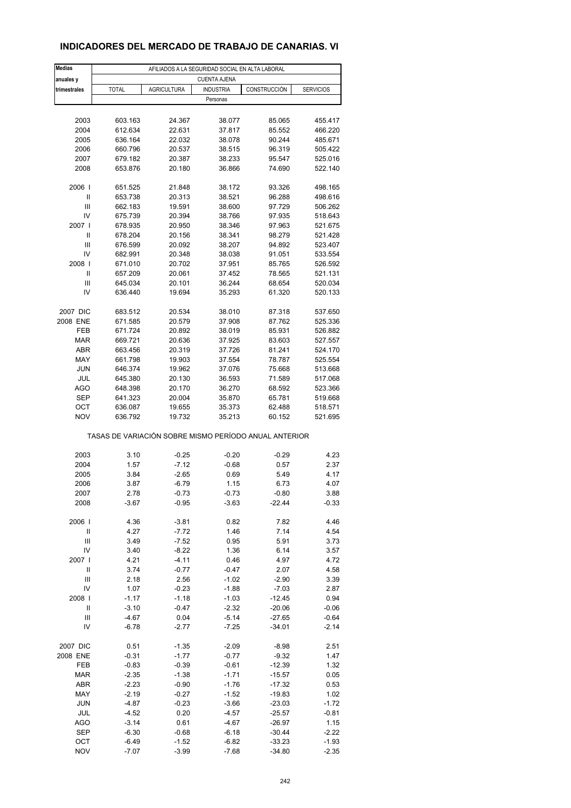## **INDICADORES DEL MERCADO DE TRABAJO DE CANARIAS. VI**

| <b>Medias</b>                                         | AFILIADOS A LA SEGURIDAD SOCIAL EN ALTA LABORAL                                                                   |         |          |          |         |  |  |  |  |
|-------------------------------------------------------|-------------------------------------------------------------------------------------------------------------------|---------|----------|----------|---------|--|--|--|--|
| anuales y<br>trimestrales                             | <b>CUENTA AJENA</b><br><b>TOTAL</b><br><b>AGRICULTURA</b><br><b>INDUSTRIA</b><br>CONSTRUCCIÓN<br><b>SERVICIOS</b> |         |          |          |         |  |  |  |  |
|                                                       |                                                                                                                   |         | Personas |          |         |  |  |  |  |
|                                                       |                                                                                                                   |         |          |          |         |  |  |  |  |
| 2003                                                  | 603.163                                                                                                           | 24.367  | 38.077   | 85.065   | 455.417 |  |  |  |  |
| 2004                                                  | 612.634                                                                                                           | 22.631  | 37.817   | 85.552   | 466.220 |  |  |  |  |
| 2005                                                  | 636.164                                                                                                           | 22.032  | 38.078   | 90.244   | 485.671 |  |  |  |  |
| 2006                                                  | 660.796                                                                                                           | 20.537  | 38.515   | 96.319   | 505.422 |  |  |  |  |
| 2007                                                  | 679.182                                                                                                           | 20.387  | 38.233   | 95.547   | 525.016 |  |  |  |  |
| 2008                                                  | 653.876                                                                                                           | 20.180  | 36.866   | 74.690   | 522.140 |  |  |  |  |
| 2006                                                  | 651.525                                                                                                           | 21.848  | 38.172   | 93.326   | 498.165 |  |  |  |  |
| Ш                                                     | 653.738                                                                                                           | 20.313  | 38.521   | 96.288   | 498.616 |  |  |  |  |
| Ш                                                     | 662.183                                                                                                           | 19.591  | 38.600   | 97.729   | 506.262 |  |  |  |  |
| IV                                                    | 675.739                                                                                                           | 20.394  | 38.766   | 97.935   | 518.643 |  |  |  |  |
| 2007 l                                                | 678.935                                                                                                           | 20.950  | 38.346   | 97.963   | 521.675 |  |  |  |  |
| Ш                                                     | 678.204                                                                                                           | 20.156  | 38.341   | 98.279   | 521.428 |  |  |  |  |
| Ш                                                     | 676.599                                                                                                           | 20.092  | 38.207   | 94.892   | 523.407 |  |  |  |  |
| IV                                                    | 682.991                                                                                                           | 20.348  | 38.038   | 91.051   | 533.554 |  |  |  |  |
| 2008                                                  | 671.010                                                                                                           | 20.702  | 37.951   | 85.765   | 526.592 |  |  |  |  |
| Ш                                                     | 657.209                                                                                                           | 20.061  | 37.452   | 78.565   | 521.131 |  |  |  |  |
| Ш                                                     | 645.034                                                                                                           | 20.101  | 36.244   | 68.654   | 520.034 |  |  |  |  |
| IV                                                    | 636.440                                                                                                           | 19.694  | 35.293   | 61.320   | 520.133 |  |  |  |  |
| 2007 DIC                                              | 683.512                                                                                                           | 20.534  | 38.010   | 87.318   | 537.650 |  |  |  |  |
| 2008 ENE                                              | 671.585                                                                                                           | 20.579  | 37.908   | 87.762   | 525.336 |  |  |  |  |
| FEB                                                   | 671.724                                                                                                           | 20.892  | 38.019   | 85.931   | 526.882 |  |  |  |  |
| <b>MAR</b>                                            | 669.721                                                                                                           | 20.636  | 37.925   | 83.603   | 527.557 |  |  |  |  |
| <b>ABR</b>                                            | 663.456                                                                                                           | 20.319  | 37.726   | 81.241   | 524.170 |  |  |  |  |
| MAY                                                   | 661.798                                                                                                           | 19.903  | 37.554   | 78.787   | 525.554 |  |  |  |  |
| <b>JUN</b>                                            | 646.374                                                                                                           | 19.962  | 37.076   | 75.668   | 513.668 |  |  |  |  |
| JUL                                                   | 645.380                                                                                                           | 20.130  | 36.593   | 71.589   | 517.068 |  |  |  |  |
| AGO                                                   | 648.398                                                                                                           | 20.170  | 36.270   | 68.592   | 523.366 |  |  |  |  |
| <b>SEP</b>                                            | 641.323                                                                                                           | 20.004  | 35.870   | 65.781   | 519.668 |  |  |  |  |
| OCT                                                   | 636.087                                                                                                           | 19.655  | 35.373   | 62.488   | 518.571 |  |  |  |  |
| <b>NOV</b>                                            | 636.792                                                                                                           | 19.732  | 35.213   | 60.152   | 521.695 |  |  |  |  |
| TASAS DE VARIACIÓN SOBRE MISMO PERÍODO ANUAL ANTERIOR |                                                                                                                   |         |          |          |         |  |  |  |  |
| 2003                                                  | 3.10                                                                                                              | $-0.25$ | $-0.20$  | $-0.29$  | 4.23    |  |  |  |  |
| 2004                                                  | 1.57                                                                                                              | $-7.12$ | $-0.68$  | 0.57     | 2.37    |  |  |  |  |
| 2005                                                  | 3.84                                                                                                              | $-2.65$ | 0.69     | 5.49     | 4.17    |  |  |  |  |
| 2006                                                  | 3.87                                                                                                              | $-6.79$ | 1.15     | 6.73     | 4.07    |  |  |  |  |
| 2007                                                  | 2.78                                                                                                              | $-0.73$ | $-0.73$  | $-0.80$  | 3.88    |  |  |  |  |
| 2008                                                  | $-3.67$                                                                                                           | $-0.95$ | $-3.63$  | $-22.44$ | $-0.33$ |  |  |  |  |
|                                                       |                                                                                                                   |         |          |          |         |  |  |  |  |
| 2006                                                  | 4.36                                                                                                              | $-3.81$ | 0.82     | 7.82     | 4.46    |  |  |  |  |
| $\mathsf{I}$                                          | 4.27                                                                                                              | $-7.72$ | 1.46     | 7.14     | 4.54    |  |  |  |  |
| $\mathsf{III}$                                        | 3.49                                                                                                              | $-7.52$ | 0.95     | 5.91     | 3.73    |  |  |  |  |
| IV                                                    | 3.40                                                                                                              | $-8.22$ | 1.36     | 6.14     | 3.57    |  |  |  |  |
| 2007                                                  | 4.21                                                                                                              | $-4.11$ | 0.46     | 4.97     | 4.72    |  |  |  |  |
| $\mathsf{I}$                                          | 3.74                                                                                                              | $-0.77$ | $-0.47$  | 2.07     | 4.58    |  |  |  |  |
| $\mathsf{III}$                                        | 2.18                                                                                                              | 2.56    | $-1.02$  | $-2.90$  | 3.39    |  |  |  |  |
| IV                                                    | 1.07                                                                                                              | $-0.23$ | $-1.88$  | $-7.03$  | 2.87    |  |  |  |  |
| 2008                                                  | $-1.17$                                                                                                           | $-1.18$ | $-1.03$  | $-12.45$ | 0.94    |  |  |  |  |
| $\sf II$                                              | $-3.10$                                                                                                           | $-0.47$ | $-2.32$  | $-20.06$ | $-0.06$ |  |  |  |  |
| $\mathsf{III}$                                        | $-4.67$                                                                                                           | 0.04    | $-5.14$  | $-27.65$ | $-0.64$ |  |  |  |  |
| IV                                                    | -6.78                                                                                                             | $-2.77$ | $-7.25$  | $-34.01$ | $-2.14$ |  |  |  |  |
| 2007 DIC                                              | 0.51                                                                                                              | $-1.35$ | $-2.09$  | $-8.98$  | 2.51    |  |  |  |  |
| 2008 ENE                                              | $-0.31$                                                                                                           | $-1.77$ | $-0.77$  | $-9.32$  | 1.47    |  |  |  |  |
| FEB                                                   | $-0.83$                                                                                                           | $-0.39$ | $-0.61$  | $-12.39$ | 1.32    |  |  |  |  |
| <b>MAR</b>                                            | $-2.35$                                                                                                           | $-1.38$ | $-1.71$  | $-15.57$ | 0.05    |  |  |  |  |
| ABR                                                   | $-2.23$                                                                                                           | $-0.90$ | $-1.76$  | $-17.32$ | 0.53    |  |  |  |  |
| MAY                                                   | $-2.19$                                                                                                           | $-0.27$ | $-1.52$  | $-19.83$ | 1.02    |  |  |  |  |
| <b>JUN</b>                                            | $-4.87$                                                                                                           | $-0.23$ | $-3.66$  | $-23.03$ | $-1.72$ |  |  |  |  |
| JUL                                                   | $-4.52$                                                                                                           | 0.20    | $-4.57$  | $-25.57$ | $-0.81$ |  |  |  |  |
| AGO                                                   | $-3.14$                                                                                                           | 0.61    | $-4.67$  | $-26.97$ | 1.15    |  |  |  |  |
| <b>SEP</b>                                            | $-6.30$                                                                                                           | $-0.68$ | $-6.18$  | $-30.44$ | $-2.22$ |  |  |  |  |
| OCT                                                   | $-6.49$                                                                                                           | $-1.52$ | $-6.82$  | $-33.23$ | $-1.93$ |  |  |  |  |
| <b>NOV</b>                                            | $-7.07$                                                                                                           | $-3.99$ | $-7.68$  | $-34.80$ | $-2.35$ |  |  |  |  |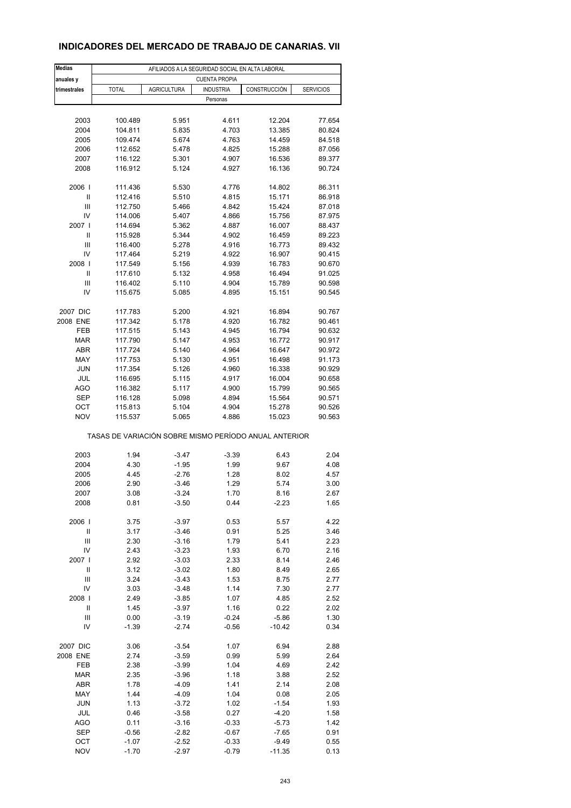## **INDICADORES DEL MERCADO DE TRABAJO DE CANARIAS. VII**

| <b>Medias</b>  | AFILIADOS A LA SEGURIDAD SOCIAL EN ALTA LABORAL       |                    |                  |              |                  |  |  |  |  |
|----------------|-------------------------------------------------------|--------------------|------------------|--------------|------------------|--|--|--|--|
| anuales y      | <b>CUENTA PROPIA</b>                                  |                    |                  |              |                  |  |  |  |  |
| trimestrales   | <b>TOTAL</b>                                          | <b>AGRICULTURA</b> | <b>INDUSTRIA</b> | CONSTRUCCIÓN | <b>SERVICIOS</b> |  |  |  |  |
|                |                                                       |                    | Personas         |              |                  |  |  |  |  |
|                |                                                       |                    |                  |              |                  |  |  |  |  |
| 2003           | 100.489                                               | 5.951              | 4.611            | 12.204       | 77.654           |  |  |  |  |
| 2004           | 104.811                                               | 5.835              | 4.703            | 13.385       | 80.824           |  |  |  |  |
| 2005           | 109.474                                               | 5.674              | 4.763            | 14.459       | 84.518           |  |  |  |  |
| 2006           | 112.652                                               | 5.478              | 4.825            | 15.288       | 87.056           |  |  |  |  |
| 2007           | 116.122                                               | 5.301              | 4.907            | 16.536       | 89.377           |  |  |  |  |
| 2008           | 116.912                                               | 5.124              | 4.927            | 16.136       | 90.724           |  |  |  |  |
| 2006           | 111.436                                               | 5.530              | 4.776            | 14.802       | 86.311           |  |  |  |  |
| Ш              | 112.416                                               | 5.510              | 4.815            | 15.171       | 86.918           |  |  |  |  |
| Ш              | 112.750                                               | 5.466              | 4.842            | 15.424       | 87.018           |  |  |  |  |
| IV             | 114.006                                               | 5.407              | 4.866            | 15.756       | 87.975           |  |  |  |  |
| 2007 l         | 114.694                                               | 5.362              | 4.887            | 16.007       | 88.437           |  |  |  |  |
| Ш              | 115.928                                               | 5.344              | 4.902            | 16.459       | 89.223           |  |  |  |  |
| Ш              | 116.400                                               | 5.278              | 4.916            | 16.773       | 89.432           |  |  |  |  |
| IV             | 117.464                                               | 5.219              | 4.922            | 16.907       | 90.415           |  |  |  |  |
| 2008           | 117.549                                               | 5.156              | 4.939            | 16.783       | 90.670           |  |  |  |  |
| Ш              | 117.610                                               | 5.132              | 4.958            | 16.494       | 91.025           |  |  |  |  |
| Ш              | 116.402                                               | 5.110              | 4.904            | 15.789       | 90.598           |  |  |  |  |
| IV             | 115.675                                               | 5.085              | 4.895            | 15.151       | 90.545           |  |  |  |  |
| 2007 DIC       | 117.783                                               | 5.200              | 4.921            | 16.894       | 90.767           |  |  |  |  |
| 2008 ENE       | 117.342                                               | 5.178              | 4.920            | 16.782       | 90.461           |  |  |  |  |
| FEB            | 117.515                                               | 5.143              | 4.945            | 16.794       | 90.632           |  |  |  |  |
| <b>MAR</b>     | 117.790                                               | 5.147              | 4.953            | 16.772       | 90.917           |  |  |  |  |
| ABR            | 117.724                                               | 5.140              | 4.964            | 16.647       | 90.972           |  |  |  |  |
| MAY            | 117.753                                               | 5.130              | 4.951            | 16.498       | 91.173           |  |  |  |  |
| <b>JUN</b>     | 117.354                                               | 5.126              |                  |              |                  |  |  |  |  |
|                |                                                       |                    | 4.960            | 16.338       | 90.929           |  |  |  |  |
| JUL            | 116.695                                               | 5.115              | 4.917            | 16.004       | 90.658           |  |  |  |  |
| AGO            | 116.382                                               | 5.117              | 4.900            | 15.799       | 90.565           |  |  |  |  |
| <b>SEP</b>     | 116.128                                               | 5.098              | 4.894            | 15.564       | 90.571           |  |  |  |  |
| OCT            | 115.813                                               | 5.104              | 4.904            | 15.278       | 90.526           |  |  |  |  |
| <b>NOV</b>     | 115.537                                               | 5.065              | 4.886            | 15.023       | 90.563           |  |  |  |  |
|                | TASAS DE VARIACIÓN SOBRE MISMO PERÍODO ANUAL ANTERIOR |                    |                  |              |                  |  |  |  |  |
| 2003           | 1.94                                                  | $-3.47$            | $-3.39$          | 6.43         | 2.04             |  |  |  |  |
| 2004           | 4.30                                                  | $-1.95$            | 1.99             | 9.67         | 4.08             |  |  |  |  |
| 2005           | 4.45                                                  | $-2.76$            | 1.28             | 8.02         | 4.57             |  |  |  |  |
| 2006           | 2.90                                                  | $-3.46$            | 1.29             | 5.74         | 3.00             |  |  |  |  |
| 2007           | 3.08                                                  | -3.24              | 1.70             | 8.16         | 2.67             |  |  |  |  |
| 2008           | 0.81                                                  | $-3.50$            | 0.44             | $-2.23$      | 1.65             |  |  |  |  |
|                |                                                       |                    |                  |              |                  |  |  |  |  |
| 2006           | 3.75                                                  | $-3.97$            | 0.53             | 5.57         | 4.22             |  |  |  |  |
| $\sf II$       | 3.17                                                  | $-3.46$            | 0.91             | 5.25         | 3.46             |  |  |  |  |
| Ш              | 2.30                                                  | $-3.16$            | 1.79             | 5.41         | 2.23             |  |  |  |  |
| IV             | 2.43                                                  | $-3.23$            | 1.93             | 6.70         | 2.16             |  |  |  |  |
| 2007 l         | 2.92                                                  | $-3.03$            | 2.33             | 8.14         | 2.46             |  |  |  |  |
| $\mathsf{I}$   | 3.12                                                  | $-3.02$            | 1.80             | 8.49         | 2.65             |  |  |  |  |
| $\mathsf{III}$ | 3.24                                                  | $-3.43$            | 1.53             | 8.75         | 2.77             |  |  |  |  |
| IV             | 3.03                                                  | $-3.48$            | 1.14             | 7.30         | 2.77             |  |  |  |  |
| 2008           | 2.49                                                  | $-3.85$            | 1.07             | 4.85         | 2.52             |  |  |  |  |
| Ш              | 1.45                                                  | $-3.97$            | 1.16             | 0.22         | 2.02             |  |  |  |  |
| Ш              | 0.00                                                  | $-3.19$            | $-0.24$          | $-5.86$      | 1.30             |  |  |  |  |
| IV             | $-1.39$                                               | $-2.74$            | $-0.56$          | $-10.42$     | 0.34             |  |  |  |  |
| 2007 DIC       | 3.06                                                  | $-3.54$            | 1.07             | 6.94         | 2.88             |  |  |  |  |
| 2008 ENE       | 2.74                                                  | $-3.59$            | 0.99             | 5.99         | 2.64             |  |  |  |  |
| FEB            | 2.38                                                  | $-3.99$            | 1.04             | 4.69         | 2.42             |  |  |  |  |
| <b>MAR</b>     | 2.35                                                  | $-3.96$            | 1.18             | 3.88         | 2.52             |  |  |  |  |
|                |                                                       |                    |                  |              |                  |  |  |  |  |
| ABR            | 1.78                                                  | $-4.09$            | 1.41             | 2.14         | 2.08             |  |  |  |  |
| MAY            | 1.44                                                  | $-4.09$            | 1.04             | 0.08         | 2.05             |  |  |  |  |
| <b>JUN</b>     | 1.13                                                  | $-3.72$            | 1.02             | $-1.54$      | 1.93             |  |  |  |  |
| JUL            | 0.46                                                  | $-3.58$            | 0.27             | $-4.20$      | 1.58             |  |  |  |  |
| AGO            | 0.11                                                  | $-3.16$            | $-0.33$          | $-5.73$      | 1.42             |  |  |  |  |
| <b>SEP</b>     | $-0.56$                                               | $-2.82$            | $-0.67$          | $-7.65$      | 0.91             |  |  |  |  |
| OCT            | $-1.07$                                               | $-2.52$            | $-0.33$          | $-9.49$      | 0.55             |  |  |  |  |
| <b>NOV</b>     | $-1.70$                                               | $-2.97$            | $-0.79$          | $-11.35$     | 0.13             |  |  |  |  |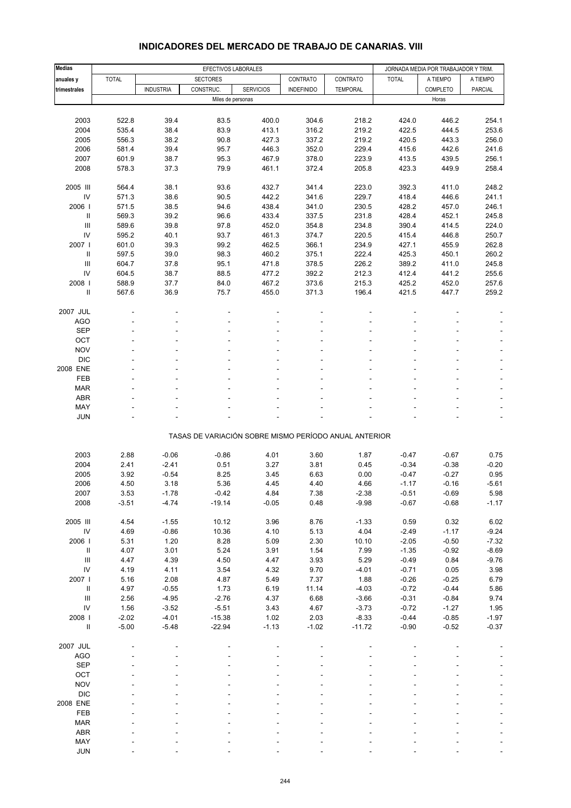| Medias                                   |                 | EFECTIVOS LABORALES |                                                       |                  |                   |                     | JORNADA MEDIA POR TRABAJADOR Y TRIM. |                    |                    |
|------------------------------------------|-----------------|---------------------|-------------------------------------------------------|------------------|-------------------|---------------------|--------------------------------------|--------------------|--------------------|
| anuales y                                | <b>TOTAL</b>    |                     | <b>SECTORES</b>                                       |                  | CONTRATO          | CONTRATO            | <b>TOTAL</b>                         | A TIEMPO           | A TIEMPO           |
| trimestrales                             |                 | <b>INDUSTRIA</b>    | CONSTRUC.                                             | <b>SERVICIOS</b> | <b>INDEFINIDO</b> | <b>TEMPORAL</b>     |                                      | COMPLETO           | PARCIAL            |
|                                          |                 |                     | Miles de personas                                     |                  |                   |                     |                                      | Horas              |                    |
|                                          |                 |                     |                                                       |                  |                   |                     |                                      |                    |                    |
| 2003                                     | 522.8           | 39.4                | 83.5                                                  | 400.0            | 304.6             | 218.2               | 424.0                                | 446.2              | 254.1              |
| 2004                                     | 535.4           | 38.4                | 83.9                                                  | 413.1            | 316.2             | 219.2               | 422.5                                | 444.5              | 253.6              |
| 2005                                     | 556.3           | 38.2                | 90.8                                                  | 427.3            | 337.2             | 219.2               | 420.5                                | 443.3              | 256.0              |
| 2006                                     | 581.4           | 39.4                | 95.7                                                  | 446.3            | 352.0             | 229.4               | 415.6                                | 442.6              | 241.6              |
| 2007                                     | 601.9           | 38.7                | 95.3                                                  | 467.9            | 378.0             | 223.9               | 413.5                                | 439.5              | 256.1              |
| 2008                                     | 578.3           | 37.3                | 79.9                                                  | 461.1            | 372.4             | 205.8               | 423.3                                | 449.9              | 258.4              |
| 2005 III                                 | 564.4           | 38.1                | 93.6                                                  | 432.7            | 341.4             | 223.0               | 392.3                                | 411.0              | 248.2              |
| IV                                       | 571.3           | 38.6                | 90.5                                                  | 442.2            | 341.6             | 229.7               | 418.4                                | 446.6              | 241.1              |
| 2006                                     | 571.5           | 38.5                | 94.6                                                  | 438.4            | 341.0             | 230.5               | 428.2                                | 457.0              | 246.1              |
| $\ensuremath{\mathsf{II}}$               | 569.3           | 39.2                | 96.6                                                  | 433.4            | 337.5             | 231.8               | 428.4                                | 452.1              | 245.8              |
| $\begin{array}{c} \Pi \end{array}$       | 589.6           | 39.8                | 97.8                                                  | 452.0            | 354.8             | 234.8               | 390.4                                | 414.5              | 224.0              |
| IV                                       | 595.2           | 40.1                | 93.7                                                  | 461.3            | 374.7             | 220.5               | 415.4                                | 446.8              | 250.7              |
| 2007 l                                   | 601.0           | 39.3                | 99.2                                                  | 462.5            | 366.1             | 234.9               | 427.1                                | 455.9              | 262.8              |
| Ш                                        | 597.5           | 39.0                | 98.3                                                  | 460.2            | 375.1             | 222.4               | 425.3                                | 450.1              | 260.2              |
| Ш                                        | 604.7           | 37.8                | 95.1                                                  | 471.8            | 378.5             | 226.2               | 389.2                                | 411.0              | 245.8              |
| IV                                       | 604.5           | 38.7                | 88.5                                                  | 477.2            | 392.2             | 212.3               | 412.4                                | 441.2              | 255.6              |
| 2008                                     | 588.9           | 37.7                | 84.0                                                  | 467.2            | 373.6             | 215.3               | 425.2                                | 452.0              | 257.6              |
| Ш                                        | 567.6           | 36.9                | 75.7                                                  | 455.0            | 371.3             | 196.4               | 421.5                                | 447.7              | 259.2              |
| 2007 JUL                                 |                 |                     |                                                       |                  |                   |                     |                                      |                    |                    |
| <b>AGO</b>                               |                 |                     |                                                       |                  |                   |                     |                                      |                    |                    |
| <b>SEP</b>                               |                 |                     |                                                       |                  |                   |                     |                                      |                    |                    |
| OCT                                      |                 |                     |                                                       |                  |                   |                     |                                      |                    |                    |
| <b>NOV</b>                               |                 |                     |                                                       |                  |                   |                     |                                      |                    |                    |
| <b>DIC</b>                               |                 |                     |                                                       |                  |                   |                     |                                      |                    |                    |
| 2008 ENE                                 |                 |                     |                                                       |                  |                   |                     |                                      |                    |                    |
| FEB                                      |                 |                     |                                                       |                  |                   |                     |                                      |                    |                    |
| <b>MAR</b>                               |                 |                     |                                                       |                  |                   |                     |                                      |                    |                    |
| ABR                                      |                 |                     |                                                       |                  |                   |                     |                                      |                    |                    |
| MAY                                      |                 |                     |                                                       |                  |                   |                     |                                      |                    |                    |
| <b>JUN</b>                               |                 |                     |                                                       |                  |                   |                     |                                      |                    |                    |
|                                          |                 |                     | TASAS DE VARIACIÓN SOBRE MISMO PERÍODO ANUAL ANTERIOR |                  |                   |                     |                                      |                    |                    |
|                                          |                 |                     |                                                       |                  |                   |                     |                                      |                    |                    |
| 2003                                     | 2.88<br>2.41    | $-0.06$<br>$-2.41$  | $-0.86$                                               | 4.01             | 3.60              | 1.87<br>0.45        | $-0.47$                              | $-0.67$            | 0.75               |
| 2004<br>2005                             | 3.92            | $-0.54$             | 0.51<br>8.25                                          | 3.27<br>3.45     | 3.81<br>6.63      | 0.00                | $-0.34$                              | $-0.38$<br>$-0.27$ | $-0.20$<br>0.95    |
| 2006                                     | 4.50            | 3.18                | 5.36                                                  | 4.45             | 4.40              | 4.66                | $-0.47$<br>$-1.17$                   | $-0.16$            | $-5.61$            |
|                                          |                 |                     | $-0.42$                                               | 4.84             |                   |                     |                                      | $-0.69$            | 5.98               |
| 2007<br>2008                             | 3.53<br>$-3.51$ | -1.78<br>$-4.74$    | $-19.14$                                              | $-0.05$          | 7.38<br>0.48      | -2.38<br>$-9.98$    | $-0.51$<br>$-0.67$                   | $-0.68$            | $-1.17$            |
|                                          |                 |                     |                                                       |                  |                   |                     |                                      |                    |                    |
| 2005 III                                 | 4.54            | $-1.55$             | 10.12                                                 | 3.96             | 8.76              | $-1.33$             | 0.59                                 | 0.32               | 6.02               |
| ${\sf IV}$                               | 4.69            | $-0.86$             | 10.36                                                 | 4.10             | 5.13              | 4.04                | $-2.49$                              | $-1.17$            | $-9.24$            |
| 2006                                     | 5.31            | 1.20                | 8.28                                                  | 5.09             | 2.30              | 10.10               | $-2.05$                              | $-0.50$            | $-7.32$            |
| Ш                                        | 4.07            | 3.01                | 5.24                                                  | 3.91             | 1.54              | 7.99                | $-1.35$                              | $-0.92$            | $-8.69$            |
| Ш                                        | 4.47            | 4.39                | 4.50                                                  | 4.47             | 3.93              | 5.29                | $-0.49$                              | 0.84               | $-9.76$            |
| ${\sf IV}$                               | 4.19            | 4.11                | 3.54                                                  | 4.32             | 9.70              | $-4.01$             | $-0.71$                              | 0.05               | 3.98               |
| 2007 l                                   | 5.16            | 2.08                | 4.87                                                  | 5.49             | 7.37              | 1.88                | $-0.26$                              | $-0.25$            | 6.79               |
| Ш                                        | 4.97            | $-0.55$             | 1.73                                                  | 6.19             | 11.14             | $-4.03$             | $-0.72$                              | $-0.44$            | 5.86               |
| $\ensuremath{\mathsf{III}}\xspace$<br>IV | 2.56            | $-4.95$             | $-2.76$                                               | 4.37             | 6.68              | $-3.66$             | $-0.31$                              | $-0.84$            | 9.74               |
| 2008                                     | 1.56<br>$-2.02$ | $-3.52$<br>$-4.01$  | $-5.51$                                               | 3.43<br>1.02     | 4.67              | $-3.73$             | $-0.72$                              | $-1.27$            | 1.95               |
| $\, \parallel$                           | $-5.00$         | $-5.48$             | $-15.38$<br>$-22.94$                                  | $-1.13$          | 2.03<br>$-1.02$   | $-8.33$<br>$-11.72$ | $-0.44$<br>$-0.90$                   | $-0.85$<br>$-0.52$ | $-1.97$<br>$-0.37$ |
|                                          |                 |                     |                                                       |                  |                   |                     |                                      |                    |                    |
| 2007 JUL                                 |                 |                     |                                                       |                  |                   |                     |                                      |                    |                    |
| <b>AGO</b>                               |                 |                     |                                                       |                  |                   |                     |                                      |                    |                    |
| <b>SEP</b><br>OCT                        |                 |                     |                                                       |                  |                   |                     |                                      |                    |                    |
| <b>NOV</b>                               |                 |                     |                                                       |                  |                   |                     |                                      |                    |                    |
| <b>DIC</b>                               |                 |                     |                                                       |                  |                   |                     |                                      |                    |                    |
| 2008 ENE                                 |                 |                     |                                                       |                  |                   |                     |                                      |                    |                    |
| FEB                                      |                 |                     |                                                       |                  |                   |                     |                                      |                    |                    |
| MAR                                      |                 |                     |                                                       |                  |                   |                     |                                      |                    |                    |
| ABR                                      |                 |                     |                                                       |                  |                   |                     |                                      |                    |                    |
| MAY                                      |                 |                     |                                                       |                  |                   |                     |                                      |                    |                    |
|                                          |                 |                     |                                                       |                  |                   |                     |                                      |                    |                    |

#### **INDICADORES DEL MERCADO DE TRABAJO DE CANARIAS. VIII**

JUN - - - - - - - - -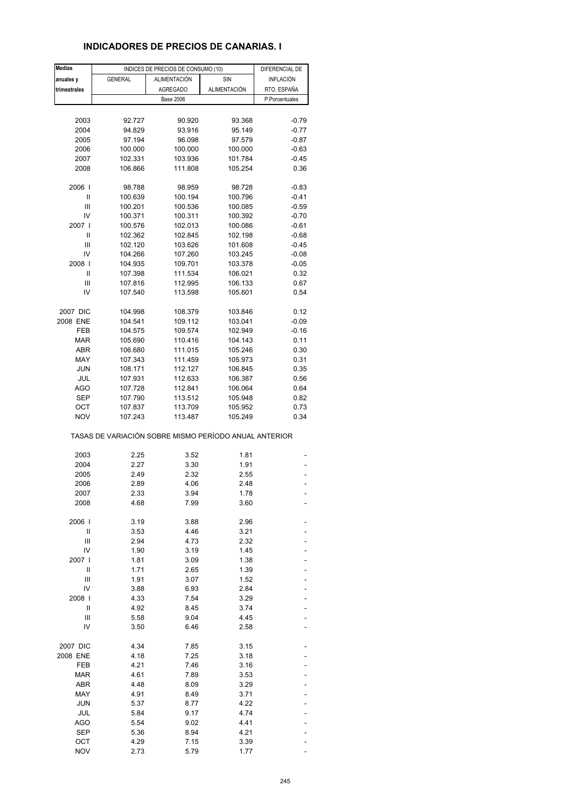## **INDICADORES DE PRECIOS DE CANARIAS. I**

| <b>Medias</b> |                                                       | INDICES DE PRECIOS DE CONSUMO (10) | DIFERENCIAL DE |                |
|---------------|-------------------------------------------------------|------------------------------------|----------------|----------------|
| anuales y     | <b>GENERAL</b>                                        | ALIMENTACIÓN                       | SIN            | INFLACIÓN      |
| trimestrales  |                                                       | <b>AGREGADO</b>                    | ALIMENTACIÓN   | RTO. ESPAÑA    |
|               |                                                       | <b>Base 2006</b>                   |                | P.Porcentuales |
|               |                                                       |                                    |                |                |
| 2003          | 92.727                                                | 90.920                             | 93.368         | $-0.79$        |
| 2004          | 94.829                                                | 93.916                             | 95.149         | $-0.77$        |
| 2005          | 97.194                                                | 96.098                             | 97.579         | $-0.87$        |
| 2006          | 100.000                                               | 100.000                            | 100.000        | $-0.63$        |
| 2007          | 102.331                                               | 103.936                            | 101.784        | $-0.45$        |
| 2008          | 106.866                                               | 111.808                            | 105.254        | 0.36           |
| 2006          | 98.788                                                | 98.959                             | 98.728         | $-0.83$        |
| Ш             | 100.639                                               | 100.194                            | 100.796        | $-0.41$        |
| Ш             | 100.201                                               | 100.536                            | 100.085        | $-0.59$        |
| IV            | 100.371                                               | 100.311                            | 100.392        | $-0.70$        |
| 2007 l        | 100.576                                               | 102.013                            |                |                |
|               |                                                       |                                    | 100.086        | $-0.61$        |
| Ш             | 102.362                                               | 102.845                            | 102.198        | $-0.68$        |
| Ш             | 102.120                                               | 103.626                            | 101.608        | $-0.45$        |
| IV            | 104.266                                               | 107.260                            | 103.245        | $-0.08$        |
| 2008          | 104.935                                               | 109.701                            | 103.378        | $-0.05$        |
| Ш             | 107.398                                               | 111.534                            | 106.021        | 0.32           |
| Ш             | 107.816                                               | 112.995                            | 106.133        | 0.67           |
| IV            | 107.540                                               | 113.598                            | 105.601        | 0.54           |
| 2007 DIC      | 104.998                                               | 108.379                            | 103.846        | 0.12           |
| 2008 ENE      | 104.541                                               | 109.112                            | 103.041        | $-0.09$        |
| FEB           | 104.575                                               | 109.574                            | 102.949        | $-0.16$        |
| <b>MAR</b>    | 105.690                                               | 110.416                            | 104.143        | 0.11           |
| ABR           | 106.680                                               | 111.015                            | 105.246        | 0.30           |
| MAY           | 107.343                                               | 111.459                            | 105.973        | 0.31           |
| <b>JUN</b>    |                                                       |                                    |                | 0.35           |
|               | 108.171                                               | 112.127                            | 106.845        |                |
| JUL           | 107.931                                               | 112.633                            | 106.387        | 0.56           |
| AGO           | 107.728                                               | 112.841                            | 106.064        | 0.64           |
| SEP           | 107.790                                               | 113.512                            | 105.948        | 0.82           |
| ОСТ           | 107.837                                               | 113.709                            | 105.952        | 0.73           |
| <b>NOV</b>    | 107.243                                               | 113.487                            | 105.249        | 0.34           |
|               | TASAS DE VARIACIÓN SOBRE MISMO PERÍODO ANUAL ANTERIOR |                                    |                |                |
| 2003          | 2.25                                                  | 3.52                               | 1.81           |                |
| 2004          | 2.27                                                  | 3.30                               | 1.91           |                |
| 2005          | 2.49                                                  | 2.32                               | 2.55           |                |
| 2006          | 2.89                                                  | 4.06                               | 2.48           |                |
| 2007          | 2.33                                                  | 3.94                               | 1.78           |                |
| 2008          | 4.68                                                  | 7.99                               | 3.60           |                |
|               |                                                       |                                    |                |                |
| 2006          | 3.19                                                  | 3.88                               | 2.96           |                |
| Ш             | 3.53                                                  | 4.46                               | 3.21           |                |
| Ш             | 2.94                                                  | 4.73                               | 2.32           |                |
| IV            | 1.90                                                  | 3.19                               | 1.45           |                |
| 2007          | 1.81                                                  | 3.09                               | 1.38           |                |
| Ш             | 1.71                                                  | 2.65                               | 1.39           |                |
| Ш             | 1.91                                                  | 3.07                               | 1.52           |                |
| IV            | 3.88                                                  | 6.93                               | 2.84           |                |
| 2008          | 4.33                                                  | 7.54                               | 3.29           |                |
| Ш             | 4.92                                                  | 8.45                               | 3.74           |                |
| Ш             | 5.58                                                  | 9.04                               | 4.45           |                |
| IV            | 3.50                                                  | 6.46                               | 2.58           |                |
| 2007 DIC      | 4.34                                                  | 7.85                               | 3.15           |                |
| 2008 ENE      | 4.18                                                  | 7.25                               | 3.18           |                |
| FEB           | 4.21                                                  | 7.46                               | 3.16           |                |
| <b>MAR</b>    | 4.61                                                  | 7.89                               | 3.53           |                |
| ABR           |                                                       |                                    | 3.29           |                |
|               | 4.48                                                  | 8.09                               |                |                |
| MAY           | 4.91                                                  | 8.49                               | 3.71           |                |
| <b>JUN</b>    | 5.37                                                  | 8.77                               | 4.22           |                |
| JUL           | 5.84                                                  | 9.17                               | 4.74           |                |
| AGO           | 5.54                                                  | 9.02                               | 4.41           |                |
| <b>SEP</b>    | 5.36                                                  | 8.94                               | 4.21           |                |
| OCT           | 4.29                                                  | 7.15                               | 3.39           |                |
| <b>NOV</b>    | 2.73                                                  | 5.79                               | 1.77           |                |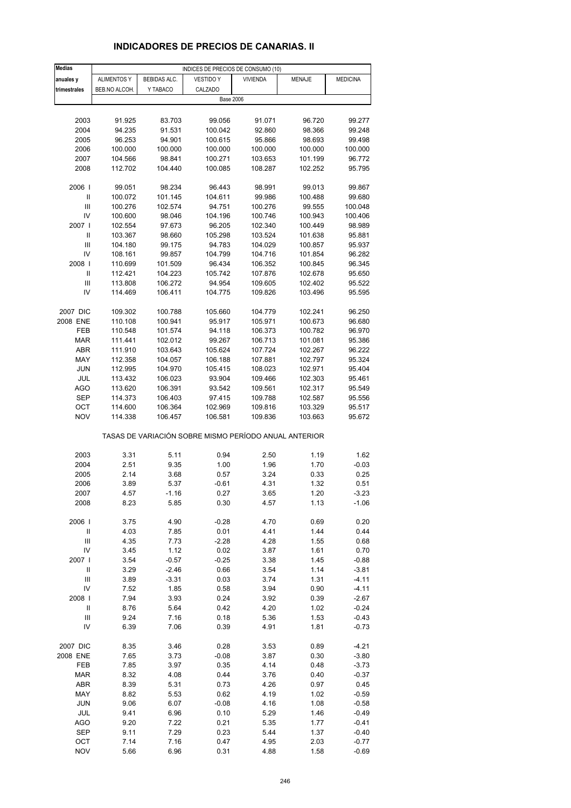# **INDICADORES DE PRECIOS DE CANARIAS. II**

| <b>Medias</b>        | INDICES DE PRECIOS DE CONSUMO (10) |                    |                                                       |                    |                    |                    |  |  |
|----------------------|------------------------------------|--------------------|-------------------------------------------------------|--------------------|--------------------|--------------------|--|--|
| anuales y            | <b>ALIMENTOS Y</b>                 | BEBIDAS ALC.       | <b>VESTIDO Y</b>                                      | <b>VIVIENDA</b>    | MENAJE             | <b>MEDICINA</b>    |  |  |
| trimestrales         | BEB.NO ALCOH.                      | Y TABACO           | CALZADO                                               |                    |                    |                    |  |  |
|                      |                                    |                    | <b>Base 2006</b>                                      |                    |                    |                    |  |  |
|                      |                                    |                    |                                                       |                    |                    |                    |  |  |
| 2003                 | 91.925                             | 83.703             | 99.056                                                | 91.071             | 96.720             | 99.277             |  |  |
| 2004                 | 94.235                             | 91.531             | 100.042                                               | 92.860             | 98.366             | 99.248             |  |  |
| 2005                 | 96.253                             | 94.901             | 100.615                                               | 95.866             | 98.693             | 99.498             |  |  |
| 2006<br>2007         | 100.000<br>104.566                 | 100.000<br>98.841  | 100.000<br>100.271                                    | 100.000<br>103.653 | 100.000<br>101.199 | 100.000<br>96.772  |  |  |
| 2008                 | 112.702                            | 104.440            | 100.085                                               | 108.287            | 102.252            | 95.795             |  |  |
|                      |                                    |                    |                                                       |                    |                    |                    |  |  |
| 2006                 | 99.051                             | 98.234             | 96.443                                                | 98.991             | 99.013             | 99.867             |  |  |
| Ш                    | 100.072                            | 101.145            | 104.611                                               | 99.986             | 100.488            | 99.680             |  |  |
| Ш                    | 100.276                            | 102.574            | 94.751                                                | 100.276            | 99.555             | 100.048            |  |  |
| IV                   | 100.600                            | 98.046             | 104.196                                               | 100.746            | 100.943            | 100.406            |  |  |
| 2007 l               | 102.554                            | 97.673             | 96.205                                                | 102.340            | 100.449            | 98.989             |  |  |
| Ш                    | 103.367                            | 98.660             | 105.298                                               | 103.524            | 101.638            | 95.881             |  |  |
| $\mathbf{III}$<br>IV | 104.180                            | 99.175<br>99.857   | 94.783<br>104.799                                     | 104.029<br>104.716 | 100.857<br>101.854 | 95.937             |  |  |
| 2008                 | 108.161<br>110.699                 | 101.509            | 96.434                                                | 106.352            | 100.845            | 96.282<br>96.345   |  |  |
| $\sf II$             | 112.421                            | 104.223            | 105.742                                               | 107.876            | 102.678            | 95.650             |  |  |
| Ш                    | 113.808                            | 106.272            | 94.954                                                | 109.605            | 102.402            | 95.522             |  |  |
| IV                   | 114.469                            | 106.411            | 104.775                                               | 109.826            | 103.496            | 95.595             |  |  |
|                      |                                    |                    |                                                       |                    |                    |                    |  |  |
| 2007 DIC             | 109.302                            | 100.788            | 105.660                                               | 104.779            | 102.241            | 96.250             |  |  |
| 2008 ENE             | 110.108                            | 100.941            | 95.917                                                | 105.971            | 100.673            | 96.680             |  |  |
| FEB                  | 110.548                            | 101.574            | 94.118                                                | 106.373            | 100.782            | 96.970             |  |  |
| <b>MAR</b>           | 111.441                            | 102.012            | 99.267                                                | 106.713            | 101.081            | 95.386             |  |  |
| <b>ABR</b><br>MAY    | 111.910<br>112.358                 | 103.643<br>104.057 | 105.624<br>106.188                                    | 107.724<br>107.881 | 102.267<br>102.797 | 96.222<br>95.324   |  |  |
| <b>JUN</b>           | 112.995                            | 104.970            | 105.415                                               | 108.023            | 102.971            | 95.404             |  |  |
| JUL                  | 113.432                            | 106.023            | 93.904                                                | 109.466            | 102.303            | 95.461             |  |  |
| AGO                  | 113.620                            | 106.391            | 93.542                                                | 109.561            | 102.317            | 95.549             |  |  |
| <b>SEP</b>           | 114.373                            | 106.403            | 97.415                                                | 109.788            | 102.587            | 95.556             |  |  |
| OCT                  | 114.600                            | 106.364            | 102.969                                               | 109.816            | 103.329            | 95.517             |  |  |
| <b>NOV</b>           | 114.338                            | 106.457            | 106.581                                               | 109.836            | 103.663            | 95.672             |  |  |
|                      |                                    |                    | TASAS DE VARIACIÓN SOBRE MISMO PERÍODO ANUAL ANTERIOR |                    |                    |                    |  |  |
| 2003                 | 3.31                               | 5.11               | 0.94                                                  | 2.50               | 1.19               | 1.62               |  |  |
| 2004                 | 2.51                               | 9.35               | 1.00                                                  | 1.96               | 1.70               | $-0.03$            |  |  |
| 2005                 | 2.14                               | 3.68               | 0.57                                                  | 3.24               | 0.33               | 0.25               |  |  |
| 2006                 | 3.89                               | 5.37               | $-0.61$                                               | 4.31               | 1.32               | 0.51               |  |  |
| 2007                 | 4.57                               | -1.16              | 0.27                                                  | 3.65               | 1.20               | -3.23              |  |  |
| 2008                 | 8.23                               | 5.85               | 0.30                                                  | 4.57               | 1.13               | $-1.06$            |  |  |
| 2006                 | 3.75                               | 4.90               | $-0.28$                                               | 4.70               | 0.69               | 0.20               |  |  |
| $\mathbf{II}$        | 4.03                               | 7.85               | 0.01                                                  | 4.41               | 1.44               | 0.44               |  |  |
| $\mathsf{III}$       | 4.35                               | 7.73               | $-2.28$                                               | 4.28               | 1.55               | 0.68               |  |  |
| IV                   | 3.45                               | 1.12               | 0.02                                                  | 3.87               | 1.61               | 0.70               |  |  |
| 2007                 | 3.54                               | $-0.57$            | $-0.25$                                               | 3.38               | 1.45               | $-0.88$            |  |  |
| $\sf II$             | 3.29                               | $-2.46$            | 0.66                                                  | 3.54               | 1.14               | $-3.81$            |  |  |
| Ш                    | 3.89                               | $-3.31$            | 0.03                                                  | 3.74               | 1.31               | $-4.11$            |  |  |
| IV                   | 7.52                               | 1.85               | 0.58                                                  | 3.94               | 0.90               | $-4.11$            |  |  |
| 2008                 | 7.94                               | 3.93               | 0.24                                                  | 3.92               | 0.39               | $-2.67$            |  |  |
| Ш<br>Ш               | 8.76                               | 5.64               | 0.42                                                  | 4.20               | 1.02               | $-0.24$            |  |  |
| IV                   | 9.24<br>6.39                       | 7.16<br>7.06       | 0.18<br>0.39                                          | 5.36<br>4.91       | 1.53<br>1.81       | $-0.43$<br>$-0.73$ |  |  |
|                      |                                    |                    |                                                       |                    |                    |                    |  |  |
| 2007 DIC             | 8.35                               | 3.46               | 0.28                                                  | 3.53               | 0.89               | $-4.21$            |  |  |
| 2008 ENE             | 7.65                               | 3.73               | $-0.08$                                               | 3.87               | 0.30               | $-3.80$            |  |  |
| FEB                  | 7.85                               | 3.97               | 0.35                                                  | 4.14               | 0.48               | $-3.73$            |  |  |
| <b>MAR</b>           | 8.32                               | 4.08               | 0.44                                                  | 3.76               | 0.40               | $-0.37$            |  |  |
| ABR                  | 8.39                               | 5.31               | 0.73                                                  | 4.26               | 0.97               | 0.45               |  |  |
| MAY                  | 8.82                               | 5.53               | 0.62                                                  | 4.19               | 1.02               | $-0.59$            |  |  |
| <b>JUN</b>           | 9.06                               | 6.07               | $-0.08$                                               | 4.16               | 1.08               | $-0.58$            |  |  |
| JUL<br>AGO           | 9.41<br>9.20                       | 6.96<br>7.22       | 0.10<br>0.21                                          | 5.29<br>5.35       | 1.46<br>1.77       | $-0.49$<br>$-0.41$ |  |  |
| <b>SEP</b>           | 9.11                               | 7.29               | 0.23                                                  | 5.44               | 1.37               | $-0.40$            |  |  |
| OCT                  | 7.14                               | 7.16               | 0.47                                                  | 4.95               | 2.03               | $-0.77$            |  |  |
| <b>NOV</b>           | 5.66                               | 6.96               | 0.31                                                  | 4.88               | 1.58               | $-0.69$            |  |  |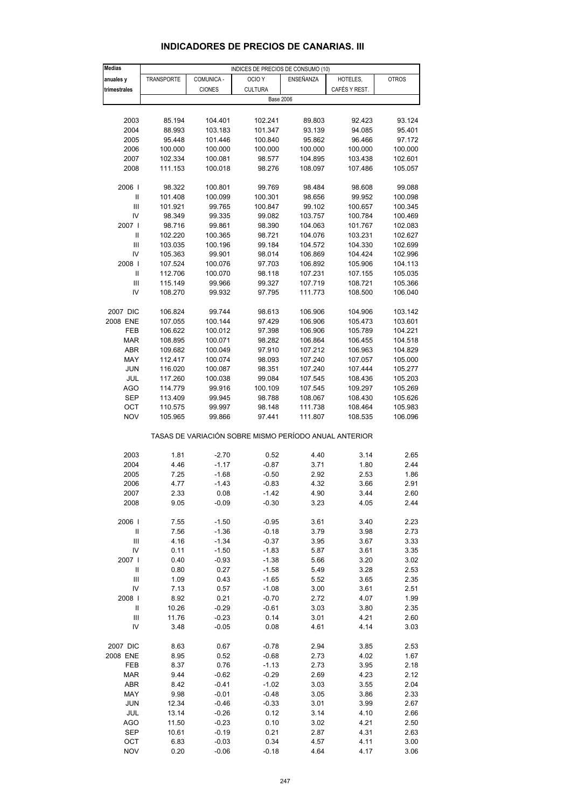| Medias                             | INDICES DE PRECIOS DE CONSUMO (10) |               |                                                       |                    |                    |                    |  |
|------------------------------------|------------------------------------|---------------|-------------------------------------------------------|--------------------|--------------------|--------------------|--|
| anuales y                          | <b>TRANSPORTE</b>                  | COMUNICA -    | OCIO <sub>Y</sub>                                     | <b>ENSEÑANZA</b>   | HOTELES,           | <b>OTROS</b>       |  |
| trimestrales                       |                                    | <b>CIONES</b> | <b>CULTURA</b>                                        |                    | CAFÉS Y REST.      |                    |  |
|                                    |                                    |               | <b>Base 2006</b>                                      |                    |                    |                    |  |
|                                    |                                    |               |                                                       |                    |                    |                    |  |
| 2003                               | 85.194                             | 104.401       | 102.241                                               | 89.803             | 92.423             | 93.124             |  |
| 2004                               | 88.993                             | 103.183       | 101.347                                               | 93.139             | 94.085             | 95.401             |  |
| 2005                               | 95.448                             | 101.446       | 100.840                                               | 95.862             | 96.466             | 97.172             |  |
| 2006                               | 100.000                            |               | 100.000                                               |                    | 100.000            | 100.000            |  |
| 2007                               |                                    | 100.000       |                                                       | 100.000<br>104.895 |                    |                    |  |
| 2008                               | 102.334                            | 100.081       | 98.577                                                |                    | 103.438<br>107.486 | 102.601            |  |
|                                    | 111.153                            | 100.018       | 98.276                                                | 108.097            |                    | 105.057            |  |
| 2006                               | 98.322                             | 100.801       | 99.769                                                | 98.484             | 98.608             | 99.088             |  |
| Ш                                  | 101.408                            | 100.099       | 100.301                                               | 98.656             | 99.952             | 100.098            |  |
| $\mathbf{III}$                     | 101.921                            | 99.765        | 100.847                                               | 99.102             | 100.657            | 100.345            |  |
| IV                                 | 98.349                             | 99.335        | 99.082                                                | 103.757            | 100.784            | 100.469            |  |
| 2007                               | 98.716                             | 99.861        | 98.390                                                | 104.063            | 101.767            | 102.083            |  |
| Ш                                  | 102.220                            | 100.365       | 98.721                                                | 104.076            | 103.231            | 102.627            |  |
| Ш                                  | 103.035                            | 100.196       | 99.184                                                | 104.572            | 104.330            | 102.699            |  |
| IV                                 | 105.363                            | 99.901        | 98.014                                                | 106.869            | 104.424            | 102.996            |  |
| 2008                               | 107.524                            | 100.076       | 97.703                                                | 106.892            | 105.906            | 104.113            |  |
| Ш                                  | 112.706                            | 100.070       | 98.118                                                | 107.231            | 107.155            | 105.035            |  |
|                                    |                                    |               | 99.327                                                |                    | 108.721            |                    |  |
| Ш<br>IV                            | 115.149                            | 99.966        | 97.795                                                | 107.719            |                    | 105.366<br>106.040 |  |
|                                    | 108.270                            | 99.932        |                                                       | 111.773            | 108.500            |                    |  |
| 2007 DIC                           | 106.824                            | 99.744        | 98.613                                                | 106.906            | 104.906            | 103.142            |  |
| 2008 ENE                           | 107.055                            | 100.144       | 97.429                                                | 106.906            | 105.473            | 103.601            |  |
|                                    | 106.622                            |               | 97.398                                                |                    | 105.789            |                    |  |
| FEB                                |                                    | 100.012       |                                                       | 106.906            |                    | 104.221<br>104.518 |  |
| <b>MAR</b>                         | 108.895                            | 100.071       | 98.282                                                | 106.864            | 106.455            |                    |  |
| <b>ABR</b>                         | 109.682                            | 100.049       | 97.910                                                | 107.212            | 106.963            | 104.829            |  |
| MAY                                | 112.417                            | 100.074       | 98.093                                                | 107.240            | 107.057            | 105.000            |  |
| JUN                                | 116.020                            | 100.087       | 98.351                                                | 107.240            | 107.444            | 105.277            |  |
| JUL                                | 117.260                            | 100.038       | 99.084                                                | 107.545            | 108.436            | 105.203            |  |
| <b>AGO</b>                         | 114.779                            | 99.916        | 100.109                                               | 107.545            | 109.297            | 105.269            |  |
| SEP                                | 113.409                            | 99.945        | 98.788                                                | 108.067            | 108.430            | 105.626            |  |
| OCT                                | 110.575                            | 99.997        | 98.148                                                | 111.738            | 108.464            | 105.983            |  |
| <b>NOV</b>                         | 105.965                            | 99.866        | 97.441                                                | 111.807            | 108.535            | 106.096            |  |
|                                    |                                    |               | TASAS DE VARIACIÓN SOBRE MISMO PERÍODO ANUAL ANTERIOR |                    |                    |                    |  |
|                                    |                                    |               |                                                       |                    |                    |                    |  |
| 2003                               | 1.81                               | $-2.70$       | 0.52                                                  | 4.40               | 3.14               | 2.65               |  |
| 2004                               | 4.46                               | $-1.17$       | $-0.87$                                               | 3.71               | 1.80               | 2.44               |  |
| 2005                               | 7.25                               | $-1.68$       | $-0.50$                                               | 2.92               | 2.53               | 1.86               |  |
| 2006                               | 4.77                               | $-1.43$       | $-0.83$                                               | 4.32               | 3.66               | 2.91               |  |
| 2007                               | 2.33                               | 0.08          | $-1.42$                                               | 4.90               | 3.44               | 2.60               |  |
| 2008                               | 9.05                               | $-0.09$       | $-0.30$                                               | 3.23               | 4.05               | 2.44               |  |
| 2006                               | 7.55                               | $-1.50$       | $-0.95$                                               | 3.61               | 3.40               | 2.23               |  |
| Ш                                  | 7.56                               | $-1.36$       | $-0.18$                                               | 3.79               | 3.98               | 2.73               |  |
| $\ensuremath{\mathsf{III}}\xspace$ | 4.16                               | $-1.34$       | $-0.37$                                               | 3.95               | 3.67               | 3.33               |  |
| IV                                 | 0.11                               | $-1.50$       | $-1.83$                                               | 5.87               | 3.61               | 3.35               |  |
| 2007 l                             | 0.40                               | $-0.93$       | $-1.38$                                               | 5.66               | 3.20               | 3.02               |  |
| $\ensuremath{\mathsf{II}}$         | 0.80                               | 0.27          | $-1.58$                                               | 5.49               | 3.28               | 2.53               |  |
| $\ensuremath{\mathsf{III}}\xspace$ | 1.09                               | 0.43          | $-1.65$                                               | 5.52               | 3.65               | 2.35               |  |
| IV                                 | 7.13                               | 0.57          | $-1.08$                                               | 3.00               | 3.61               | 2.51               |  |
| 2008                               | 8.92                               | 0.21          | $-0.70$                                               | 2.72               | 4.07               | 1.99               |  |
| Ш                                  | 10.26                              | $-0.29$       | $-0.61$                                               | 3.03               | 3.80               | 2.35               |  |
| Ш                                  | 11.76                              | $-0.23$       | 0.14                                                  | 3.01               | 4.21               | 2.60               |  |
| IV                                 | 3.48                               | $-0.05$       | 0.08                                                  | 4.61               | 4.14               | 3.03               |  |
|                                    |                                    |               |                                                       |                    |                    |                    |  |
| 2007 DIC                           | 8.63                               | 0.67          | $-0.78$                                               | 2.94               | 3.85               | 2.53               |  |
| 2008 ENE                           | 8.95                               | 0.52          | $-0.68$                                               | 2.73               | 4.02               | 1.67               |  |
| FEB                                | 8.37                               | 0.76          | $-1.13$                                               | 2.73               | 3.95               | 2.18               |  |
| <b>MAR</b>                         | 9.44                               | $-0.62$       | $-0.29$                                               | 2.69               | 4.23               | 2.12               |  |
| ABR                                | 8.42                               | $-0.41$       | $-1.02$                                               | 3.03               | 3.55               | 2.04               |  |
| MAY                                | 9.98                               | $-0.01$       | $-0.48$                                               | 3.05               | 3.86               | 2.33               |  |
| <b>JUN</b>                         | 12.34                              | $-0.46$       | $-0.33$                                               | 3.01               | 3.99               | 2.67               |  |
| JUL                                | 13.14                              | $-0.26$       | 0.12                                                  | 3.14               | 4.10               | 2.66               |  |
| <b>AGO</b>                         | 11.50                              | $-0.23$       | 0.10                                                  | 3.02               | 4.21               | 2.50               |  |
| <b>SEP</b>                         | 10.61                              | $-0.19$       | 0.21                                                  | 2.87               | 4.31               | 2.63               |  |
| OCT                                | 6.83                               | $-0.03$       | 0.34                                                  | 4.57               | 4.11               | 3.00               |  |

#### **INDICADORES DE PRECIOS DE CANARIAS. III**

NOV 0.20 -0.06 -0.18 4.64 4.17 3.06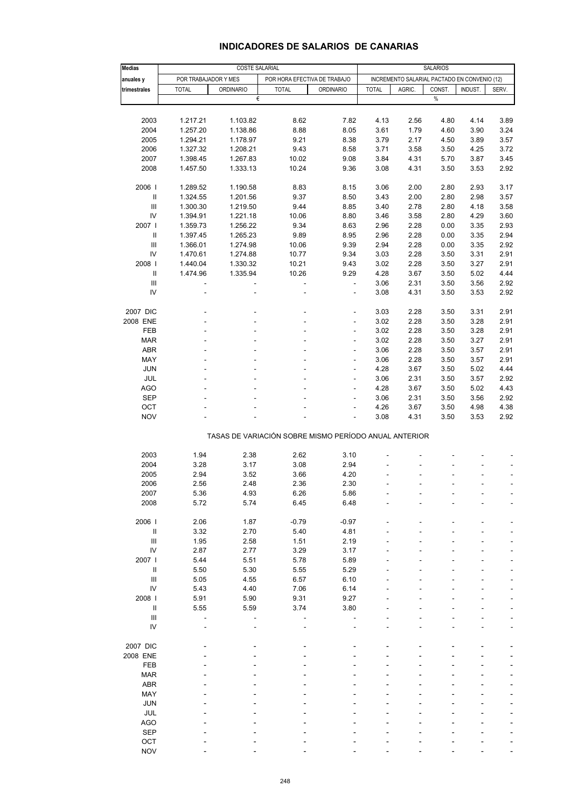| <b>Medias</b>                      | <b>COSTE SALARIAL</b>    |                                                       |                              |                          |                                              | <b>SALARIOS</b> |        |         |       |
|------------------------------------|--------------------------|-------------------------------------------------------|------------------------------|--------------------------|----------------------------------------------|-----------------|--------|---------|-------|
| anuales y                          |                          | POR TRABAJADOR Y MES                                  | POR HORA EFECTIVA DE TRABAJO |                          | INCREMENTO SALARIAL PACTADO EN CONVENIO (12) |                 |        |         |       |
| trimestrales                       | <b>TOTAL</b>             | <b>ORDINARIO</b>                                      | <b>TOTAL</b>                 | <b>ORDINARIO</b>         | <b>TOTAL</b>                                 | AGRIC.          | CONST. | INDUST. | SERV. |
|                                    |                          | €                                                     |                              |                          |                                              |                 | $\%$   |         |       |
|                                    |                          |                                                       |                              |                          |                                              |                 |        |         |       |
|                                    |                          |                                                       |                              |                          |                                              |                 |        |         |       |
| 2003                               | 1.217.21                 | 1.103.82                                              | 8.62                         | 7.82                     | 4.13                                         | 2.56            | 4.80   | 4.14    | 3.89  |
| 2004                               | 1.257.20                 | 1.138.86                                              | 8.88                         | 8.05                     | 3.61                                         | 1.79            | 4.60   | 3.90    | 3.24  |
| 2005                               | 1.294.21                 | 1.178.97                                              | 9.21                         | 8.38                     | 3.79                                         | 2.17            | 4.50   | 3.89    | 3.57  |
| 2006                               | 1.327.32                 | 1.208.21                                              | 9.43                         | 8.58                     | 3.71                                         | 3.58            | 3.50   | 4.25    | 3.72  |
| 2007                               | 1.398.45                 | 1.267.83                                              | 10.02                        | 9.08                     | 3.84                                         | 4.31            | 5.70   | 3.87    | 3.45  |
| 2008                               | 1.457.50                 | 1.333.13                                              | 10.24                        | 9.36                     | 3.08                                         | 4.31            | 3.50   | 3.53    | 2.92  |
|                                    |                          |                                                       |                              |                          |                                              |                 |        |         |       |
| 2006                               | 1.289.52                 | 1.190.58                                              | 8.83                         | 8.15                     | 3.06                                         | 2.00            | 2.80   | 2.93    | 3.17  |
| Ш                                  | 1.324.55                 | 1.201.56                                              | 9.37                         | 8.50                     | 3.43                                         | 2.00            | 2.80   | 2.98    | 3.57  |
| III                                | 1.300.30                 | 1.219.50                                              | 9.44                         | 8.85                     | 3.40                                         | 2.78            | 2.80   | 4.18    | 3.58  |
| IV                                 | 1.394.91                 | 1.221.18                                              | 10.06                        | 8.80                     | 3.46                                         | 3.58            | 2.80   | 4.29    | 3.60  |
| 2007 l                             | 1.359.73                 | 1.256.22                                              | 9.34                         | 8.63                     | 2.96                                         | 2.28            | 0.00   | 3.35    | 2.93  |
| Ш                                  | 1.397.45                 | 1.265.23                                              | 9.89                         | 8.95                     | 2.96                                         | 2.28            | 0.00   | 3.35    | 2.94  |
|                                    |                          |                                                       |                              |                          |                                              |                 |        |         |       |
| III                                | 1.366.01                 | 1.274.98                                              | 10.06                        | 9.39                     | 2.94                                         | 2.28            | 0.00   | 3.35    | 2.92  |
| IV                                 | 1.470.61                 | 1.274.88                                              | 10.77                        | 9.34                     | 3.03                                         | 2.28            | 3.50   | 3.31    | 2.91  |
| 2008                               | 1.440.04                 | 1.330.32                                              | 10.21                        | 9.43                     | 3.02                                         | 2.28            | 3.50   | 3.27    | 2.91  |
| Ш                                  | 1.474.96                 | 1.335.94                                              | 10.26                        | 9.29                     | 4.28                                         | 3.67            | 3.50   | 5.02    | 4.44  |
| Ш                                  | $\overline{\phantom{a}}$ | ÷,                                                    | $\blacksquare$               | $\Box$                   | 3.06                                         | 2.31            | 3.50   | 3.56    | 2.92  |
| IV                                 |                          |                                                       | ä,                           | ä,                       | 3.08                                         | 4.31            | 3.50   | 3.53    | 2.92  |
|                                    |                          |                                                       |                              |                          |                                              |                 |        |         |       |
| 2007 DIC                           |                          |                                                       | $\overline{a}$               | $\overline{\phantom{a}}$ | 3.03                                         | 2.28            | 3.50   | 3.31    | 2.91  |
| 2008 ENE                           |                          |                                                       |                              | ÷                        | 3.02                                         | 2.28            | 3.50   | 3.28    | 2.91  |
| FEB                                |                          |                                                       |                              | ÷                        | 3.02                                         | 2.28            | 3.50   | 3.28    | 2.91  |
| <b>MAR</b>                         |                          |                                                       | ä,                           | $\overline{\phantom{a}}$ | 3.02                                         | 2.28            | 3.50   | 3.27    | 2.91  |
| <b>ABR</b>                         |                          |                                                       |                              | ä,                       | 3.06                                         | 2.28            | 3.50   | 3.57    | 2.91  |
| MAY                                |                          |                                                       |                              | ÷                        | 3.06                                         | 2.28            | 3.50   | 3.57    | 2.91  |
| <b>JUN</b>                         |                          |                                                       | $\overline{a}$               | $\overline{\phantom{a}}$ | 4.28                                         | 3.67            | 3.50   | 5.02    | 4.44  |
| JUL                                |                          |                                                       |                              | L,                       | 3.06                                         | 2.31            | 3.50   | 3.57    | 2.92  |
| <b>AGO</b>                         |                          |                                                       |                              | ÷,                       | 4.28                                         | 3.67            | 3.50   | 5.02    | 4.43  |
| <b>SEP</b>                         |                          |                                                       |                              | $\overline{\phantom{a}}$ | 3.06                                         | 2.31            | 3.50   | 3.56    | 2.92  |
| OCT                                |                          |                                                       |                              | L,                       | 4.26                                         | 3.67            | 3.50   | 4.98    | 4.38  |
| <b>NOV</b>                         |                          |                                                       |                              | ÷,                       | 3.08                                         | 4.31            | 3.50   | 3.53    | 2.92  |
|                                    |                          |                                                       |                              |                          |                                              |                 |        |         |       |
|                                    |                          | TASAS DE VARIACIÓN SOBRE MISMO PERÍODO ANUAL ANTERIOR |                              |                          |                                              |                 |        |         |       |
|                                    |                          |                                                       |                              |                          |                                              |                 |        |         |       |
| 2003                               | 1.94                     | 2.38                                                  | 2.62                         | 3.10                     |                                              |                 |        |         |       |
| 2004                               | 3.28                     | 3.17                                                  | 3.08                         | 2.94                     |                                              |                 |        |         |       |
| 2005                               | 2.94                     | 3.52                                                  | 3.66                         | 4.20                     |                                              |                 |        |         |       |
| 2006                               | 2.56                     | 2.48                                                  | 2.36                         | 2.30                     |                                              |                 |        |         |       |
| 2007                               | 5.36                     | 4.93                                                  | 6.26                         | 5.86                     |                                              |                 |        |         |       |
| 2008                               | 5.72                     | 5.74                                                  | 6.45                         | 6.48                     |                                              |                 |        |         |       |
|                                    |                          |                                                       |                              |                          |                                              |                 |        |         |       |
|                                    |                          |                                                       |                              |                          |                                              |                 |        |         |       |
| 2006                               | 2.06                     | 1.87                                                  | $-0.79$                      | $-0.97$                  |                                              |                 |        |         |       |
| $\ensuremath{\mathsf{II}}$         | 3.32                     | 2.70                                                  | 5.40                         | 4.81                     |                                              |                 |        |         |       |
| III                                | 1.95                     | 2.58                                                  | 1.51                         | 2.19                     |                                              |                 |        |         |       |
| ${\sf IV}$                         | 2.87                     | 2.77                                                  | 3.29                         | 3.17                     |                                              |                 |        |         |       |
| 2007                               | 5.44                     | 5.51                                                  | 5.78                         | 5.89                     |                                              |                 |        |         |       |
| Ш                                  | 5.50                     | 5.30                                                  | 5.55                         | 5.29                     |                                              |                 |        |         |       |
| $\ensuremath{\mathsf{III}}\xspace$ | 5.05                     | 4.55                                                  | 6.57                         | 6.10                     |                                              |                 |        |         |       |
| ${\sf IV}$                         | 5.43                     | 4.40                                                  | 7.06                         | 6.14                     |                                              |                 |        |         |       |
| 2008                               | 5.91                     | 5.90                                                  | 9.31                         | 9.27                     |                                              |                 |        |         |       |
| $\ensuremath{\mathsf{II}}$         | 5.55                     | 5.59                                                  | 3.74                         | 3.80                     |                                              |                 |        |         |       |
| $\ensuremath{\mathsf{III}}\xspace$ |                          |                                                       |                              |                          |                                              |                 |        |         |       |
| IV                                 |                          |                                                       |                              |                          |                                              |                 |        |         |       |
|                                    |                          |                                                       |                              |                          |                                              |                 |        |         |       |
| 2007 DIC                           |                          |                                                       |                              |                          |                                              |                 |        |         |       |
| 2008 ENE                           |                          |                                                       |                              |                          |                                              |                 |        |         |       |
| FEB                                |                          |                                                       |                              |                          |                                              |                 |        |         |       |
| <b>MAR</b>                         |                          |                                                       |                              |                          |                                              |                 |        |         |       |
| ABR                                |                          |                                                       |                              |                          |                                              |                 |        |         |       |
| MAY                                |                          |                                                       |                              |                          |                                              |                 |        |         |       |
| <b>JUN</b>                         |                          |                                                       |                              |                          |                                              |                 |        |         |       |
| JUL                                |                          |                                                       |                              |                          |                                              |                 |        |         |       |
| <b>AGO</b>                         |                          |                                                       |                              |                          |                                              |                 |        |         |       |
| <b>SEP</b>                         |                          |                                                       |                              |                          |                                              |                 |        |         |       |
| OCT                                |                          |                                                       |                              |                          |                                              |                 |        |         |       |
| <b>NOV</b>                         |                          |                                                       |                              |                          |                                              |                 |        |         |       |
|                                    |                          |                                                       |                              |                          |                                              |                 |        |         |       |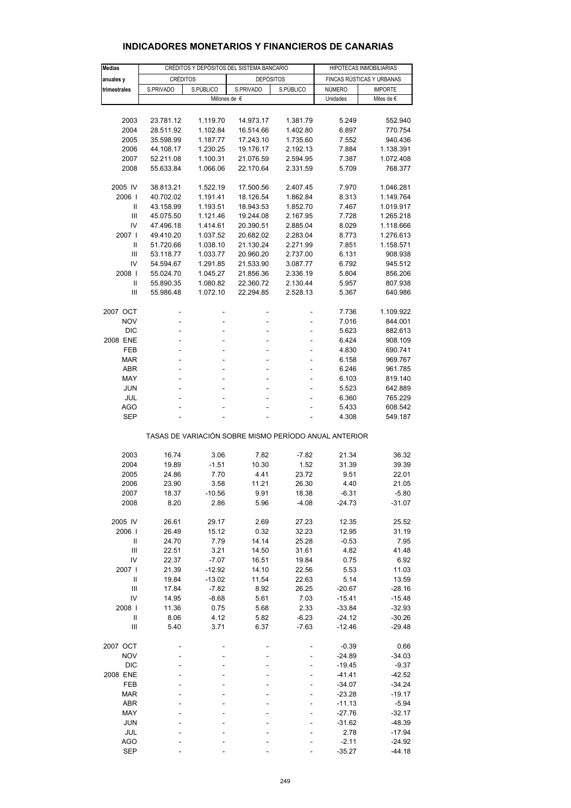| <b>Medias</b> |           |                                                                                  | HIPOTECAS INMOBILIARIAS                               |                |                           |                              |
|---------------|-----------|----------------------------------------------------------------------------------|-------------------------------------------------------|----------------|---------------------------|------------------------------|
|               |           | CRÉDITOS Y DEPÓSITOS DEL SISTEMA BANCARIO<br><b>CRÉDITOS</b><br><b>DEPÓSITOS</b> |                                                       |                |                           |                              |
| anuales y     |           |                                                                                  |                                                       |                |                           | FINCAS RÚSTICAS Y URBANAS    |
| trimestrales  | S.PRIVADO | S.PÚBLICO                                                                        | S.PRIVADO<br>Millones de €                            | S.PÚBLICO      | <b>NÚMERO</b><br>Unidades | <b>IMPORTE</b><br>Miles de € |
|               |           |                                                                                  |                                                       |                |                           |                              |
|               |           |                                                                                  |                                                       |                |                           |                              |
| 2003          | 23.781.12 | 1.119.70                                                                         | 14.973.17                                             | 1.381.79       | 5.249                     | 552.940                      |
| 2004          | 28.511.92 | 1.102.84                                                                         | 16.514.66                                             | 1.402.80       | 6.897                     | 770.754                      |
| 2005          | 35.598.99 | 1.187.77                                                                         | 17.243.10                                             | 1.735.60       | 7.552                     | 940.436                      |
| 2006          | 44.108.17 | 1.230.25                                                                         | 19.176.17                                             | 2.192.13       | 7.884                     | 1.138.391                    |
| 2007          | 52.211.08 | 1.100.31                                                                         | 21.076.59                                             | 2.594.95       | 7.387                     | 1.072.408                    |
| 2008          | 55.633.84 | 1.066.06                                                                         | 22.170.64                                             | 2.331.59       | 5.709                     | 768.377                      |
| 2005 IV       | 38.813.21 | 1.522.19                                                                         | 17.500.56                                             | 2.407.45       | 7.970                     | 1.046.281                    |
| 2006          | 40.702.02 | 1.191.41                                                                         | 18.126.54                                             | 1.862.84       | 8.313                     | 1.149.764                    |
| Ш             | 43.158.99 | 1.193.51                                                                         | 18.943.53                                             | 1.852.70       | 7.467                     | 1.019.917                    |
| Ш             | 45.075.50 | 1.121.46                                                                         | 19.244.08                                             | 2.167.95       | 7.728                     | 1.265.218                    |
| IV            | 47.496.18 | 1.414.61                                                                         | 20.390.51                                             | 2.885.04       | 8.029                     | 1.118.666                    |
| 2007 l        |           |                                                                                  |                                                       |                |                           | 1.276.613                    |
|               | 49.410.20 | 1.037.52                                                                         | 20.682.02                                             | 2.283.04       | 8.773                     |                              |
| Ш             | 51.720.66 | 1.038.10                                                                         | 21.130.24                                             | 2.271.99       | 7.851                     | 1.158.571                    |
| Ш             | 53.118.77 | 1.033.77                                                                         | 20.960.20                                             | 2.737.00       | 6.131                     | 908.938                      |
| IV            | 54.594.67 | 1.291.85                                                                         | 21.533.90                                             | 3.087.77       | 6.792                     | 945.512                      |
| 2008          | 55.024.70 | 1.045.27                                                                         | 21.856.36                                             | 2.336.19       | 5.804                     | 856.206                      |
| $\mathbf{I}$  | 55.890.35 | 1.080.82                                                                         | 22.360.72                                             | 2.130.44       | 5.957                     | 807.938                      |
| Ш             | 55.986.48 | 1.072.10                                                                         | 22.294.85                                             | 2.528.13       | 5.367                     | 640.986                      |
| 2007 OCT      |           |                                                                                  |                                                       | $\overline{a}$ | 7.736                     | 1.109.922                    |
| <b>NOV</b>    | -         | ÷                                                                                | -                                                     | ÷,             | 7.016                     | 844.001                      |
| <b>DIC</b>    | L,        |                                                                                  | L.                                                    | $\overline{a}$ | 5.623                     | 882.613                      |
| 2008 ENE      | L         |                                                                                  |                                                       |                | 6.424                     | 908.109                      |
| <b>FEB</b>    |           |                                                                                  |                                                       |                | 4.830                     | 690.741                      |
|               | -         |                                                                                  |                                                       | ÷,             |                           |                              |
| <b>MAR</b>    | L,        | L,                                                                               | L                                                     | $\overline{a}$ | 6.158                     | 969.767                      |
| ABR           | L         |                                                                                  |                                                       |                | 6.246                     | 961.785                      |
| <b>MAY</b>    | -         |                                                                                  |                                                       | ÷,             | 6.103                     | 819.140                      |
| JUN           | L,        |                                                                                  |                                                       | $\overline{a}$ | 5.523                     | 642.889                      |
| JUL           |           |                                                                                  |                                                       |                | 6.360                     | 765.229                      |
| <b>AGO</b>    | L,        | ä,                                                                               |                                                       | ÷.             | 5.433                     | 608.542                      |
| <b>SEP</b>    |           |                                                                                  |                                                       |                | 4.308                     | 549.187                      |
|               |           |                                                                                  | TASAS DE VARIACIÓN SOBRE MISMO PERÍODO ANUAL ANTERIOR |                |                           |                              |
| 2003          | 16.74     | 3.06                                                                             | 7.82                                                  | $-7.82$        | 21.34                     | 36.32                        |
| 2004          | 19.89     | $-1.51$                                                                          | 10.30                                                 | 1.52           | 31.39                     | 39.39                        |
|               |           |                                                                                  |                                                       |                |                           |                              |
| 2005          | 24.86     | 7.70                                                                             | 4.41                                                  | 23.72          | 9.51                      | 22.01                        |
| 2006          | 23.90     | 3.58                                                                             | 11.21                                                 | 26.30          | 4.40                      | 21.05                        |
| 2007          | 18.37     | $-10.56$                                                                         | 9.91                                                  | 18.38          | $-6.31$                   | $-5.80$                      |
| 2008          | 8.20      | 2.86                                                                             | 5.96                                                  | $-4.08$        | $-24.73$                  | $-31.07$                     |
| 2005 IV       | 26.61     | 29.17                                                                            | 2.69                                                  | 27.23          | 12.35                     | 25.52                        |
| 2006          | 26.49     | 15.12                                                                            | 0.32                                                  | 32.23          | 12.95                     | 31.19                        |
| $\mathsf{I}$  | 24.70     | 7.79                                                                             | 14.14                                                 | 25.28          | $-0.53$                   | 7.95                         |
| Ш             | 22.51     | 3.21                                                                             | 14.50                                                 | 31.61          | 4.82                      | 41.48                        |
| IV            | 22.37     | $-7.07$                                                                          | 16.51                                                 | 19.84          | 0.75                      | 6.92                         |
| 2007          | 21.39     | $-12.92$                                                                         | 14.10                                                 | 22.56          | 5.53                      | 11.03                        |
| Ш             | 19.84     | $-13.02$                                                                         | 11.54                                                 | 22.63          | 5.14                      | 13.59                        |
| III           | 17.84     | $-7.82$                                                                          | 8.92                                                  | 26.25          | $-20.67$                  | $-28.16$                     |
| IV            | 14.95     | $-8.68$                                                                          | 5.61                                                  | 7.03           | $-15.41$                  | $-15.48$                     |
| 2008          | 11.36     | 0.75                                                                             | 5.68                                                  | 2.33           | $-33.84$                  | $-32.93$                     |
| Ш             |           | 4.12                                                                             |                                                       |                |                           |                              |
|               | 8.06      |                                                                                  | 5.82                                                  | $-6.23$        | $-24.12$                  | $-30.26$                     |
| Ш             | 5.40      | 3.71                                                                             | 6.37                                                  | $-7.63$        | $-12.46$                  | $-29.48$                     |
| 2007 OCT      |           |                                                                                  |                                                       |                | $-0.39$                   | 0.66                         |
| <b>NOV</b>    |           |                                                                                  |                                                       |                | $-24.89$                  | $-34.03$                     |
| <b>DIC</b>    |           |                                                                                  |                                                       |                | $-19.45$                  | $-9.37$                      |
| 2008 ENE      |           |                                                                                  |                                                       |                | $-41.41$                  | $-42.52$                     |
| FEB           |           |                                                                                  |                                                       |                | $-34.07$                  | $-34.24$                     |
| <b>MAR</b>    |           |                                                                                  |                                                       |                | $-23.28$                  | $-19.17$                     |
| ABR           |           |                                                                                  |                                                       |                | $-11.13$                  | $-5.94$                      |
| MAY           |           |                                                                                  |                                                       |                | $-27.76$                  | $-32.17$                     |
| <b>JUN</b>    |           |                                                                                  |                                                       |                | $-31.62$                  | $-48.39$                     |
| JUL           |           |                                                                                  |                                                       |                | 2.78                      | $-17.94$                     |
| <b>AGO</b>    |           |                                                                                  |                                                       |                | $-2.11$                   | $-24.92$                     |
| <b>SEP</b>    |           |                                                                                  |                                                       |                | $-35.27$                  | $-44.18$                     |
|               |           |                                                                                  |                                                       |                |                           |                              |

#### **INDICADORES MONETARIOS Y FINANCIEROS DE CANARIAS**